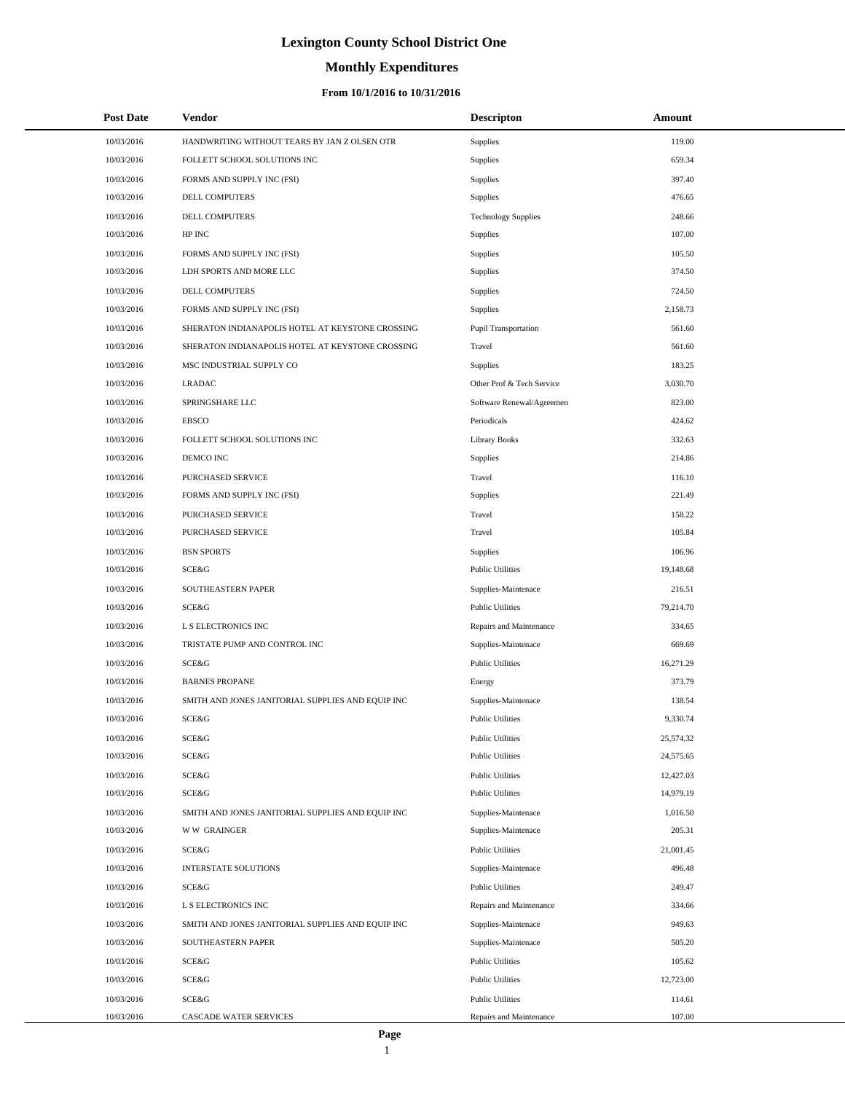# **Monthly Expenditures**

### **From 10/1/2016 to 10/31/2016**

| <b>Post Date</b> | <b>Vendor</b>                                     | <b>Descripton</b>          | Amount    |  |
|------------------|---------------------------------------------------|----------------------------|-----------|--|
| 10/03/2016       | HANDWRITING WITHOUT TEARS BY JAN Z OLSEN OTR      | Supplies                   | 119.00    |  |
| 10/03/2016       | FOLLETT SCHOOL SOLUTIONS INC                      | Supplies                   | 659.34    |  |
| 10/03/2016       | FORMS AND SUPPLY INC (FSI)                        | Supplies                   | 397.40    |  |
| 10/03/2016       | <b>DELL COMPUTERS</b>                             | Supplies                   | 476.65    |  |
| 10/03/2016       | <b>DELL COMPUTERS</b>                             | <b>Technology Supplies</b> | 248.66    |  |
| 10/03/2016       | HP INC                                            | Supplies                   | 107.00    |  |
| 10/03/2016       | FORMS AND SUPPLY INC (FSI)                        | Supplies                   | 105.50    |  |
| 10/03/2016       | LDH SPORTS AND MORE LLC                           | Supplies                   | 374.50    |  |
| 10/03/2016       | DELL COMPUTERS                                    | Supplies                   | 724.50    |  |
| 10/03/2016       | FORMS AND SUPPLY INC (FSI)                        | Supplies                   | 2.158.73  |  |
| 10/03/2016       | SHERATON INDIANAPOLIS HOTEL AT KEYSTONE CROSSING  | Pupil Transportation       | 561.60    |  |
| 10/03/2016       | SHERATON INDIANAPOLIS HOTEL AT KEYSTONE CROSSING  | Travel                     | 561.60    |  |
| 10/03/2016       | MSC INDUSTRIAL SUPPLY CO                          | Supplies                   | 183.25    |  |
| 10/03/2016       | <b>LRADAC</b>                                     | Other Prof & Tech Service  | 3,030.70  |  |
| 10/03/2016       | SPRINGSHARE LLC                                   | Software Renewal/Agreemen  | 823.00    |  |
| 10/03/2016       | <b>EBSCO</b>                                      | Periodicals                | 424.62    |  |
| 10/03/2016       | FOLLETT SCHOOL SOLUTIONS INC                      | <b>Library Books</b>       | 332.63    |  |
| 10/03/2016       | DEMCO INC                                         | Supplies                   | 214.86    |  |
| 10/03/2016       | PURCHASED SERVICE                                 | Travel                     | 116.10    |  |
| 10/03/2016       | FORMS AND SUPPLY INC (FSI)                        | Supplies                   | 221.49    |  |
| 10/03/2016       | PURCHASED SERVICE                                 | Travel                     | 158.22    |  |
| 10/03/2016       | PURCHASED SERVICE                                 | Travel                     | 105.84    |  |
| 10/03/2016       | <b>BSN SPORTS</b>                                 | Supplies                   | 106.96    |  |
| 10/03/2016       | SCE&G                                             | <b>Public Utilities</b>    | 19,148.68 |  |
| 10/03/2016       | SOUTHEASTERN PAPER                                | Supplies-Maintenace        | 216.51    |  |
| 10/03/2016       | SCE&G                                             | <b>Public Utilities</b>    | 79,214.70 |  |
| 10/03/2016       | L S ELECTRONICS INC                               | Repairs and Maintenance    | 334.65    |  |
| 10/03/2016       | TRISTATE PUMP AND CONTROL INC                     | Supplies-Maintenace        | 669.69    |  |
| 10/03/2016       | <b>SCE&amp;G</b>                                  | <b>Public Utilities</b>    | 16,271.29 |  |
| 10/03/2016       | <b>BARNES PROPANE</b>                             | Energy                     | 373.79    |  |
| 10/03/2016       | SMITH AND JONES JANITORIAL SUPPLIES AND EQUIP INC | Supplies-Maintenace        | 138.54    |  |
| 10/03/2016       | SCE&G                                             | <b>Public Utilities</b>    | 9,330.74  |  |
| 10/03/2016       | <b>SCE&amp;G</b>                                  | <b>Public Utilities</b>    | 25,574.32 |  |
| 10/03/2016       | SCE&G                                             | <b>Public Utilities</b>    | 24,575.65 |  |
| 10/03/2016       | <b>SCE&amp;G</b>                                  | <b>Public Utilities</b>    | 12,427.03 |  |
| 10/03/2016       | SCE&G                                             | <b>Public Utilities</b>    | 14,979.19 |  |
| 10/03/2016       | SMITH AND JONES JANITORIAL SUPPLIES AND EQUIP INC | Supplies-Maintenace        | 1,016.50  |  |
| 10/03/2016       | <b>WW GRAINGER</b>                                | Supplies-Maintenace        | 205.31    |  |
| 10/03/2016       | <b>SCE&amp;G</b>                                  | <b>Public Utilities</b>    | 21,001.45 |  |
| 10/03/2016       | <b>INTERSTATE SOLUTIONS</b>                       | Supplies-Maintenace        | 496.48    |  |
| 10/03/2016       | SCE&G                                             | <b>Public Utilities</b>    | 249.47    |  |
| 10/03/2016       | L S ELECTRONICS INC                               | Repairs and Maintenance    | 334.66    |  |
| 10/03/2016       | SMITH AND JONES JANITORIAL SUPPLIES AND EQUIP INC | Supplies-Maintenace        | 949.63    |  |
| 10/03/2016       | SOUTHEASTERN PAPER                                | Supplies-Maintenace        | 505.20    |  |
| 10/03/2016       | SCE&G                                             | <b>Public Utilities</b>    | 105.62    |  |
| 10/03/2016       | SCE&G                                             | <b>Public Utilities</b>    | 12,723.00 |  |
| 10/03/2016       | SCE&G                                             | <b>Public Utilities</b>    | 114.61    |  |
| 10/03/2016       | CASCADE WATER SERVICES                            | Repairs and Maintenance    | 107.00    |  |

L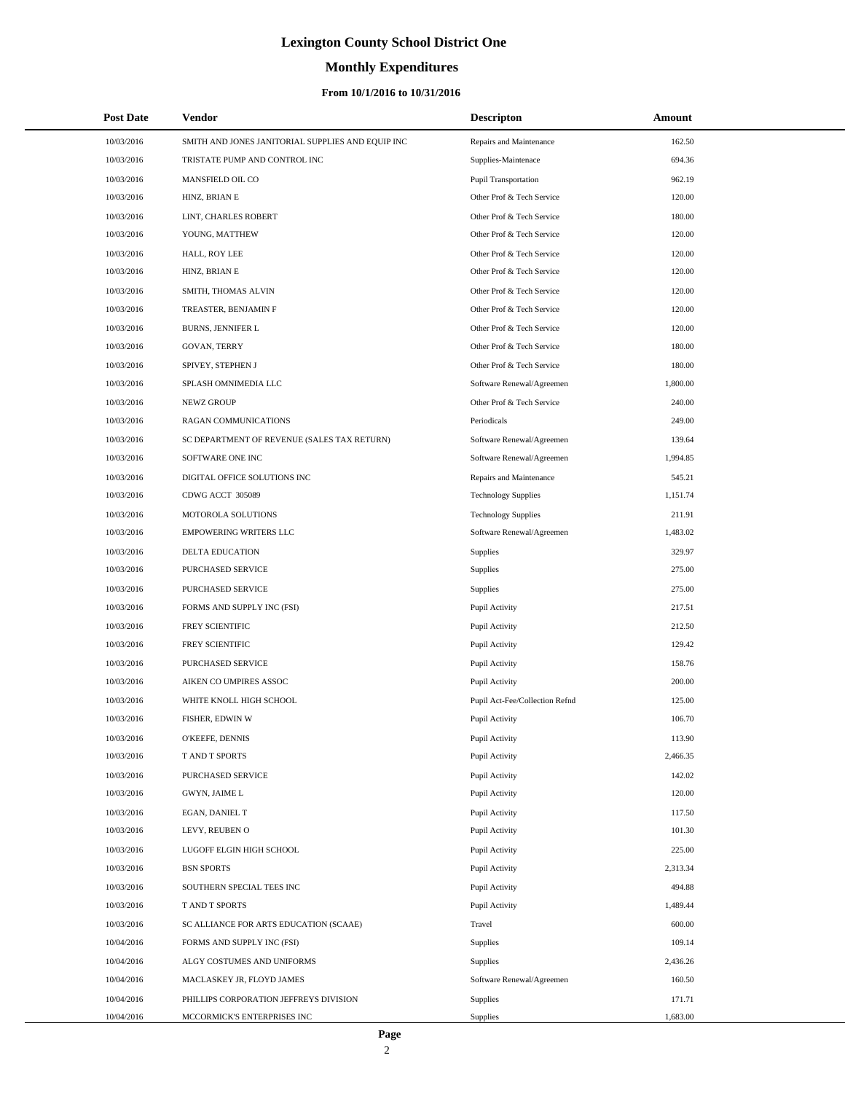# **Monthly Expenditures**

| <b>Post Date</b> | <b>Vendor</b>                                     | <b>Descripton</b>              | Amount   |
|------------------|---------------------------------------------------|--------------------------------|----------|
| 10/03/2016       | SMITH AND JONES JANITORIAL SUPPLIES AND EQUIP INC | Repairs and Maintenance        | 162.50   |
| 10/03/2016       | TRISTATE PUMP AND CONTROL INC                     | Supplies-Maintenace            | 694.36   |
| 10/03/2016       | MANSFIELD OIL CO                                  | Pupil Transportation           | 962.19   |
| 10/03/2016       | HINZ, BRIAN E                                     | Other Prof & Tech Service      | 120.00   |
| 10/03/2016       | LINT, CHARLES ROBERT                              | Other Prof & Tech Service      | 180.00   |
| 10/03/2016       | YOUNG, MATTHEW                                    | Other Prof & Tech Service      | 120.00   |
| 10/03/2016       | HALL, ROY LEE                                     | Other Prof & Tech Service      | 120.00   |
| 10/03/2016       | HINZ, BRIAN E                                     | Other Prof & Tech Service      | 120.00   |
| 10/03/2016       | SMITH, THOMAS ALVIN                               | Other Prof & Tech Service      | 120.00   |
| 10/03/2016       | TREASTER, BENJAMIN F                              | Other Prof & Tech Service      | 120.00   |
| 10/03/2016       | <b>BURNS, JENNIFER L</b>                          | Other Prof & Tech Service      | 120.00   |
| 10/03/2016       | GOVAN, TERRY                                      | Other Prof & Tech Service      | 180.00   |
| 10/03/2016       | SPIVEY, STEPHEN J                                 | Other Prof & Tech Service      | 180.00   |
| 10/03/2016       | SPLASH OMNIMEDIA LLC                              | Software Renewal/Agreemen      | 1,800.00 |
| 10/03/2016       | NEWZ GROUP                                        | Other Prof & Tech Service      | 240.00   |
| 10/03/2016       | RAGAN COMMUNICATIONS                              | Periodicals                    | 249.00   |
| 10/03/2016       | SC DEPARTMENT OF REVENUE (SALES TAX RETURN)       | Software Renewal/Agreemen      | 139.64   |
| 10/03/2016       | SOFTWARE ONE INC                                  | Software Renewal/Agreemen      | 1,994.85 |
| 10/03/2016       | DIGITAL OFFICE SOLUTIONS INC                      | Repairs and Maintenance        | 545.21   |
| 10/03/2016       | CDWG ACCT 305089                                  | <b>Technology Supplies</b>     | 1,151.74 |
| 10/03/2016       | MOTOROLA SOLUTIONS                                | <b>Technology Supplies</b>     | 211.91   |
| 10/03/2016       | <b>EMPOWERING WRITERS LLC</b>                     | Software Renewal/Agreemen      | 1,483.02 |
| 10/03/2016       | DELTA EDUCATION                                   | Supplies                       | 329.97   |
| 10/03/2016       | PURCHASED SERVICE                                 | Supplies                       | 275.00   |
| 10/03/2016       | PURCHASED SERVICE                                 | Supplies                       | 275.00   |
| 10/03/2016       | FORMS AND SUPPLY INC (FSI)                        | Pupil Activity                 | 217.51   |
| 10/03/2016       | FREY SCIENTIFIC                                   | Pupil Activity                 | 212.50   |
| 10/03/2016       | FREY SCIENTIFIC                                   | Pupil Activity                 | 129.42   |
| 10/03/2016       | PURCHASED SERVICE                                 | Pupil Activity                 | 158.76   |
| 10/03/2016       | AIKEN CO UMPIRES ASSOC                            | Pupil Activity                 | 200.00   |
| 10/03/2016       | WHITE KNOLL HIGH SCHOOL                           | Pupil Act-Fee/Collection Refnd | 125.00   |
| 10/03/2016       | FISHER, EDWIN W                                   | Pupil Activity                 | 106.70   |
| 10/03/2016       | O'KEEFE, DENNIS                                   | Pupil Activity                 | 113.90   |
| 10/03/2016       | T AND T SPORTS                                    | Pupil Activity                 | 2,466.35 |
| 10/03/2016       | PURCHASED SERVICE                                 | Pupil Activity                 | 142.02   |
| 10/03/2016       | GWYN, JAIME L                                     | Pupil Activity                 | 120.00   |
| 10/03/2016       | EGAN, DANIEL T                                    | Pupil Activity                 | 117.50   |
| 10/03/2016       | LEVY, REUBEN O                                    | Pupil Activity                 | 101.30   |
| 10/03/2016       | LUGOFF ELGIN HIGH SCHOOL                          | Pupil Activity                 | 225.00   |
| 10/03/2016       | <b>BSN SPORTS</b>                                 | Pupil Activity                 | 2,313.34 |
| 10/03/2016       | SOUTHERN SPECIAL TEES INC                         | Pupil Activity                 | 494.88   |
| 10/03/2016       | T AND T SPORTS                                    | Pupil Activity                 | 1,489.44 |
| 10/03/2016       | SC ALLIANCE FOR ARTS EDUCATION (SCAAE)            | Travel                         | 600.00   |
| 10/04/2016       | FORMS AND SUPPLY INC (FSI)                        | Supplies                       | 109.14   |
| 10/04/2016       | ALGY COSTUMES AND UNIFORMS                        | Supplies                       | 2,436.26 |
| 10/04/2016       | MACLASKEY JR, FLOYD JAMES                         | Software Renewal/Agreemen      | 160.50   |
| 10/04/2016       | PHILLIPS CORPORATION JEFFREYS DIVISION            | Supplies                       | 171.71   |
| 10/04/2016       | MCCORMICK'S ENTERPRISES INC                       | Supplies                       | 1,683.00 |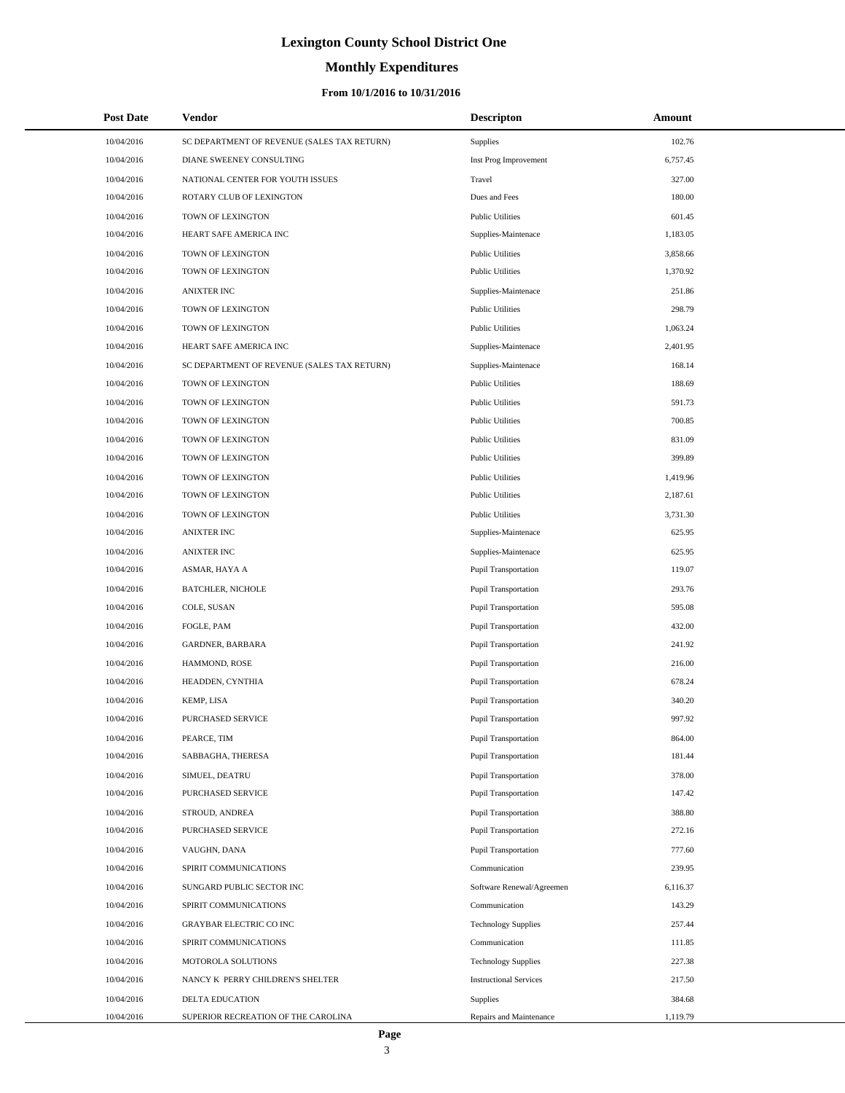# **Monthly Expenditures**

### **From 10/1/2016 to 10/31/2016**

| <b>Post Date</b> | <b>Vendor</b>                               | <b>Descripton</b>             | Amount   |  |
|------------------|---------------------------------------------|-------------------------------|----------|--|
| 10/04/2016       | SC DEPARTMENT OF REVENUE (SALES TAX RETURN) | <b>Supplies</b>               | 102.76   |  |
| 10/04/2016       | DIANE SWEENEY CONSULTING                    | Inst Prog Improvement         | 6,757.45 |  |
| 10/04/2016       | NATIONAL CENTER FOR YOUTH ISSUES            | Travel                        | 327.00   |  |
| 10/04/2016       | ROTARY CLUB OF LEXINGTON                    | Dues and Fees                 | 180.00   |  |
| 10/04/2016       | TOWN OF LEXINGTON                           | <b>Public Utilities</b>       | 601.45   |  |
| 10/04/2016       | HEART SAFE AMERICA INC                      | Supplies-Maintenace           | 1,183.05 |  |
| 10/04/2016       | TOWN OF LEXINGTON                           | <b>Public Utilities</b>       | 3,858.66 |  |
| 10/04/2016       | TOWN OF LEXINGTON                           | <b>Public Utilities</b>       | 1,370.92 |  |
| 10/04/2016       | <b>ANIXTER INC</b>                          | Supplies-Maintenace           | 251.86   |  |
| 10/04/2016       | TOWN OF LEXINGTON                           | <b>Public Utilities</b>       | 298.79   |  |
| 10/04/2016       | TOWN OF LEXINGTON                           | <b>Public Utilities</b>       | 1,063.24 |  |
| 10/04/2016       | HEART SAFE AMERICA INC                      | Supplies-Maintenace           | 2,401.95 |  |
| 10/04/2016       | SC DEPARTMENT OF REVENUE (SALES TAX RETURN) | Supplies-Maintenace           | 168.14   |  |
| 10/04/2016       | TOWN OF LEXINGTON                           | <b>Public Utilities</b>       | 188.69   |  |
| 10/04/2016       | TOWN OF LEXINGTON                           | <b>Public Utilities</b>       | 591.73   |  |
| 10/04/2016       | TOWN OF LEXINGTON                           | <b>Public Utilities</b>       | 700.85   |  |
| 10/04/2016       | TOWN OF LEXINGTON                           | <b>Public Utilities</b>       | 831.09   |  |
| 10/04/2016       | TOWN OF LEXINGTON                           | <b>Public Utilities</b>       | 399.89   |  |
| 10/04/2016       | TOWN OF LEXINGTON                           | <b>Public Utilities</b>       | 1,419.96 |  |
| 10/04/2016       | TOWN OF LEXINGTON                           | <b>Public Utilities</b>       | 2,187.61 |  |
| 10/04/2016       | TOWN OF LEXINGTON                           | <b>Public Utilities</b>       | 3,731.30 |  |
| 10/04/2016       | <b>ANIXTER INC</b>                          | Supplies-Maintenace           | 625.95   |  |
| 10/04/2016       | <b>ANIXTER INC</b>                          | Supplies-Maintenace           | 625.95   |  |
| 10/04/2016       | ASMAR, HAYA A                               | Pupil Transportation          | 119.07   |  |
| 10/04/2016       | <b>BATCHLER, NICHOLE</b>                    | Pupil Transportation          | 293.76   |  |
| 10/04/2016       | COLE, SUSAN                                 | Pupil Transportation          | 595.08   |  |
| 10/04/2016       | FOGLE, PAM                                  | Pupil Transportation          | 432.00   |  |
| 10/04/2016       | GARDNER, BARBARA                            | <b>Pupil Transportation</b>   | 241.92   |  |
| 10/04/2016       | HAMMOND, ROSE                               | Pupil Transportation          | 216.00   |  |
| 10/04/2016       | HEADDEN, CYNTHIA                            | Pupil Transportation          | 678.24   |  |
| 10/04/2016       | KEMP, LISA                                  | Pupil Transportation          | 340.20   |  |
| 10/04/2016       | PURCHASED SERVICE                           | <b>Pupil Transportation</b>   | 997.92   |  |
| 10/04/2016       | PEARCE, TIM                                 | Pupil Transportation          | 864.00   |  |
| 10/04/2016       | SABBAGHA, THERESA                           | Pupil Transportation          | 181.44   |  |
| 10/04/2016       | SIMUEL, DEATRU                              | Pupil Transportation          | 378.00   |  |
| 10/04/2016       | <b>PURCHASED SERVICE</b>                    | Pupil Transportation          | 147.42   |  |
| 10/04/2016       | STROUD, ANDREA                              | Pupil Transportation          | 388.80   |  |
| 10/04/2016       | PURCHASED SERVICE                           | Pupil Transportation          | 272.16   |  |
| 10/04/2016       | VAUGHN, DANA                                | Pupil Transportation          | 777.60   |  |
| 10/04/2016       | SPIRIT COMMUNICATIONS                       | Communication                 | 239.95   |  |
| 10/04/2016       | SUNGARD PUBLIC SECTOR INC                   | Software Renewal/Agreemen     | 6,116.37 |  |
| 10/04/2016       | SPIRIT COMMUNICATIONS                       | Communication                 | 143.29   |  |
| 10/04/2016       | GRAYBAR ELECTRIC CO INC                     | <b>Technology Supplies</b>    | 257.44   |  |
| 10/04/2016       | SPIRIT COMMUNICATIONS                       | Communication                 | 111.85   |  |
| 10/04/2016       | MOTOROLA SOLUTIONS                          | <b>Technology Supplies</b>    | 227.38   |  |
| 10/04/2016       | NANCY K PERRY CHILDREN'S SHELTER            | <b>Instructional Services</b> | 217.50   |  |
| 10/04/2016       | DELTA EDUCATION                             | Supplies                      | 384.68   |  |
| 10/04/2016       | SUPERIOR RECREATION OF THE CAROLINA         | Repairs and Maintenance       | 1,119.79 |  |

 $\overline{a}$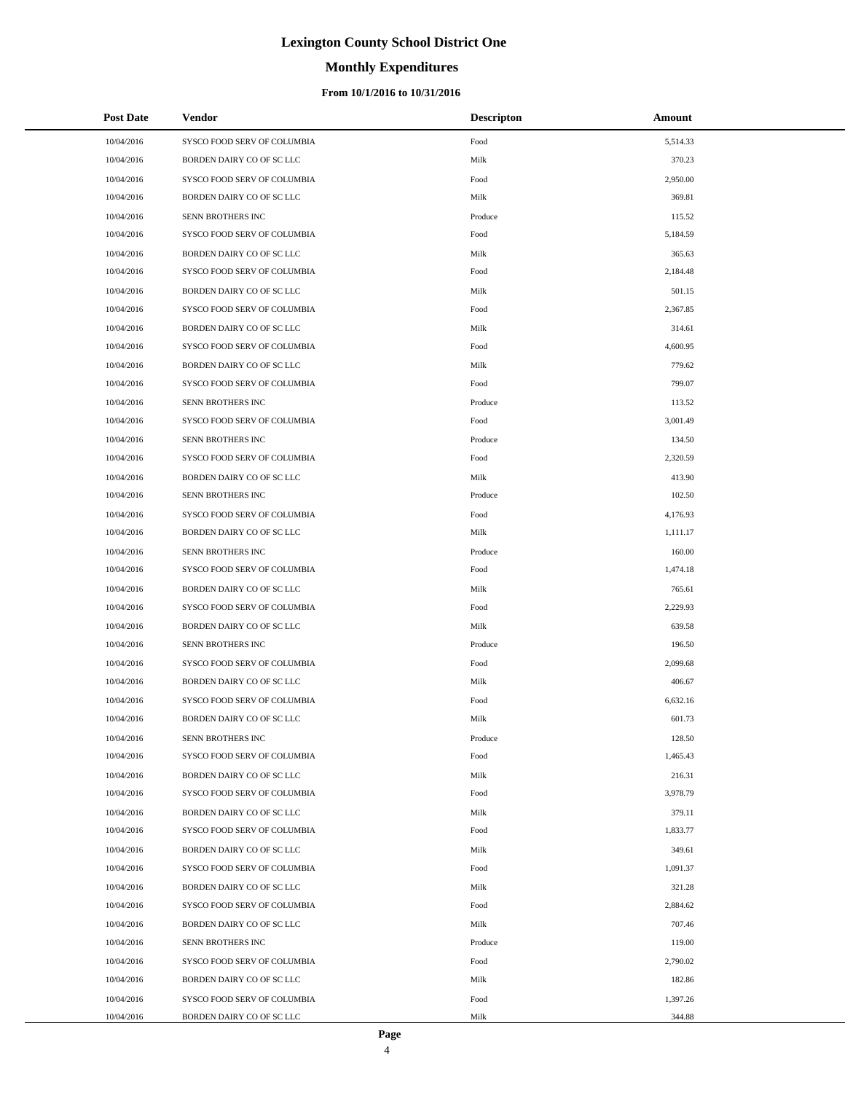## **Monthly Expenditures**

### **From 10/1/2016 to 10/31/2016**

| <b>Post Date</b> | Vendor                      | <b>Descripton</b> | Amount   |
|------------------|-----------------------------|-------------------|----------|
| 10/04/2016       | SYSCO FOOD SERV OF COLUMBIA | Food              | 5,514.33 |
| 10/04/2016       | BORDEN DAIRY CO OF SC LLC   | Milk              | 370.23   |
| 10/04/2016       | SYSCO FOOD SERV OF COLUMBIA | Food              | 2,950.00 |
| 10/04/2016       | BORDEN DAIRY CO OF SC LLC   | Milk              | 369.81   |
| 10/04/2016       | SENN BROTHERS INC           | Produce           | 115.52   |
| 10/04/2016       | SYSCO FOOD SERV OF COLUMBIA | Food              | 5,184.59 |
| 10/04/2016       | BORDEN DAIRY CO OF SC LLC   | Milk              | 365.63   |
| 10/04/2016       | SYSCO FOOD SERV OF COLUMBIA | Food              | 2,184.48 |
| 10/04/2016       | BORDEN DAIRY CO OF SC LLC   | Milk              | 501.15   |
| 10/04/2016       | SYSCO FOOD SERV OF COLUMBIA | Food              | 2,367.85 |
| 10/04/2016       | BORDEN DAIRY CO OF SC LLC   | Milk              | 314.61   |
| 10/04/2016       | SYSCO FOOD SERV OF COLUMBIA | Food              | 4,600.95 |
| 10/04/2016       | BORDEN DAIRY CO OF SC LLC   | Milk              | 779.62   |
| 10/04/2016       | SYSCO FOOD SERV OF COLUMBIA | Food              | 799.07   |
| 10/04/2016       | <b>SENN BROTHERS INC</b>    | Produce           | 113.52   |
| 10/04/2016       | SYSCO FOOD SERV OF COLUMBIA | Food              | 3,001.49 |
| 10/04/2016       | SENN BROTHERS INC           | Produce           | 134.50   |
| 10/04/2016       | SYSCO FOOD SERV OF COLUMBIA | Food              | 2,320.59 |
| 10/04/2016       | BORDEN DAIRY CO OF SC LLC   | Milk              | 413.90   |
| 10/04/2016       | SENN BROTHERS INC           | Produce           | 102.50   |
| 10/04/2016       | SYSCO FOOD SERV OF COLUMBIA | Food              | 4,176.93 |
| 10/04/2016       | BORDEN DAIRY CO OF SC LLC   | Milk              | 1,111.17 |
| 10/04/2016       | SENN BROTHERS INC           | Produce           | 160.00   |
| 10/04/2016       | SYSCO FOOD SERV OF COLUMBIA | Food              | 1,474.18 |
| 10/04/2016       | BORDEN DAIRY CO OF SC LLC   | Milk              | 765.61   |
| 10/04/2016       | SYSCO FOOD SERV OF COLUMBIA | Food              | 2,229.93 |
| 10/04/2016       | BORDEN DAIRY CO OF SC LLC   | Milk              | 639.58   |
| 10/04/2016       | SENN BROTHERS INC           | Produce           | 196.50   |
| 10/04/2016       | SYSCO FOOD SERV OF COLUMBIA | Food              | 2,099.68 |
| 10/04/2016       | BORDEN DAIRY CO OF SC LLC   | Milk              | 406.67   |
| 10/04/2016       | SYSCO FOOD SERV OF COLUMBIA | Food              | 6,632.16 |
| 10/04/2016       | BORDEN DAIRY CO OF SC LLC   | Milk              | 601.73   |
| 10/04/2016       | SENN BROTHERS INC           | Produce           | 128.50   |
| 10/04/2016       | SYSCO FOOD SERV OF COLUMBIA | Food              | 1,465.43 |
| 10/04/2016       | BORDEN DAIRY CO OF SC LLC   | Milk              | 216.31   |
| 10/04/2016       | SYSCO FOOD SERV OF COLUMBIA | Food              | 3,978.79 |
| 10/04/2016       | BORDEN DAIRY CO OF SC LLC   | Milk              | 379.11   |
| 10/04/2016       | SYSCO FOOD SERV OF COLUMBIA | Food              | 1,833.77 |
| 10/04/2016       | BORDEN DAIRY CO OF SC LLC   | Milk              | 349.61   |
| 10/04/2016       | SYSCO FOOD SERV OF COLUMBIA | Food              | 1.091.37 |
| 10/04/2016       | BORDEN DAIRY CO OF SC LLC   | Milk              | 321.28   |
| 10/04/2016       | SYSCO FOOD SERV OF COLUMBIA | Food              | 2,884.62 |
| 10/04/2016       | BORDEN DAIRY CO OF SC LLC   | Milk              | 707.46   |
| 10/04/2016       | SENN BROTHERS INC           | Produce           | 119.00   |
| 10/04/2016       | SYSCO FOOD SERV OF COLUMBIA | Food              | 2,790.02 |
| 10/04/2016       | BORDEN DAIRY CO OF SC LLC   | Milk              | 182.86   |
| 10/04/2016       | SYSCO FOOD SERV OF COLUMBIA | Food              | 1,397.26 |
| 10/04/2016       | BORDEN DAIRY CO OF SC LLC   | Milk              | 344.88   |

L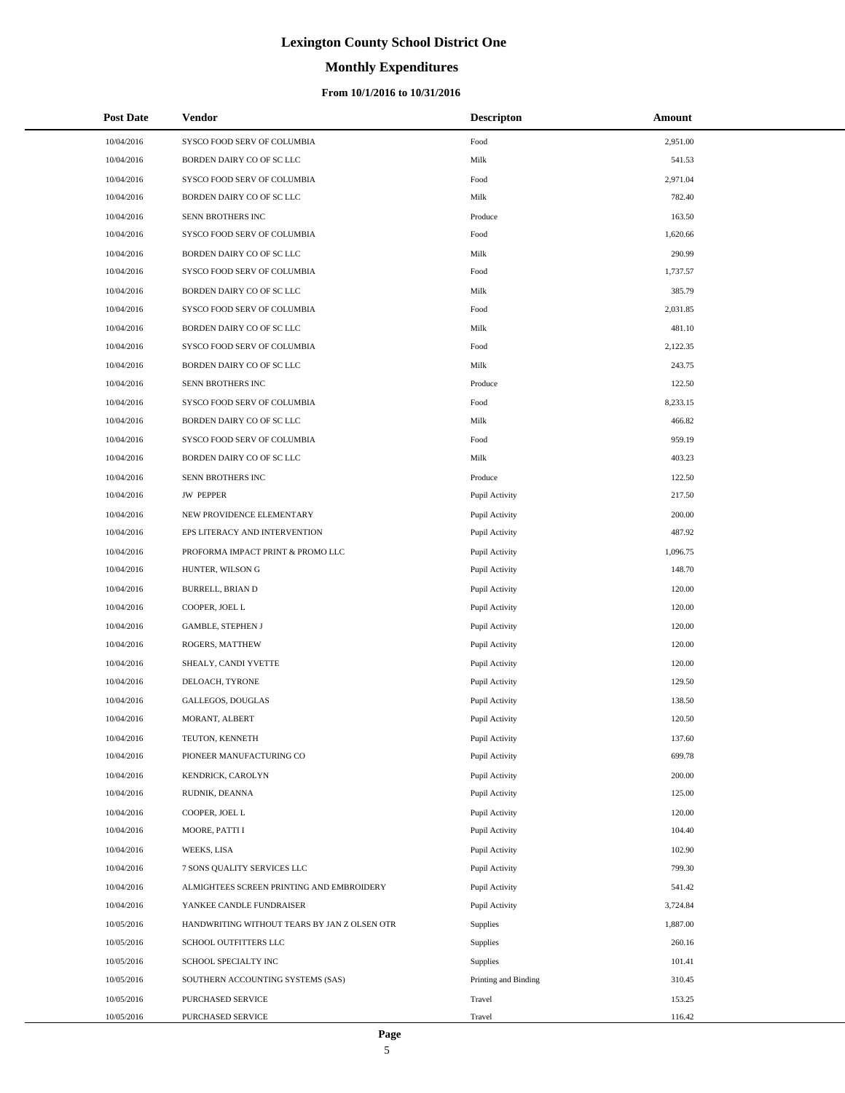## **Monthly Expenditures**

| <b>Post Date</b> | Vendor                                       | <b>Descripton</b>    | Amount   |
|------------------|----------------------------------------------|----------------------|----------|
| 10/04/2016       | SYSCO FOOD SERV OF COLUMBIA                  | Food                 | 2,951.00 |
| 10/04/2016       | BORDEN DAIRY CO OF SC LLC                    | Milk                 | 541.53   |
| 10/04/2016       | SYSCO FOOD SERV OF COLUMBIA                  | Food                 | 2,971.04 |
| 10/04/2016       | BORDEN DAIRY CO OF SC LLC                    | Milk                 | 782.40   |
| 10/04/2016       | SENN BROTHERS INC                            | Produce              | 163.50   |
| 10/04/2016       | SYSCO FOOD SERV OF COLUMBIA                  | Food                 | 1,620.66 |
| 10/04/2016       | BORDEN DAIRY CO OF SC LLC                    | Milk                 | 290.99   |
| 10/04/2016       | SYSCO FOOD SERV OF COLUMBIA                  | Food                 | 1,737.57 |
| 10/04/2016       | BORDEN DAIRY CO OF SC LLC                    | Milk                 | 385.79   |
| 10/04/2016       | SYSCO FOOD SERV OF COLUMBIA                  | Food                 | 2,031.85 |
| 10/04/2016       | BORDEN DAIRY CO OF SC LLC                    | Milk                 | 481.10   |
| 10/04/2016       | SYSCO FOOD SERV OF COLUMBIA                  | Food                 | 2,122.35 |
| 10/04/2016       | BORDEN DAIRY CO OF SC LLC                    | Milk                 | 243.75   |
| 10/04/2016       | SENN BROTHERS INC                            | Produce              | 122.50   |
| 10/04/2016       | SYSCO FOOD SERV OF COLUMBIA                  | Food                 | 8,233.15 |
| 10/04/2016       | BORDEN DAIRY CO OF SC LLC                    | Milk                 | 466.82   |
| 10/04/2016       | SYSCO FOOD SERV OF COLUMBIA                  | Food                 | 959.19   |
| 10/04/2016       | BORDEN DAIRY CO OF SC LLC                    | Milk                 | 403.23   |
| 10/04/2016       | SENN BROTHERS INC                            | Produce              | 122.50   |
| 10/04/2016       | <b>JW PEPPER</b>                             | Pupil Activity       | 217.50   |
| 10/04/2016       | NEW PROVIDENCE ELEMENTARY                    | Pupil Activity       | 200.00   |
| 10/04/2016       | EPS LITERACY AND INTERVENTION                | Pupil Activity       | 487.92   |
| 10/04/2016       | PROFORMA IMPACT PRINT & PROMO LLC            | Pupil Activity       | 1,096.75 |
| 10/04/2016       | HUNTER, WILSON G                             | Pupil Activity       | 148.70   |
| 10/04/2016       | <b>BURRELL, BRIAN D</b>                      | Pupil Activity       | 120.00   |
| 10/04/2016       | COOPER, JOEL L                               | Pupil Activity       | 120.00   |
| 10/04/2016       | <b>GAMBLE, STEPHEN J</b>                     | Pupil Activity       | 120.00   |
| 10/04/2016       | ROGERS, MATTHEW                              | Pupil Activity       | 120.00   |
| 10/04/2016       | SHEALY, CANDI YVETTE                         | Pupil Activity       | 120.00   |
| 10/04/2016       | DELOACH, TYRONE                              | Pupil Activity       | 129.50   |
| 10/04/2016       | GALLEGOS, DOUGLAS                            | Pupil Activity       | 138.50   |
| 10/04/2016       | MORANT, ALBERT                               | Pupil Activity       | 120.50   |
| 10/04/2016       | TEUTON, KENNETH                              | Pupil Activity       | 137.60   |
| 10/04/2016       | PIONEER MANUFACTURING CO                     | Pupil Activity       | 699.78   |
| 10/04/2016       | KENDRICK, CAROLYN                            | Pupil Activity       | 200.00   |
| 10/04/2016       | RUDNIK, DEANNA                               | Pupil Activity       | 125.00   |
| 10/04/2016       | COOPER, JOEL L                               | Pupil Activity       | 120.00   |
| 10/04/2016       | MOORE, PATTI I                               | Pupil Activity       | 104.40   |
| 10/04/2016       | WEEKS, LISA                                  | Pupil Activity       | 102.90   |
| 10/04/2016       | 7 SONS QUALITY SERVICES LLC                  | Pupil Activity       | 799.30   |
| 10/04/2016       | ALMIGHTEES SCREEN PRINTING AND EMBROIDERY    | Pupil Activity       | 541.42   |
| 10/04/2016       | YANKEE CANDLE FUNDRAISER                     | Pupil Activity       | 3,724.84 |
| 10/05/2016       | HANDWRITING WITHOUT TEARS BY JAN Z OLSEN OTR | Supplies             | 1,887.00 |
| 10/05/2016       | SCHOOL OUTFITTERS LLC                        | Supplies             | 260.16   |
| 10/05/2016       | SCHOOL SPECIALTY INC                         | Supplies             | 101.41   |
| 10/05/2016       | SOUTHERN ACCOUNTING SYSTEMS (SAS)            | Printing and Binding | 310.45   |
| 10/05/2016       | PURCHASED SERVICE                            | Travel               | 153.25   |
| 10/05/2016       | PURCHASED SERVICE                            | Travel               | 116.42   |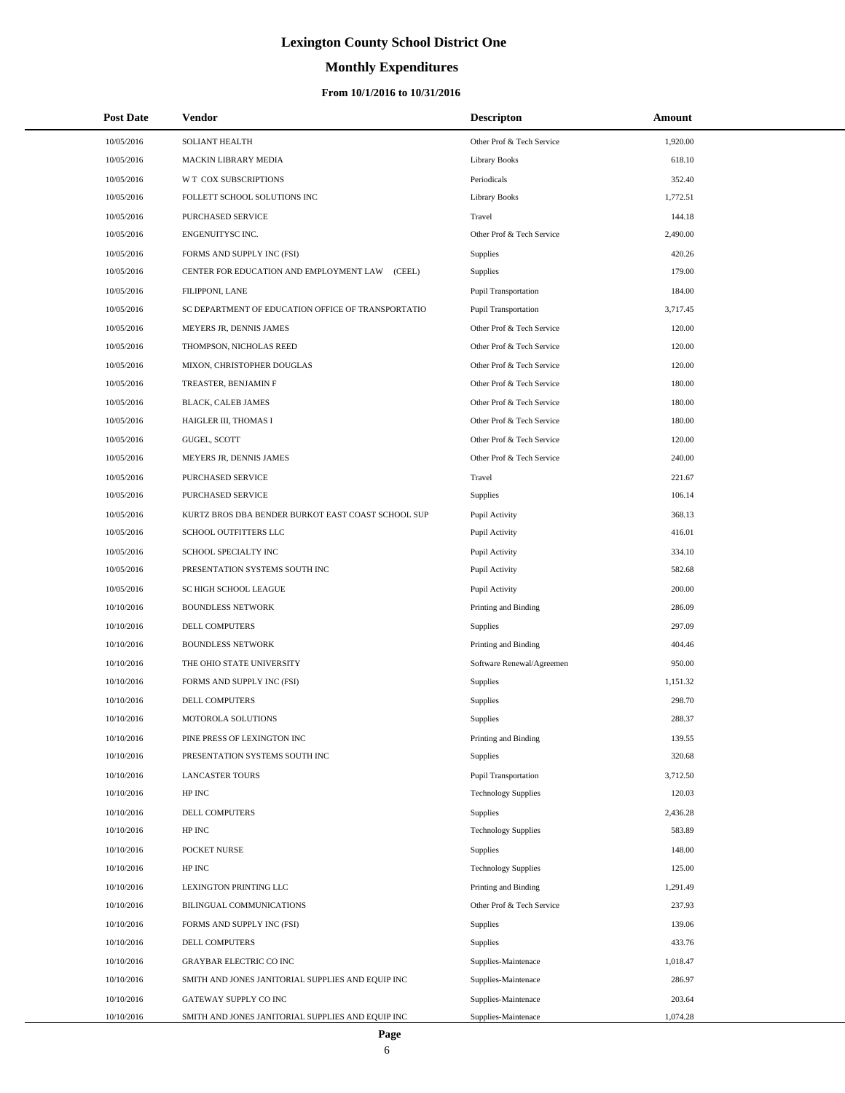# **Monthly Expenditures**

| <b>Post Date</b>         | Vendor                                                                              | <b>Descripton</b>                          | Amount             |  |
|--------------------------|-------------------------------------------------------------------------------------|--------------------------------------------|--------------------|--|
| 10/05/2016               | <b>SOLIANT HEALTH</b>                                                               | Other Prof & Tech Service                  | 1,920.00           |  |
| 10/05/2016               | MACKIN LIBRARY MEDIA                                                                | <b>Library Books</b>                       | 618.10             |  |
| 10/05/2016               | W T COX SUBSCRIPTIONS                                                               | Periodicals                                | 352.40             |  |
| 10/05/2016               | FOLLETT SCHOOL SOLUTIONS INC                                                        | <b>Library Books</b>                       | 1.772.51           |  |
| 10/05/2016               | PURCHASED SERVICE                                                                   | Travel                                     | 144.18             |  |
| 10/05/2016               | ENGENUITYSC INC.                                                                    | Other Prof & Tech Service                  | 2,490.00           |  |
| 10/05/2016               | FORMS AND SUPPLY INC (FSI)                                                          | Supplies                                   | 420.26             |  |
| 10/05/2016               | CENTER FOR EDUCATION AND EMPLOYMENT LAW (CEEL)                                      | Supplies                                   | 179.00             |  |
| 10/05/2016               | FILIPPONI, LANE                                                                     | <b>Pupil Transportation</b>                | 184.00             |  |
| 10/05/2016               | SC DEPARTMENT OF EDUCATION OFFICE OF TRANSPORTATIO                                  | Pupil Transportation                       | 3,717.45           |  |
| 10/05/2016               | MEYERS JR, DENNIS JAMES                                                             | Other Prof & Tech Service                  | 120.00             |  |
| 10/05/2016               | THOMPSON, NICHOLAS REED                                                             | Other Prof & Tech Service                  | 120.00             |  |
| 10/05/2016               | MIXON, CHRISTOPHER DOUGLAS                                                          | Other Prof & Tech Service                  | 120.00             |  |
| 10/05/2016               | TREASTER, BENJAMIN F                                                                | Other Prof & Tech Service                  | 180.00             |  |
| 10/05/2016               | BLACK, CALEB JAMES                                                                  | Other Prof & Tech Service                  | 180.00             |  |
| 10/05/2016               | HAIGLER III, THOMAS I                                                               | Other Prof & Tech Service                  | 180.00             |  |
| 10/05/2016               | GUGEL, SCOTT                                                                        | Other Prof & Tech Service                  | 120.00             |  |
| 10/05/2016               | MEYERS JR, DENNIS JAMES                                                             | Other Prof & Tech Service                  | 240.00             |  |
| 10/05/2016               | PURCHASED SERVICE                                                                   | Travel                                     | 221.67             |  |
| 10/05/2016               | PURCHASED SERVICE                                                                   | Supplies                                   | 106.14             |  |
| 10/05/2016               | KURTZ BROS DBA BENDER BURKOT EAST COAST SCHOOL SUP                                  | Pupil Activity                             | 368.13             |  |
| 10/05/2016               | SCHOOL OUTFITTERS LLC                                                               | Pupil Activity                             | 416.01             |  |
| 10/05/2016               | SCHOOL SPECIALTY INC                                                                | Pupil Activity                             | 334.10             |  |
| 10/05/2016               | PRESENTATION SYSTEMS SOUTH INC                                                      | Pupil Activity                             | 582.68             |  |
| 10/05/2016               | SC HIGH SCHOOL LEAGUE                                                               | Pupil Activity                             | 200.00             |  |
| 10/10/2016               | <b>BOUNDLESS NETWORK</b>                                                            | Printing and Binding                       | 286.09             |  |
| 10/10/2016               | DELL COMPUTERS                                                                      | Supplies                                   | 297.09             |  |
| 10/10/2016               | <b>BOUNDLESS NETWORK</b>                                                            | Printing and Binding                       | 404.46             |  |
| 10/10/2016               | THE OHIO STATE UNIVERSITY                                                           | Software Renewal/Agreemen                  | 950.00             |  |
| 10/10/2016               | FORMS AND SUPPLY INC (FSI)                                                          | Supplies                                   | 1,151.32           |  |
| 10/10/2016               | DELL COMPUTERS                                                                      | Supplies                                   | 298.70             |  |
| 10/10/2016               | MOTOROLA SOLUTIONS                                                                  | Supplies                                   | 288.37             |  |
| 10/10/2016               | PINE PRESS OF LEXINGTON INC                                                         | Printing and Binding                       | 139.55             |  |
| 10/10/2016               | PRESENTATION SYSTEMS SOUTH INC                                                      | Supplies                                   | 320.68             |  |
| 10/10/2016               | <b>LANCASTER TOURS</b>                                                              | Pupil Transportation                       | 3,712.50           |  |
| 10/10/2016               | HP INC                                                                              | <b>Technology Supplies</b>                 | 120.03             |  |
| 10/10/2016               | DELL COMPUTERS                                                                      | <b>Supplies</b>                            | 2,436.28           |  |
| 10/10/2016               | HP INC                                                                              | <b>Technology Supplies</b>                 | 583.89             |  |
| 10/10/2016               | POCKET NURSE                                                                        | Supplies                                   | 148.00             |  |
| 10/10/2016               | HP INC                                                                              | <b>Technology Supplies</b>                 | 125.00             |  |
| 10/10/2016               | <b>LEXINGTON PRINTING LLC</b>                                                       | Printing and Binding                       | 1,291.49           |  |
| 10/10/2016               | BILINGUAL COMMUNICATIONS                                                            | Other Prof & Tech Service                  | 237.93             |  |
| 10/10/2016               | FORMS AND SUPPLY INC (FSI)                                                          | Supplies                                   | 139.06             |  |
| 10/10/2016               | DELL COMPUTERS                                                                      | Supplies                                   | 433.76             |  |
| 10/10/2016<br>10/10/2016 | <b>GRAYBAR ELECTRIC CO INC</b><br>SMITH AND JONES JANITORIAL SUPPLIES AND EQUIP INC | Supplies-Maintenace<br>Supplies-Maintenace | 1,018.47<br>286.97 |  |
| 10/10/2016               | GATEWAY SUPPLY CO INC                                                               |                                            | 203.64             |  |
| 10/10/2016               | SMITH AND JONES JANITORIAL SUPPLIES AND EQUIP INC                                   | Supplies-Maintenace<br>Supplies-Maintenace | 1,074.28           |  |
|                          |                                                                                     |                                            |                    |  |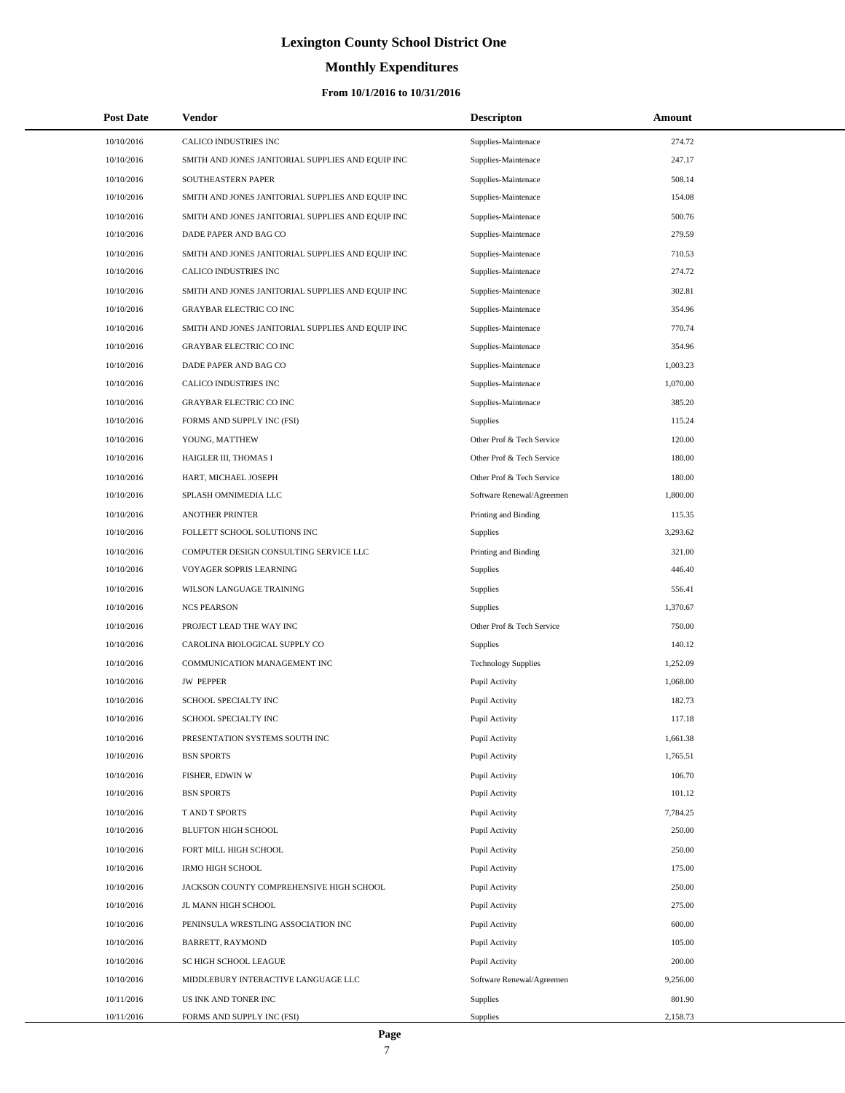# **Monthly Expenditures**

| <b>Post Date</b> | Vendor                                            | <b>Descripton</b>          | Amount   |  |
|------------------|---------------------------------------------------|----------------------------|----------|--|
| 10/10/2016       | CALICO INDUSTRIES INC                             | Supplies-Maintenace        | 274.72   |  |
| 10/10/2016       | SMITH AND JONES JANITORIAL SUPPLIES AND EQUIP INC | Supplies-Maintenace        | 247.17   |  |
| 10/10/2016       | SOUTHEASTERN PAPER                                | Supplies-Maintenace        | 508.14   |  |
| 10/10/2016       | SMITH AND JONES JANITORIAL SUPPLIES AND EQUIP INC | Supplies-Maintenace        | 154.08   |  |
| 10/10/2016       | SMITH AND JONES JANITORIAL SUPPLIES AND EQUIP INC | Supplies-Maintenace        | 500.76   |  |
| 10/10/2016       | DADE PAPER AND BAG CO                             | Supplies-Maintenace        | 279.59   |  |
| 10/10/2016       | SMITH AND JONES JANITORIAL SUPPLIES AND EQUIP INC | Supplies-Maintenace        | 710.53   |  |
| 10/10/2016       | CALICO INDUSTRIES INC                             | Supplies-Maintenace        | 274.72   |  |
| 10/10/2016       | SMITH AND JONES JANITORIAL SUPPLIES AND EQUIP INC | Supplies-Maintenace        | 302.81   |  |
| 10/10/2016       | <b>GRAYBAR ELECTRIC CO INC</b>                    | Supplies-Maintenace        | 354.96   |  |
| 10/10/2016       | SMITH AND JONES JANITORIAL SUPPLIES AND EQUIP INC | Supplies-Maintenace        | 770.74   |  |
| 10/10/2016       | <b>GRAYBAR ELECTRIC CO INC</b>                    | Supplies-Maintenace        | 354.96   |  |
| 10/10/2016       | DADE PAPER AND BAG CO                             | Supplies-Maintenace        | 1,003.23 |  |
| 10/10/2016       | CALICO INDUSTRIES INC                             | Supplies-Maintenace        | 1,070.00 |  |
| 10/10/2016       | <b>GRAYBAR ELECTRIC CO INC</b>                    | Supplies-Maintenace        | 385.20   |  |
| 10/10/2016       | FORMS AND SUPPLY INC (FSI)                        | Supplies                   | 115.24   |  |
| 10/10/2016       | YOUNG, MATTHEW                                    | Other Prof & Tech Service  | 120.00   |  |
| 10/10/2016       | HAIGLER III, THOMAS I                             | Other Prof & Tech Service  | 180.00   |  |
| 10/10/2016       | HART, MICHAEL JOSEPH                              | Other Prof & Tech Service  | 180.00   |  |
| 10/10/2016       | SPLASH OMNIMEDIA LLC                              | Software Renewal/Agreemen  | 1,800.00 |  |
| 10/10/2016       | <b>ANOTHER PRINTER</b>                            | Printing and Binding       | 115.35   |  |
| 10/10/2016       | FOLLETT SCHOOL SOLUTIONS INC                      | Supplies                   | 3,293.62 |  |
| 10/10/2016       | COMPUTER DESIGN CONSULTING SERVICE LLC            | Printing and Binding       | 321.00   |  |
| 10/10/2016       | VOYAGER SOPRIS LEARNING                           | Supplies                   | 446.40   |  |
| 10/10/2016       | WILSON LANGUAGE TRAINING                          | Supplies                   | 556.41   |  |
| 10/10/2016       | <b>NCS PEARSON</b>                                | Supplies                   | 1,370.67 |  |
| 10/10/2016       | PROJECT LEAD THE WAY INC                          | Other Prof & Tech Service  | 750.00   |  |
| 10/10/2016       | CAROLINA BIOLOGICAL SUPPLY CO                     | <b>Supplies</b>            | 140.12   |  |
| 10/10/2016       | COMMUNICATION MANAGEMENT INC                      | <b>Technology Supplies</b> | 1,252.09 |  |
| 10/10/2016       | <b>JW PEPPER</b>                                  | Pupil Activity             | 1,068.00 |  |
| 10/10/2016       | SCHOOL SPECIALTY INC                              | Pupil Activity             | 182.73   |  |
| 10/10/2016       | SCHOOL SPECIALTY INC                              | Pupil Activity             | 117.18   |  |
| 10/10/2016       | PRESENTATION SYSTEMS SOUTH INC                    | Pupil Activity             | 1,661.38 |  |
| 10/10/2016       | <b>BSN SPORTS</b>                                 | Pupil Activity             | 1,765.51 |  |
| 10/10/2016       | FISHER, EDWIN W                                   | Pupil Activity             | 106.70   |  |
| 10/10/2016       | <b>BSN SPORTS</b>                                 | Pupil Activity             | 101.12   |  |
| 10/10/2016       | T AND T SPORTS                                    | Pupil Activity             | 7,784.25 |  |
| 10/10/2016       | BLUFTON HIGH SCHOOL                               | Pupil Activity             | 250.00   |  |
| 10/10/2016       | FORT MILL HIGH SCHOOL                             | Pupil Activity             | 250.00   |  |
| 10/10/2016       | <b>IRMO HIGH SCHOOL</b>                           | Pupil Activity             | 175.00   |  |
| 10/10/2016       | JACKSON COUNTY COMPREHENSIVE HIGH SCHOOL          | Pupil Activity             | 250.00   |  |
| 10/10/2016       | JL MANN HIGH SCHOOL                               | Pupil Activity             | 275.00   |  |
| 10/10/2016       | PENINSULA WRESTLING ASSOCIATION INC               | Pupil Activity             | 600.00   |  |
| 10/10/2016       | BARRETT, RAYMOND                                  | Pupil Activity             | 105.00   |  |
| 10/10/2016       | SC HIGH SCHOOL LEAGUE                             | Pupil Activity             | 200.00   |  |
| 10/10/2016       | MIDDLEBURY INTERACTIVE LANGUAGE LLC               | Software Renewal/Agreemen  | 9,256.00 |  |
| 10/11/2016       | US INK AND TONER INC                              | <b>Supplies</b>            | 801.90   |  |
| 10/11/2016       | FORMS AND SUPPLY INC (FSI)                        | Supplies                   | 2,158.73 |  |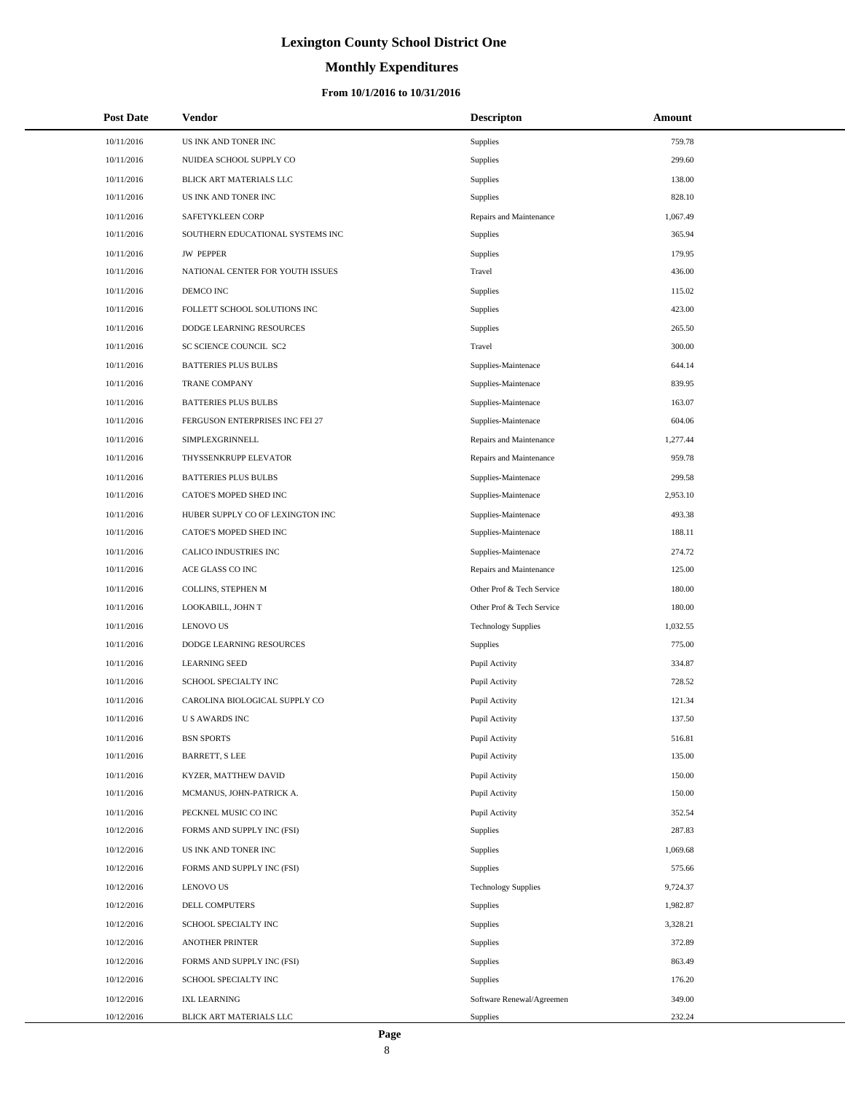## **Monthly Expenditures**

| <b>Post Date</b> | Vendor                           | <b>Descripton</b>          | Amount   |
|------------------|----------------------------------|----------------------------|----------|
| 10/11/2016       | US INK AND TONER INC             | Supplies                   | 759.78   |
| 10/11/2016       | NUIDEA SCHOOL SUPPLY CO          | Supplies                   | 299.60   |
| 10/11/2016       | BLICK ART MATERIALS LLC          | Supplies                   | 138.00   |
| 10/11/2016       | US INK AND TONER INC             | Supplies                   | 828.10   |
| 10/11/2016       | SAFETYKLEEN CORP                 | Repairs and Maintenance    | 1,067.49 |
| 10/11/2016       | SOUTHERN EDUCATIONAL SYSTEMS INC | Supplies                   | 365.94   |
| 10/11/2016       | <b>JW PEPPER</b>                 | Supplies                   | 179.95   |
| 10/11/2016       | NATIONAL CENTER FOR YOUTH ISSUES | Travel                     | 436.00   |
| 10/11/2016       | DEMCO INC                        | Supplies                   | 115.02   |
| 10/11/2016       | FOLLETT SCHOOL SOLUTIONS INC     | Supplies                   | 423.00   |
| 10/11/2016       | DODGE LEARNING RESOURCES         | Supplies                   | 265.50   |
| 10/11/2016       | SC SCIENCE COUNCIL SC2           | Travel                     | 300.00   |
| 10/11/2016       | <b>BATTERIES PLUS BULBS</b>      | Supplies-Maintenace        | 644.14   |
| 10/11/2016       | <b>TRANE COMPANY</b>             | Supplies-Maintenace        | 839.95   |
| 10/11/2016       | <b>BATTERIES PLUS BULBS</b>      | Supplies-Maintenace        | 163.07   |
| 10/11/2016       | FERGUSON ENTERPRISES INC FEI 27  | Supplies-Maintenace        | 604.06   |
| 10/11/2016       | SIMPLEXGRINNELL                  | Repairs and Maintenance    | 1,277.44 |
| 10/11/2016       | THYSSENKRUPP ELEVATOR            | Repairs and Maintenance    | 959.78   |
| 10/11/2016       | <b>BATTERIES PLUS BULBS</b>      | Supplies-Maintenace        | 299.58   |
| 10/11/2016       | CATOE'S MOPED SHED INC           | Supplies-Maintenace        | 2,953.10 |
| 10/11/2016       | HUBER SUPPLY CO OF LEXINGTON INC | Supplies-Maintenace        | 493.38   |
| 10/11/2016       | CATOE'S MOPED SHED INC           | Supplies-Maintenace        | 188.11   |
| 10/11/2016       | CALICO INDUSTRIES INC            | Supplies-Maintenace        | 274.72   |
| 10/11/2016       | ACE GLASS CO INC                 | Repairs and Maintenance    | 125.00   |
| 10/11/2016       | COLLINS, STEPHEN M               | Other Prof & Tech Service  | 180.00   |
| 10/11/2016       | LOOKABILL, JOHN T                | Other Prof & Tech Service  | 180.00   |
| 10/11/2016       | <b>LENOVO US</b>                 | <b>Technology Supplies</b> | 1,032.55 |
| 10/11/2016       | DODGE LEARNING RESOURCES         | Supplies                   | 775.00   |
| 10/11/2016       | <b>LEARNING SEED</b>             | Pupil Activity             | 334.87   |
| 10/11/2016       | SCHOOL SPECIALTY INC             | Pupil Activity             | 728.52   |
| 10/11/2016       | CAROLINA BIOLOGICAL SUPPLY CO    | Pupil Activity             | 121.34   |
| 10/11/2016       | <b>US AWARDS INC</b>             | Pupil Activity             | 137.50   |
| 10/11/2016       | <b>BSN SPORTS</b>                | Pupil Activity             | 516.81   |
| 10/11/2016       | BARRETT, S LEE                   | Pupil Activity             | 135.00   |
| 10/11/2016       | KYZER, MATTHEW DAVID             | Pupil Activity             | 150.00   |
| 10/11/2016       | MCMANUS, JOHN-PATRICK A.         | Pupil Activity             | 150.00   |
| 10/11/2016       | PECKNEL MUSIC CO INC             | Pupil Activity             | 352.54   |
| 10/12/2016       | FORMS AND SUPPLY INC (FSI)       | Supplies                   | 287.83   |
| 10/12/2016       | US INK AND TONER INC             | Supplies                   | 1,069.68 |
| 10/12/2016       | FORMS AND SUPPLY INC (FSI)       | Supplies                   | 575.66   |
| 10/12/2016       | <b>LENOVO US</b>                 | <b>Technology Supplies</b> | 9,724.37 |
| 10/12/2016       | DELL COMPUTERS                   | Supplies                   | 1,982.87 |
| 10/12/2016       | SCHOOL SPECIALTY INC             | Supplies                   | 3,328.21 |
| 10/12/2016       | ANOTHER PRINTER                  | Supplies                   | 372.89   |
| 10/12/2016       | FORMS AND SUPPLY INC (FSI)       | Supplies                   | 863.49   |
| 10/12/2016       | SCHOOL SPECIALTY INC             | Supplies                   | 176.20   |
| 10/12/2016       | <b>IXL LEARNING</b>              | Software Renewal/Agreemen  | 349.00   |
| 10/12/2016       | BLICK ART MATERIALS LLC          | Supplies                   | 232.24   |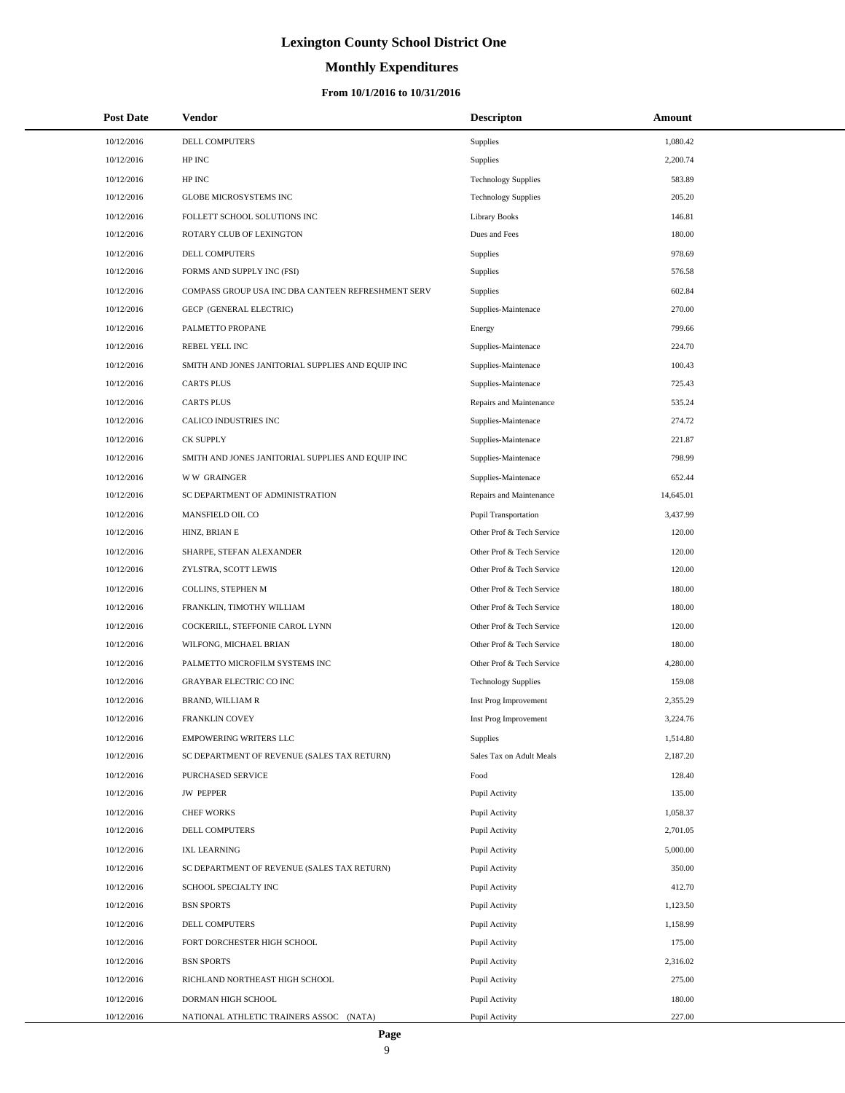## **Monthly Expenditures**

| <b>Post Date</b> | Vendor                                             | <b>Descripton</b>           | Amount    |
|------------------|----------------------------------------------------|-----------------------------|-----------|
| 10/12/2016       | DELL COMPUTERS                                     | <b>Supplies</b>             | 1,080.42  |
| 10/12/2016       | HP INC                                             | <b>Supplies</b>             | 2,200.74  |
| 10/12/2016       | HP INC                                             | <b>Technology Supplies</b>  | 583.89    |
| 10/12/2016       | <b>GLOBE MICROSYSTEMS INC</b>                      | <b>Technology Supplies</b>  | 205.20    |
| 10/12/2016       | FOLLETT SCHOOL SOLUTIONS INC                       | <b>Library Books</b>        | 146.81    |
| 10/12/2016       | ROTARY CLUB OF LEXINGTON                           | Dues and Fees               | 180.00    |
| 10/12/2016       | DELL COMPUTERS                                     | <b>Supplies</b>             | 978.69    |
| 10/12/2016       | FORMS AND SUPPLY INC (FSI)                         | <b>Supplies</b>             | 576.58    |
| 10/12/2016       | COMPASS GROUP USA INC DBA CANTEEN REFRESHMENT SERV | <b>Supplies</b>             | 602.84    |
| 10/12/2016       | GECP (GENERAL ELECTRIC)                            | Supplies-Maintenace         | 270.00    |
| 10/12/2016       | PALMETTO PROPANE                                   | Energy                      | 799.66    |
| 10/12/2016       | REBEL YELL INC                                     | Supplies-Maintenace         | 224.70    |
| 10/12/2016       | SMITH AND JONES JANITORIAL SUPPLIES AND EQUIP INC  | Supplies-Maintenace         | 100.43    |
| 10/12/2016       | <b>CARTS PLUS</b>                                  | Supplies-Maintenace         | 725.43    |
| 10/12/2016       | <b>CARTS PLUS</b>                                  | Repairs and Maintenance     | 535.24    |
| 10/12/2016       | CALICO INDUSTRIES INC                              | Supplies-Maintenace         | 274.72    |
| 10/12/2016       | <b>CK SUPPLY</b>                                   | Supplies-Maintenace         | 221.87    |
| 10/12/2016       | SMITH AND JONES JANITORIAL SUPPLIES AND EQUIP INC  | Supplies-Maintenace         | 798.99    |
| 10/12/2016       | <b>WW GRAINGER</b>                                 | Supplies-Maintenace         | 652.44    |
| 10/12/2016       | SC DEPARTMENT OF ADMINISTRATION                    | Repairs and Maintenance     | 14,645.01 |
| 10/12/2016       | MANSFIELD OIL CO                                   | <b>Pupil Transportation</b> | 3,437.99  |
| 10/12/2016       | HINZ, BRIAN E                                      | Other Prof & Tech Service   | 120.00    |
| 10/12/2016       | SHARPE, STEFAN ALEXANDER                           | Other Prof & Tech Service   | 120.00    |
| 10/12/2016       | ZYLSTRA, SCOTT LEWIS                               | Other Prof & Tech Service   | 120.00    |
| 10/12/2016       | COLLINS, STEPHEN M                                 | Other Prof & Tech Service   | 180.00    |
| 10/12/2016       | FRANKLIN, TIMOTHY WILLIAM                          | Other Prof & Tech Service   | 180.00    |
| 10/12/2016       | COCKERILL, STEFFONIE CAROL LYNN                    | Other Prof & Tech Service   | 120.00    |
| 10/12/2016       | WILFONG, MICHAEL BRIAN                             | Other Prof & Tech Service   | 180.00    |
| 10/12/2016       | PALMETTO MICROFILM SYSTEMS INC                     | Other Prof & Tech Service   | 4,280.00  |
| 10/12/2016       | <b>GRAYBAR ELECTRIC CO INC</b>                     | <b>Technology Supplies</b>  | 159.08    |
| 10/12/2016       | BRAND, WILLIAM R                                   | Inst Prog Improvement       | 2,355.29  |
| 10/12/2016       | <b>FRANKLIN COVEY</b>                              | Inst Prog Improvement       | 3,224.76  |
| 10/12/2016       | EMPOWERING WRITERS LLC                             | <b>Supplies</b>             | 1,514.80  |
| 10/12/2016       | SC DEPARTMENT OF REVENUE (SALES TAX RETURN)        | Sales Tax on Adult Meals    | 2,187.20  |
| 10/12/2016       | <b>PURCHASED SERVICE</b>                           | Food                        | 128.40    |
| 10/12/2016       | <b>JW PEPPER</b>                                   | Pupil Activity              | 135.00    |
| 10/12/2016       | <b>CHEF WORKS</b>                                  | Pupil Activity              | 1,058.37  |
| 10/12/2016       | DELL COMPUTERS                                     | Pupil Activity              | 2,701.05  |
| 10/12/2016       | <b>IXL LEARNING</b>                                | Pupil Activity              | 5,000.00  |
| 10/12/2016       | SC DEPARTMENT OF REVENUE (SALES TAX RETURN)        | Pupil Activity              | 350.00    |
| 10/12/2016       | SCHOOL SPECIALTY INC                               | Pupil Activity              | 412.70    |
| 10/12/2016       | <b>BSN SPORTS</b>                                  | Pupil Activity              | 1,123.50  |
| 10/12/2016       | DELL COMPUTERS                                     | Pupil Activity              | 1,158.99  |
| 10/12/2016       | FORT DORCHESTER HIGH SCHOOL                        | Pupil Activity              | 175.00    |
| 10/12/2016       | <b>BSN SPORTS</b>                                  | Pupil Activity              | 2,316.02  |
| 10/12/2016       | RICHLAND NORTHEAST HIGH SCHOOL                     | Pupil Activity              | 275.00    |
| 10/12/2016       | DORMAN HIGH SCHOOL                                 | Pupil Activity              | 180.00    |
| 10/12/2016       | NATIONAL ATHLETIC TRAINERS ASSOC (NATA)            | Pupil Activity              | 227.00    |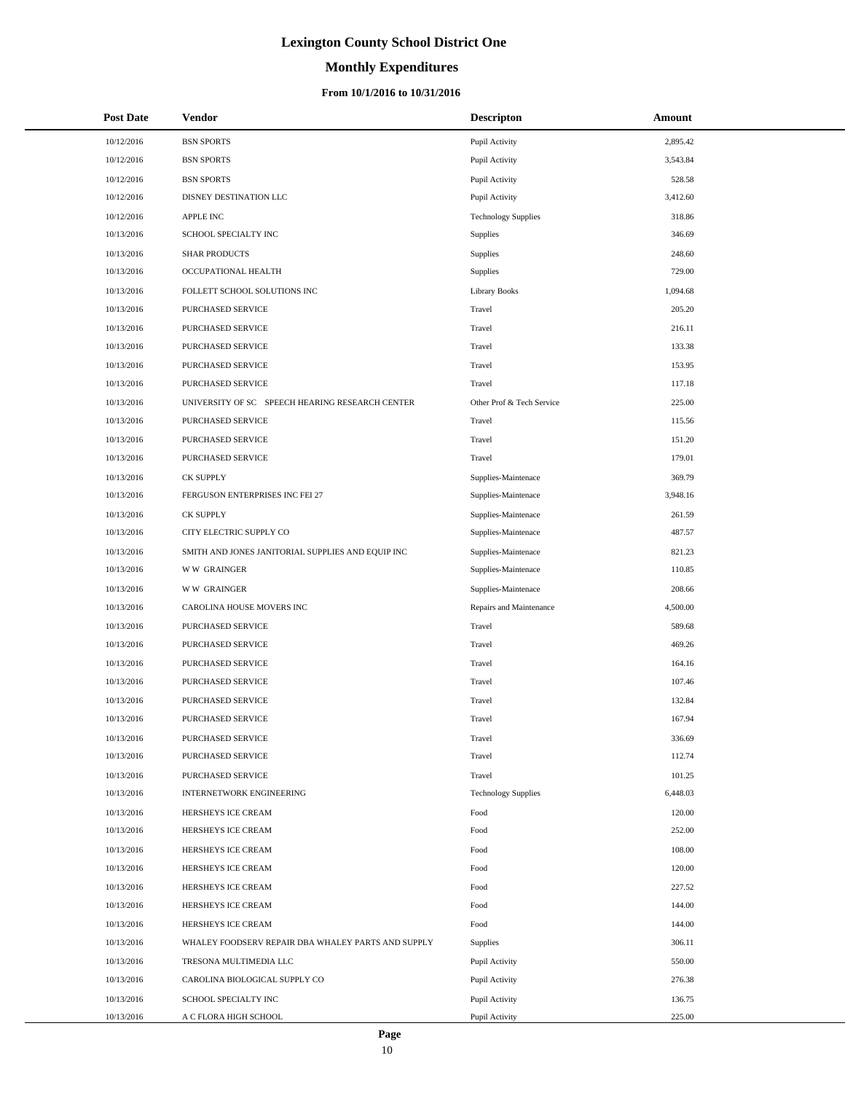# **Monthly Expenditures**

### **From 10/1/2016 to 10/31/2016**

| <b>Post Date</b> | Vendor                                             | <b>Descripton</b>          | Amount   |
|------------------|----------------------------------------------------|----------------------------|----------|
| 10/12/2016       | <b>BSN SPORTS</b>                                  | Pupil Activity             | 2,895.42 |
| 10/12/2016       | <b>BSN SPORTS</b>                                  | Pupil Activity             | 3,543.84 |
| 10/12/2016       | <b>BSN SPORTS</b>                                  | Pupil Activity             | 528.58   |
| 10/12/2016       | DISNEY DESTINATION LLC                             | Pupil Activity             | 3,412.60 |
| 10/12/2016       | APPLE INC                                          | <b>Technology Supplies</b> | 318.86   |
| 10/13/2016       | SCHOOL SPECIALTY INC                               | <b>Supplies</b>            | 346.69   |
| 10/13/2016       | <b>SHAR PRODUCTS</b>                               | <b>Supplies</b>            | 248.60   |
| 10/13/2016       | OCCUPATIONAL HEALTH                                | Supplies                   | 729.00   |
| 10/13/2016       | FOLLETT SCHOOL SOLUTIONS INC                       | <b>Library Books</b>       | 1,094.68 |
| 10/13/2016       | PURCHASED SERVICE                                  | Travel                     | 205.20   |
| 10/13/2016       | PURCHASED SERVICE                                  | Travel                     | 216.11   |
| 10/13/2016       | PURCHASED SERVICE                                  | Travel                     | 133.38   |
| 10/13/2016       | PURCHASED SERVICE                                  | Travel                     | 153.95   |
| 10/13/2016       | PURCHASED SERVICE                                  | Travel                     | 117.18   |
| 10/13/2016       | UNIVERSITY OF SC SPEECH HEARING RESEARCH CENTER    | Other Prof & Tech Service  | 225.00   |
| 10/13/2016       | PURCHASED SERVICE                                  | Travel                     | 115.56   |
| 10/13/2016       | PURCHASED SERVICE                                  | Travel                     | 151.20   |
| 10/13/2016       | PURCHASED SERVICE                                  | Travel                     | 179.01   |
| 10/13/2016       | <b>CK SUPPLY</b>                                   | Supplies-Maintenace        | 369.79   |
| 10/13/2016       | FERGUSON ENTERPRISES INC FEI 27                    | Supplies-Maintenace        | 3,948.16 |
| 10/13/2016       | <b>CK SUPPLY</b>                                   | Supplies-Maintenace        | 261.59   |
| 10/13/2016       | CITY ELECTRIC SUPPLY CO                            | Supplies-Maintenace        | 487.57   |
| 10/13/2016       | SMITH AND JONES JANITORIAL SUPPLIES AND EQUIP INC  | Supplies-Maintenace        | 821.23   |
| 10/13/2016       | <b>WW GRAINGER</b>                                 | Supplies-Maintenace        | 110.85   |
| 10/13/2016       | <b>WW GRAINGER</b>                                 | Supplies-Maintenace        | 208.66   |
| 10/13/2016       | CAROLINA HOUSE MOVERS INC                          | Repairs and Maintenance    | 4,500.00 |
| 10/13/2016       | PURCHASED SERVICE                                  | Travel                     | 589.68   |
| 10/13/2016       | PURCHASED SERVICE                                  | Travel                     | 469.26   |
| 10/13/2016       | PURCHASED SERVICE                                  | Travel                     | 164.16   |
| 10/13/2016       | PURCHASED SERVICE                                  | Travel                     | 107.46   |
| 10/13/2016       | PURCHASED SERVICE                                  | Travel                     | 132.84   |
| 10/13/2016       | PURCHASED SERVICE                                  | Travel                     | 167.94   |
| 10/13/2016       | PURCHASED SERVICE                                  | Travel                     | 336.69   |
| 10/13/2016       | PURCHASED SERVICE                                  | Travel                     | 112.74   |
| 10/13/2016       | PURCHASED SERVICE                                  | Travel                     | 101.25   |
| 10/13/2016       | <b>INTERNETWORK ENGINEERING</b>                    | <b>Technology Supplies</b> | 6,448.03 |
| 10/13/2016       | HERSHEYS ICE CREAM                                 | Food                       | 120.00   |
| 10/13/2016       | HERSHEYS ICE CREAM                                 | Food                       | 252.00   |
| 10/13/2016       | HERSHEYS ICE CREAM                                 | Food                       | 108.00   |
| 10/13/2016       | HERSHEYS ICE CREAM                                 | Food                       | 120.00   |
| 10/13/2016       | HERSHEYS ICE CREAM                                 | Food                       | 227.52   |
| 10/13/2016       | HERSHEYS ICE CREAM                                 | Food                       | 144.00   |
| 10/13/2016       | HERSHEYS ICE CREAM                                 | Food                       | 144.00   |
| 10/13/2016       | WHALEY FOODSERV REPAIR DBA WHALEY PARTS AND SUPPLY | Supplies                   | 306.11   |
| 10/13/2016       | TRESONA MULTIMEDIA LLC                             | Pupil Activity             | 550.00   |
| 10/13/2016       | CAROLINA BIOLOGICAL SUPPLY CO                      | Pupil Activity             | 276.38   |
| 10/13/2016       | SCHOOL SPECIALTY INC                               | Pupil Activity             | 136.75   |
| 10/13/2016       | A C FLORA HIGH SCHOOL                              | Pupil Activity             | 225.00   |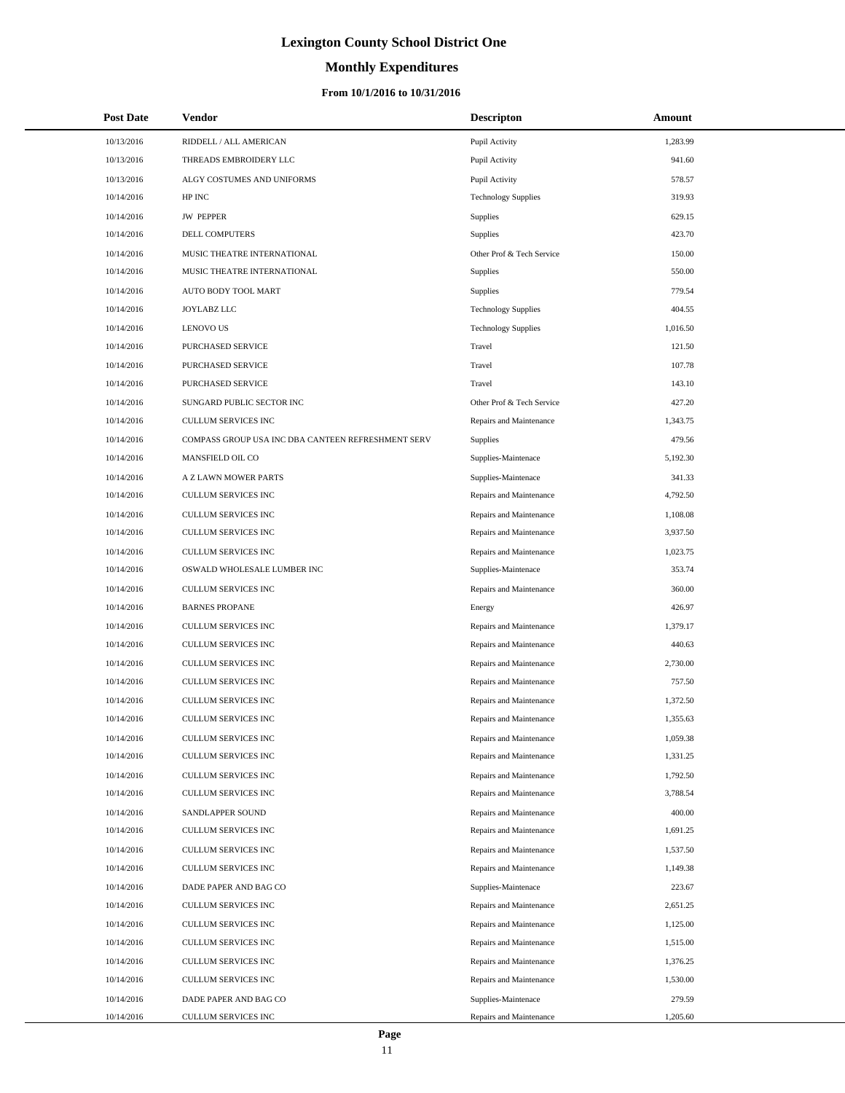# **Monthly Expenditures**

### **From 10/1/2016 to 10/31/2016**

| <b>Post Date</b> | <b>Vendor</b>                                      | <b>Descripton</b>          | Amount   |
|------------------|----------------------------------------------------|----------------------------|----------|
| 10/13/2016       | RIDDELL / ALL AMERICAN                             | Pupil Activity             | 1,283.99 |
| 10/13/2016       | THREADS EMBROIDERY LLC                             | Pupil Activity             | 941.60   |
| 10/13/2016       | ALGY COSTUMES AND UNIFORMS                         | Pupil Activity             | 578.57   |
| 10/14/2016       | HP INC                                             | <b>Technology Supplies</b> | 319.93   |
| 10/14/2016       | <b>JW PEPPER</b>                                   | Supplies                   | 629.15   |
| 10/14/2016       | DELL COMPUTERS                                     | Supplies                   | 423.70   |
| 10/14/2016       | MUSIC THEATRE INTERNATIONAL                        | Other Prof & Tech Service  | 150.00   |
| 10/14/2016       | MUSIC THEATRE INTERNATIONAL                        | Supplies                   | 550.00   |
| 10/14/2016       | AUTO BODY TOOL MART                                | Supplies                   | 779.54   |
| 10/14/2016       | JOYLABZ LLC                                        | <b>Technology Supplies</b> | 404.55   |
| 10/14/2016       | <b>LENOVO US</b>                                   | <b>Technology Supplies</b> | 1,016.50 |
| 10/14/2016       | PURCHASED SERVICE                                  | Travel                     | 121.50   |
| 10/14/2016       | PURCHASED SERVICE                                  | Travel                     | 107.78   |
| 10/14/2016       | PURCHASED SERVICE                                  | Travel                     | 143.10   |
| 10/14/2016       | SUNGARD PUBLIC SECTOR INC                          | Other Prof & Tech Service  | 427.20   |
| 10/14/2016       | <b>CULLUM SERVICES INC</b>                         | Repairs and Maintenance    | 1,343.75 |
| 10/14/2016       | COMPASS GROUP USA INC DBA CANTEEN REFRESHMENT SERV | Supplies                   | 479.56   |
| 10/14/2016       | MANSFIELD OIL CO                                   | Supplies-Maintenace        | 5,192.30 |
| 10/14/2016       | A Z LAWN MOWER PARTS                               | Supplies-Maintenace        | 341.33   |
| 10/14/2016       | <b>CULLUM SERVICES INC</b>                         | Repairs and Maintenance    | 4,792.50 |
| 10/14/2016       | CULLUM SERVICES INC                                | Repairs and Maintenance    | 1,108.08 |
| 10/14/2016       | CULLUM SERVICES INC                                | Repairs and Maintenance    | 3,937.50 |
| 10/14/2016       | CULLUM SERVICES INC                                | Repairs and Maintenance    | 1,023.75 |
| 10/14/2016       | OSWALD WHOLESALE LUMBER INC                        | Supplies-Maintenace        | 353.74   |
| 10/14/2016       | CULLUM SERVICES INC                                | Repairs and Maintenance    | 360.00   |
| 10/14/2016       | <b>BARNES PROPANE</b>                              | Energy                     | 426.97   |
| 10/14/2016       | CULLUM SERVICES INC                                | Repairs and Maintenance    | 1,379.17 |
| 10/14/2016       | CULLUM SERVICES INC                                | Repairs and Maintenance    | 440.63   |
| 10/14/2016       | <b>CULLUM SERVICES INC</b>                         | Repairs and Maintenance    | 2,730.00 |
| 10/14/2016       | CULLUM SERVICES INC                                | Repairs and Maintenance    | 757.50   |
| 10/14/2016       | CULLUM SERVICES INC                                | Repairs and Maintenance    | 1,372.50 |
| 10/14/2016       | <b>CULLUM SERVICES INC</b>                         | Repairs and Maintenance    | 1,355.63 |
| 10/14/2016       | CULLUM SERVICES INC                                | Repairs and Maintenance    | 1,059.38 |
| 10/14/2016       | CULLUM SERVICES INC                                | Repairs and Maintenance    | 1,331.25 |
| 10/14/2016       | <b>CULLUM SERVICES INC</b>                         | Repairs and Maintenance    | 1,792.50 |
| 10/14/2016       | CULLUM SERVICES INC                                | Repairs and Maintenance    | 3,788.54 |
| 10/14/2016       | SANDLAPPER SOUND                                   | Repairs and Maintenance    | 400.00   |
| 10/14/2016       | CULLUM SERVICES INC                                | Repairs and Maintenance    | 1,691.25 |
| 10/14/2016       | <b>CULLUM SERVICES INC</b>                         | Repairs and Maintenance    | 1,537.50 |
| 10/14/2016       | CULLUM SERVICES INC                                | Repairs and Maintenance    | 1,149.38 |
| 10/14/2016       | DADE PAPER AND BAG CO                              | Supplies-Maintenace        | 223.67   |
| 10/14/2016       | CULLUM SERVICES INC                                | Repairs and Maintenance    | 2,651.25 |
| 10/14/2016       | CULLUM SERVICES INC                                | Repairs and Maintenance    | 1,125.00 |
| 10/14/2016       | CULLUM SERVICES INC                                | Repairs and Maintenance    | 1,515.00 |
| 10/14/2016       | CULLUM SERVICES INC                                | Repairs and Maintenance    | 1,376.25 |
| 10/14/2016       | CULLUM SERVICES INC                                | Repairs and Maintenance    | 1,530.00 |
| 10/14/2016       | DADE PAPER AND BAG CO                              | Supplies-Maintenace        | 279.59   |
| 10/14/2016       | CULLUM SERVICES INC                                | Repairs and Maintenance    | 1,205.60 |

L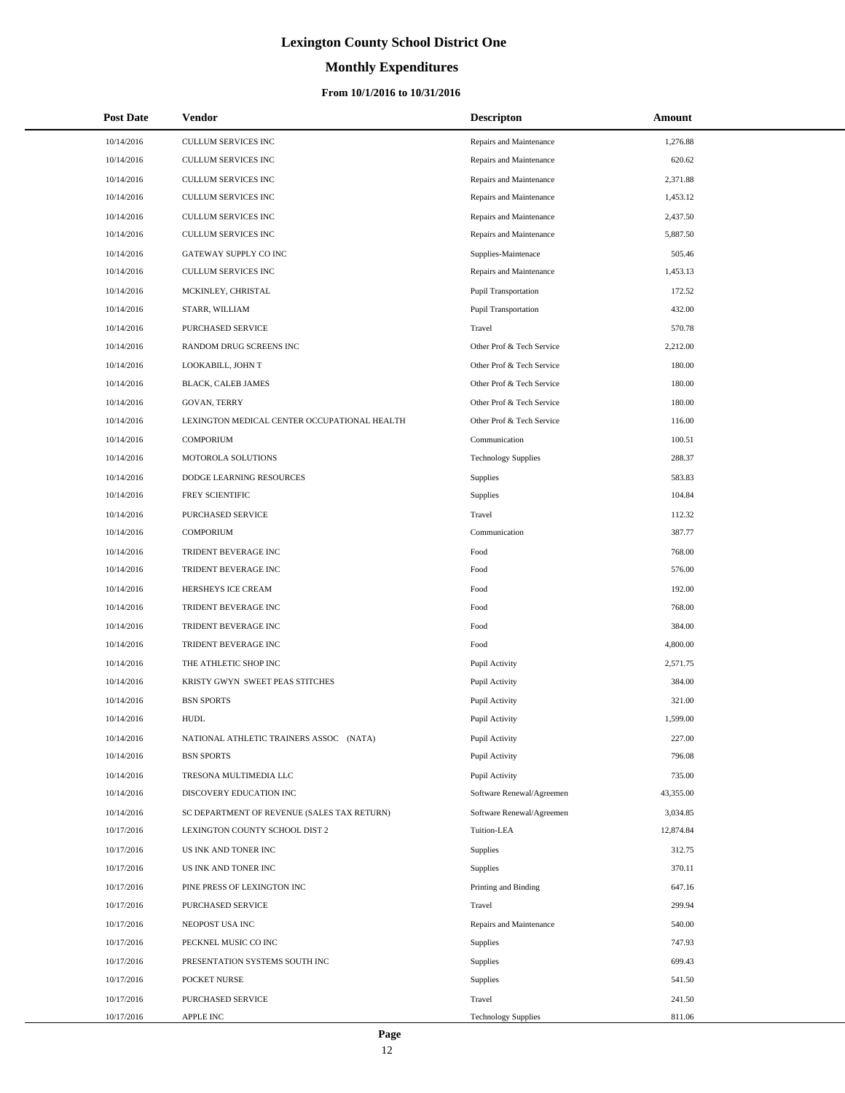# **Monthly Expenditures**

### **From 10/1/2016 to 10/31/2016**

| <b>Post Date</b> | Vendor                                       | <b>Descripton</b>           | Amount    |
|------------------|----------------------------------------------|-----------------------------|-----------|
| 10/14/2016       | CULLUM SERVICES INC                          | Repairs and Maintenance     | 1,276.88  |
| 10/14/2016       | CULLUM SERVICES INC                          | Repairs and Maintenance     | 620.62    |
| 10/14/2016       | CULLUM SERVICES INC                          | Repairs and Maintenance     | 2,371.88  |
| 10/14/2016       | CULLUM SERVICES INC                          | Repairs and Maintenance     | 1,453.12  |
| 10/14/2016       | CULLUM SERVICES INC                          | Repairs and Maintenance     | 2,437.50  |
| 10/14/2016       | CULLUM SERVICES INC                          | Repairs and Maintenance     | 5,887.50  |
| 10/14/2016       | GATEWAY SUPPLY CO INC                        | Supplies-Maintenace         | 505.46    |
| 10/14/2016       | CULLUM SERVICES INC                          | Repairs and Maintenance     | 1,453.13  |
| 10/14/2016       | MCKINLEY, CHRISTAL                           | Pupil Transportation        | 172.52    |
| 10/14/2016       | STARR, WILLIAM                               | <b>Pupil Transportation</b> | 432.00    |
| 10/14/2016       | PURCHASED SERVICE                            | Travel                      | 570.78    |
| 10/14/2016       | RANDOM DRUG SCREENS INC                      | Other Prof & Tech Service   | 2,212.00  |
| 10/14/2016       | LOOKABILL, JOHN T                            | Other Prof & Tech Service   | 180.00    |
| 10/14/2016       | <b>BLACK, CALEB JAMES</b>                    | Other Prof & Tech Service   | 180.00    |
| 10/14/2016       | GOVAN, TERRY                                 | Other Prof & Tech Service   | 180.00    |
| 10/14/2016       | LEXINGTON MEDICAL CENTER OCCUPATIONAL HEALTH | Other Prof & Tech Service   | 116.00    |
| 10/14/2016       | <b>COMPORIUM</b>                             | Communication               | 100.51    |
| 10/14/2016       | MOTOROLA SOLUTIONS                           | <b>Technology Supplies</b>  | 288.37    |
| 10/14/2016       | DODGE LEARNING RESOURCES                     | Supplies                    | 583.83    |
| 10/14/2016       | FREY SCIENTIFIC                              | Supplies                    | 104.84    |
| 10/14/2016       | PURCHASED SERVICE                            | Travel                      | 112.32    |
| 10/14/2016       | <b>COMPORIUM</b>                             | Communication               | 387.77    |
| 10/14/2016       | TRIDENT BEVERAGE INC                         | Food                        | 768.00    |
| 10/14/2016       | TRIDENT BEVERAGE INC                         | Food                        | 576.00    |
| 10/14/2016       | HERSHEYS ICE CREAM                           | Food                        | 192.00    |
| 10/14/2016       | TRIDENT BEVERAGE INC                         | Food                        | 768.00    |
| 10/14/2016       | TRIDENT BEVERAGE INC                         | Food                        | 384.00    |
| 10/14/2016       | TRIDENT BEVERAGE INC                         | Food                        | 4,800.00  |
| 10/14/2016       | THE ATHLETIC SHOP INC                        | Pupil Activity              | 2.571.75  |
| 10/14/2016       | KRISTY GWYN SWEET PEAS STITCHES              | Pupil Activity              | 384.00    |
| 10/14/2016       | <b>BSN SPORTS</b>                            | Pupil Activity              | 321.00    |
| 10/14/2016       | <b>HUDL</b>                                  | Pupil Activity              | 1,599.00  |
| 10/14/2016       | NATIONAL ATHLETIC TRAINERS ASSOC (NATA)      | Pupil Activity              | 227.00    |
| 10/14/2016       | <b>BSN SPORTS</b>                            | Pupil Activity              | 796.08    |
| 10/14/2016       | TRESONA MULTIMEDIA LLC                       | Pupil Activity              | 735.00    |
| 10/14/2016       | DISCOVERY EDUCATION INC                      | Software Renewal/Agreemen   | 43,355.00 |
| 10/14/2016       | SC DEPARTMENT OF REVENUE (SALES TAX RETURN)  | Software Renewal/Agreemen   | 3,034.85  |
| 10/17/2016       | LEXINGTON COUNTY SCHOOL DIST 2               | Tuition-LEA                 | 12,874.84 |
| 10/17/2016       | US INK AND TONER INC                         | Supplies                    | 312.75    |
| 10/17/2016       | US INK AND TONER INC                         | Supplies                    | 370.11    |
| 10/17/2016       | PINE PRESS OF LEXINGTON INC                  | Printing and Binding        | 647.16    |
| 10/17/2016       | PURCHASED SERVICE                            | Travel                      | 299.94    |
| 10/17/2016       | NEOPOST USA INC                              | Repairs and Maintenance     | 540.00    |
| 10/17/2016       | PECKNEL MUSIC CO INC                         | Supplies                    | 747.93    |
| 10/17/2016       | PRESENTATION SYSTEMS SOUTH INC               | Supplies                    | 699.43    |
| 10/17/2016       | POCKET NURSE                                 | <b>Supplies</b>             | 541.50    |
| 10/17/2016       | PURCHASED SERVICE                            | Travel                      | 241.50    |
| 10/17/2016       | APPLE INC                                    | <b>Technology Supplies</b>  | 811.06    |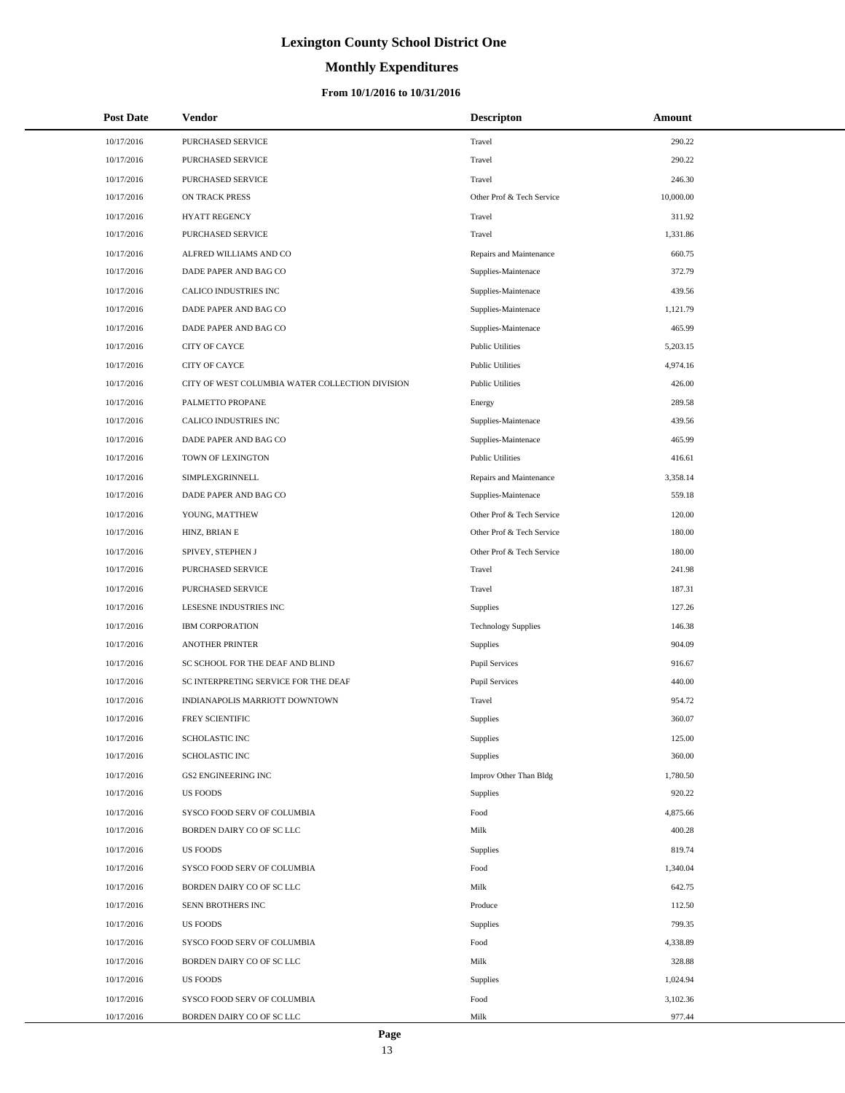# **Monthly Expenditures**

### **From 10/1/2016 to 10/31/2016**

| <b>Post Date</b> | <b>Vendor</b>                                   | <b>Descripton</b>          | Amount    |
|------------------|-------------------------------------------------|----------------------------|-----------|
| 10/17/2016       | PURCHASED SERVICE                               | Travel                     | 290.22    |
| 10/17/2016       | PURCHASED SERVICE                               | Travel                     | 290.22    |
| 10/17/2016       | PURCHASED SERVICE                               | Travel                     | 246.30    |
| 10/17/2016       | ON TRACK PRESS                                  | Other Prof & Tech Service  | 10,000.00 |
| 10/17/2016       | <b>HYATT REGENCY</b>                            | Travel                     | 311.92    |
| 10/17/2016       | PURCHASED SERVICE                               | Travel                     | 1,331.86  |
| 10/17/2016       | ALFRED WILLIAMS AND CO                          | Repairs and Maintenance    | 660.75    |
| 10/17/2016       | DADE PAPER AND BAG CO                           | Supplies-Maintenace        | 372.79    |
| 10/17/2016       | CALICO INDUSTRIES INC                           | Supplies-Maintenace        | 439.56    |
| 10/17/2016       | DADE PAPER AND BAG CO                           | Supplies-Maintenace        | 1,121.79  |
| 10/17/2016       | DADE PAPER AND BAG CO                           | Supplies-Maintenace        | 465.99    |
| 10/17/2016       | CITY OF CAYCE                                   | <b>Public Utilities</b>    | 5,203.15  |
| 10/17/2016       | <b>CITY OF CAYCE</b>                            | <b>Public Utilities</b>    | 4,974.16  |
| 10/17/2016       | CITY OF WEST COLUMBIA WATER COLLECTION DIVISION | <b>Public Utilities</b>    | 426.00    |
| 10/17/2016       | PALMETTO PROPANE                                | Energy                     | 289.58    |
| 10/17/2016       | CALICO INDUSTRIES INC                           | Supplies-Maintenace        | 439.56    |
| 10/17/2016       | DADE PAPER AND BAG CO                           | Supplies-Maintenace        | 465.99    |
| 10/17/2016       | TOWN OF LEXINGTON                               | <b>Public Utilities</b>    | 416.61    |
| 10/17/2016       | SIMPLEXGRINNELL                                 | Repairs and Maintenance    | 3,358.14  |
| 10/17/2016       | DADE PAPER AND BAG CO                           | Supplies-Maintenace        | 559.18    |
| 10/17/2016       | YOUNG, MATTHEW                                  | Other Prof & Tech Service  | 120.00    |
| 10/17/2016       | HINZ, BRIAN E                                   | Other Prof & Tech Service  | 180.00    |
| 10/17/2016       | SPIVEY, STEPHEN J                               | Other Prof & Tech Service  | 180.00    |
| 10/17/2016       | PURCHASED SERVICE                               | Travel                     | 241.98    |
| 10/17/2016       | PURCHASED SERVICE                               | Travel                     | 187.31    |
| 10/17/2016       | LESESNE INDUSTRIES INC                          | Supplies                   | 127.26    |
| 10/17/2016       | <b>IBM CORPORATION</b>                          | <b>Technology Supplies</b> | 146.38    |
| 10/17/2016       | <b>ANOTHER PRINTER</b>                          | Supplies                   | 904.09    |
| 10/17/2016       | SC SCHOOL FOR THE DEAF AND BLIND                | <b>Pupil Services</b>      | 916.67    |
| 10/17/2016       | SC INTERPRETING SERVICE FOR THE DEAF            | <b>Pupil Services</b>      | 440.00    |
| 10/17/2016       | INDIANAPOLIS MARRIOTT DOWNTOWN                  | Travel                     | 954.72    |
| 10/17/2016       | <b>FREY SCIENTIFIC</b>                          | Supplies                   | 360.07    |
| 10/17/2016       | <b>SCHOLASTIC INC</b>                           | Supplies                   | 125.00    |
| 10/17/2016       | SCHOLASTIC INC                                  | Supplies                   | 360.00    |
| 10/17/2016       | <b>GS2 ENGINEERING INC</b>                      | Improv Other Than Bldg     | 1,780.50  |
| 10/17/2016       | <b>US FOODS</b>                                 | Supplies                   | 920.22    |
| 10/17/2016       | SYSCO FOOD SERV OF COLUMBIA                     | Food                       | 4,875.66  |
| 10/17/2016       | BORDEN DAIRY CO OF SC LLC                       | Milk                       | 400.28    |
| 10/17/2016       | <b>US FOODS</b>                                 | Supplies                   | 819.74    |
| 10/17/2016       | SYSCO FOOD SERV OF COLUMBIA                     | Food                       | 1,340.04  |
| 10/17/2016       | BORDEN DAIRY CO OF SC LLC                       | Milk                       | 642.75    |
| 10/17/2016       | SENN BROTHERS INC                               | Produce                    | 112.50    |
| 10/17/2016       | <b>US FOODS</b>                                 | Supplies                   | 799.35    |
| 10/17/2016       | SYSCO FOOD SERV OF COLUMBIA                     | Food                       | 4,338.89  |
| 10/17/2016       | BORDEN DAIRY CO OF SC LLC                       | Milk                       | 328.88    |
| 10/17/2016       | <b>US FOODS</b>                                 | Supplies                   | 1,024.94  |
| 10/17/2016       | SYSCO FOOD SERV OF COLUMBIA                     | Food                       | 3,102.36  |
| 10/17/2016       | BORDEN DAIRY CO OF SC LLC                       | Milk                       | 977.44    |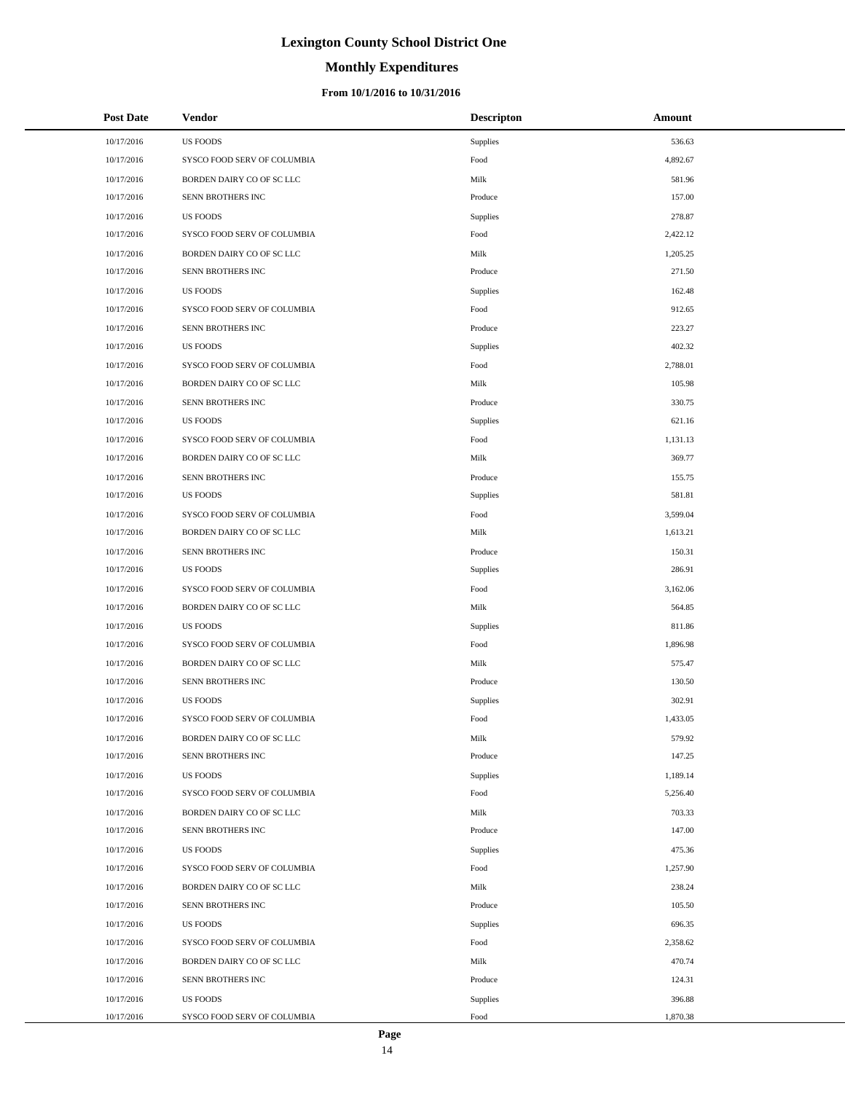# **Monthly Expenditures**

### **From 10/1/2016 to 10/31/2016**

| <b>Post Date</b> | Vendor                      | <b>Descripton</b> | Amount   |
|------------------|-----------------------------|-------------------|----------|
| 10/17/2016       | <b>US FOODS</b>             | Supplies          | 536.63   |
| 10/17/2016       | SYSCO FOOD SERV OF COLUMBIA | Food              | 4,892.67 |
| 10/17/2016       | BORDEN DAIRY CO OF SC LLC   | Milk              | 581.96   |
| 10/17/2016       | SENN BROTHERS INC           | Produce           | 157.00   |
| 10/17/2016       | <b>US FOODS</b>             | Supplies          | 278.87   |
| 10/17/2016       | SYSCO FOOD SERV OF COLUMBIA | Food              | 2,422.12 |
| 10/17/2016       | BORDEN DAIRY CO OF SC LLC   | Milk              | 1,205.25 |
| 10/17/2016       | SENN BROTHERS INC           | Produce           | 271.50   |
| 10/17/2016       | <b>US FOODS</b>             | Supplies          | 162.48   |
| 10/17/2016       | SYSCO FOOD SERV OF COLUMBIA | Food              | 912.65   |
| 10/17/2016       | SENN BROTHERS INC           | Produce           | 223.27   |
| 10/17/2016       | <b>US FOODS</b>             | Supplies          | 402.32   |
| 10/17/2016       | SYSCO FOOD SERV OF COLUMBIA | Food              | 2,788.01 |
| 10/17/2016       | BORDEN DAIRY CO OF SC LLC   | Milk              | 105.98   |
| 10/17/2016       | SENN BROTHERS INC           | Produce           | 330.75   |
| 10/17/2016       | <b>US FOODS</b>             | Supplies          | 621.16   |
| 10/17/2016       | SYSCO FOOD SERV OF COLUMBIA | Food              | 1,131.13 |
| 10/17/2016       | BORDEN DAIRY CO OF SC LLC   | Milk              | 369.77   |
| 10/17/2016       | SENN BROTHERS INC           | Produce           | 155.75   |
| 10/17/2016       | <b>US FOODS</b>             | Supplies          | 581.81   |
| 10/17/2016       | SYSCO FOOD SERV OF COLUMBIA | Food              | 3,599.04 |
| 10/17/2016       | BORDEN DAIRY CO OF SC LLC   | Milk              | 1,613.21 |
| 10/17/2016       | SENN BROTHERS INC           | Produce           | 150.31   |
| 10/17/2016       | <b>US FOODS</b>             | Supplies          | 286.91   |
| 10/17/2016       | SYSCO FOOD SERV OF COLUMBIA | Food              | 3,162.06 |
| 10/17/2016       | BORDEN DAIRY CO OF SC LLC   | Milk              | 564.85   |
| 10/17/2016       | <b>US FOODS</b>             | Supplies          | 811.86   |
| 10/17/2016       | SYSCO FOOD SERV OF COLUMBIA | Food              | 1,896.98 |
| 10/17/2016       | BORDEN DAIRY CO OF SC LLC   | Milk              | 575.47   |
| 10/17/2016       | SENN BROTHERS INC           | Produce           | 130.50   |
| 10/17/2016       | <b>US FOODS</b>             | Supplies          | 302.91   |
| 10/17/2016       | SYSCO FOOD SERV OF COLUMBIA | Food              | 1,433.05 |
| 10/17/2016       | BORDEN DAIRY CO OF SC LLC   | Milk              | 579.92   |
| 10/17/2016       | SENN BROTHERS INC           | Produce           | 147.25   |
| 10/17/2016       | <b>US FOODS</b>             | Supplies          | 1,189.14 |
| 10/17/2016       | SYSCO FOOD SERV OF COLUMBIA | Food              | 5,256.40 |
| 10/17/2016       | BORDEN DAIRY CO OF SC LLC   | Milk              | 703.33   |
| 10/17/2016       | SENN BROTHERS INC           | Produce           | 147.00   |
| 10/17/2016       | <b>US FOODS</b>             | Supplies          | 475.36   |
| 10/17/2016       | SYSCO FOOD SERV OF COLUMBIA | Food              | 1,257.90 |
| 10/17/2016       | BORDEN DAIRY CO OF SC LLC   | Milk              | 238.24   |
| 10/17/2016       | SENN BROTHERS INC           | Produce           | 105.50   |
| 10/17/2016       | <b>US FOODS</b>             | Supplies          | 696.35   |
| 10/17/2016       | SYSCO FOOD SERV OF COLUMBIA | Food              | 2,358.62 |
| 10/17/2016       | BORDEN DAIRY CO OF SC LLC   | Milk              | 470.74   |
| 10/17/2016       | SENN BROTHERS INC           | Produce           | 124.31   |
| 10/17/2016       | <b>US FOODS</b>             | Supplies          | 396.88   |
| 10/17/2016       | SYSCO FOOD SERV OF COLUMBIA | Food              | 1,870.38 |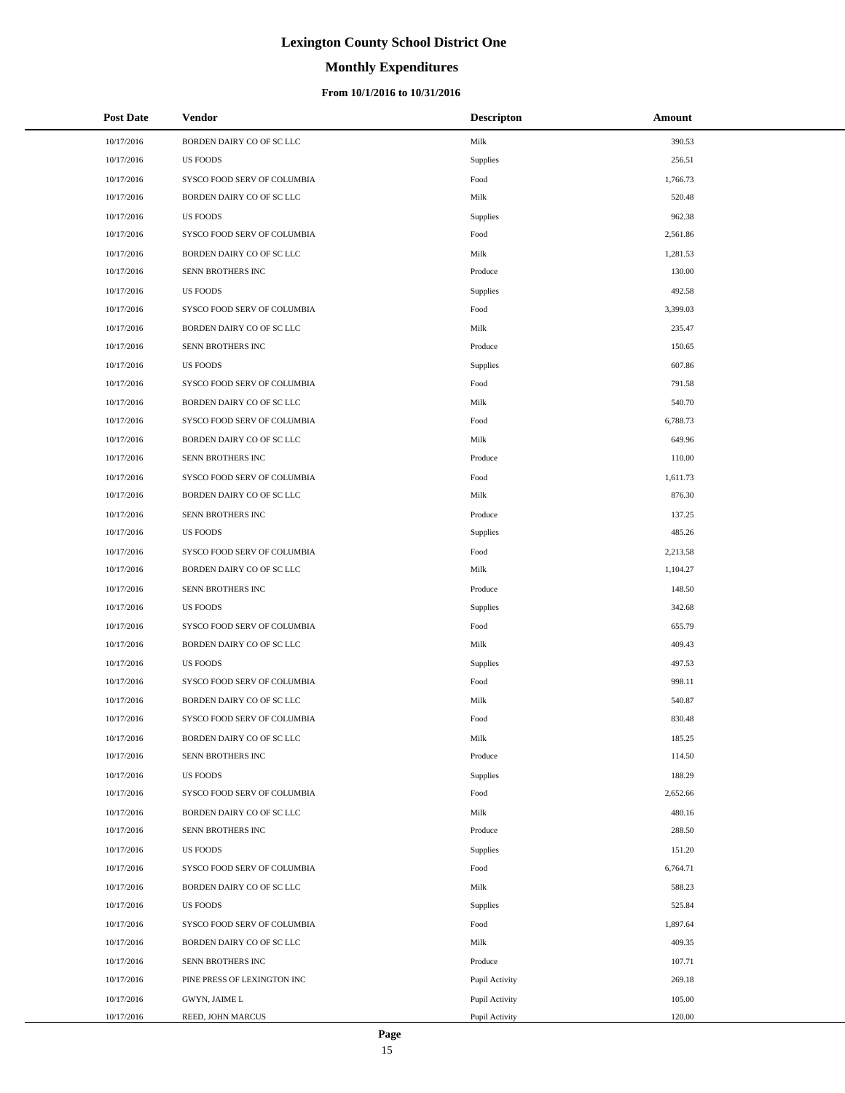# **Monthly Expenditures**

### **From 10/1/2016 to 10/31/2016**

| <b>Post Date</b> | <b>Vendor</b>               | <b>Descripton</b> | Amount   |
|------------------|-----------------------------|-------------------|----------|
| 10/17/2016       | BORDEN DAIRY CO OF SC LLC   | Milk              | 390.53   |
| 10/17/2016       | <b>US FOODS</b>             | Supplies          | 256.51   |
| 10/17/2016       | SYSCO FOOD SERV OF COLUMBIA | Food              | 1,766.73 |
| 10/17/2016       | BORDEN DAIRY CO OF SC LLC   | Milk              | 520.48   |
| 10/17/2016       | <b>US FOODS</b>             | Supplies          | 962.38   |
| 10/17/2016       | SYSCO FOOD SERV OF COLUMBIA | Food              | 2,561.86 |
| 10/17/2016       | BORDEN DAIRY CO OF SC LLC   | Milk              | 1,281.53 |
| 10/17/2016       | SENN BROTHERS INC           | Produce           | 130.00   |
| 10/17/2016       | <b>US FOODS</b>             | Supplies          | 492.58   |
| 10/17/2016       | SYSCO FOOD SERV OF COLUMBIA | Food              | 3,399.03 |
| 10/17/2016       | BORDEN DAIRY CO OF SC LLC   | Milk              | 235.47   |
| 10/17/2016       | SENN BROTHERS INC           | Produce           | 150.65   |
| 10/17/2016       | <b>US FOODS</b>             | Supplies          | 607.86   |
| 10/17/2016       | SYSCO FOOD SERV OF COLUMBIA | Food              | 791.58   |
| 10/17/2016       | BORDEN DAIRY CO OF SC LLC   | Milk              | 540.70   |
| 10/17/2016       | SYSCO FOOD SERV OF COLUMBIA | Food              | 6,788.73 |
| 10/17/2016       | BORDEN DAIRY CO OF SC LLC   | Milk              | 649.96   |
| 10/17/2016       | SENN BROTHERS INC           | Produce           | 110.00   |
| 10/17/2016       | SYSCO FOOD SERV OF COLUMBIA | Food              | 1,611.73 |
| 10/17/2016       | BORDEN DAIRY CO OF SC LLC   | Milk              | 876.30   |
| 10/17/2016       | SENN BROTHERS INC           | Produce           | 137.25   |
| 10/17/2016       | <b>US FOODS</b>             | Supplies          | 485.26   |
| 10/17/2016       | SYSCO FOOD SERV OF COLUMBIA | Food              | 2,213.58 |
| 10/17/2016       | BORDEN DAIRY CO OF SC LLC   | Milk              | 1,104.27 |
| 10/17/2016       | SENN BROTHERS INC           | Produce           | 148.50   |
| 10/17/2016       | <b>US FOODS</b>             | Supplies          | 342.68   |
| 10/17/2016       | SYSCO FOOD SERV OF COLUMBIA | Food              | 655.79   |
| 10/17/2016       | BORDEN DAIRY CO OF SC LLC   | Milk              | 409.43   |
| 10/17/2016       | <b>US FOODS</b>             | Supplies          | 497.53   |
| 10/17/2016       | SYSCO FOOD SERV OF COLUMBIA | Food              | 998.11   |
| 10/17/2016       | BORDEN DAIRY CO OF SC LLC   | Milk              | 540.87   |
| 10/17/2016       | SYSCO FOOD SERV OF COLUMBIA | Food              | 830.48   |
| 10/17/2016       | BORDEN DAIRY CO OF SC LLC   | Milk              | 185.25   |
| 10/17/2016       | SENN BROTHERS INC           | Produce           | 114.50   |
| 10/17/2016       | US FOODS                    | Supplies          | 188.29   |
| 10/17/2016       | SYSCO FOOD SERV OF COLUMBIA | Food              | 2,652.66 |
| 10/17/2016       | BORDEN DAIRY CO OF SC LLC   | Milk              | 480.16   |
| 10/17/2016       | SENN BROTHERS INC           | Produce           | 288.50   |
| 10/17/2016       | <b>US FOODS</b>             | Supplies          | 151.20   |
| 10/17/2016       | SYSCO FOOD SERV OF COLUMBIA | Food              | 6,764.71 |
| 10/17/2016       | BORDEN DAIRY CO OF SC LLC   | Milk              | 588.23   |
| 10/17/2016       | <b>US FOODS</b>             | Supplies          | 525.84   |
| 10/17/2016       | SYSCO FOOD SERV OF COLUMBIA | Food              | 1,897.64 |
| 10/17/2016       | BORDEN DAIRY CO OF SC LLC   | Milk              | 409.35   |
| 10/17/2016       | SENN BROTHERS INC           | Produce           | 107.71   |
| 10/17/2016       | PINE PRESS OF LEXINGTON INC | Pupil Activity    | 269.18   |
| 10/17/2016       | GWYN, JAIME L               | Pupil Activity    | 105.00   |
| 10/17/2016       | REED, JOHN MARCUS           | Pupil Activity    | 120.00   |

÷.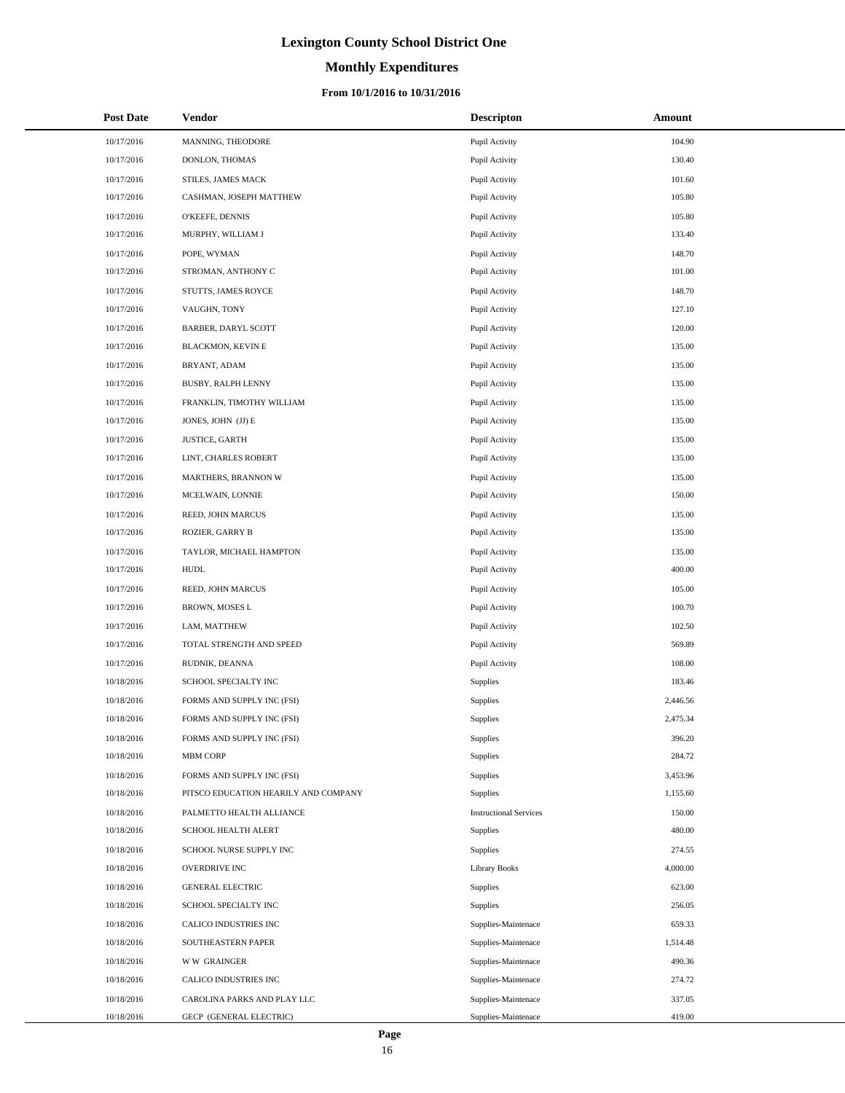# **Monthly Expenditures**

### **From 10/1/2016 to 10/31/2016**

| <b>Post Date</b> | <b>Vendor</b>                        | <b>Descripton</b>             | Amount   |
|------------------|--------------------------------------|-------------------------------|----------|
| 10/17/2016       | MANNING, THEODORE                    | Pupil Activity                | 104.90   |
| 10/17/2016       | DONLON, THOMAS                       | Pupil Activity                | 130.40   |
| 10/17/2016       | STILES, JAMES MACK                   | Pupil Activity                | 101.60   |
| 10/17/2016       | CASHMAN, JOSEPH MATTHEW              | Pupil Activity                | 105.80   |
| 10/17/2016       | O'KEEFE, DENNIS                      | Pupil Activity                | 105.80   |
| 10/17/2016       | MURPHY, WILLIAM J                    | Pupil Activity                | 133.40   |
| 10/17/2016       | POPE, WYMAN                          | Pupil Activity                | 148.70   |
| 10/17/2016       | STROMAN, ANTHONY C                   | Pupil Activity                | 101.00   |
| 10/17/2016       | STUTTS, JAMES ROYCE                  | Pupil Activity                | 148.70   |
| 10/17/2016       | VAUGHN, TONY                         | Pupil Activity                | 127.10   |
| 10/17/2016       | BARBER, DARYL SCOTT                  | Pupil Activity                | 120.00   |
| 10/17/2016       | BLACKMON, KEVIN E                    | Pupil Activity                | 135.00   |
| 10/17/2016       | BRYANT, ADAM                         | Pupil Activity                | 135.00   |
| 10/17/2016       | BUSBY, RALPH LENNY                   | Pupil Activity                | 135.00   |
| 10/17/2016       | FRANKLIN, TIMOTHY WILLIAM            | Pupil Activity                | 135.00   |
| 10/17/2016       | JONES, JOHN (JJ) E                   | Pupil Activity                | 135.00   |
| 10/17/2016       | <b>JUSTICE, GARTH</b>                | Pupil Activity                | 135.00   |
| 10/17/2016       | LINT, CHARLES ROBERT                 | Pupil Activity                | 135.00   |
| 10/17/2016       | MARTHERS, BRANNON W                  | Pupil Activity                | 135.00   |
| 10/17/2016       | MCELWAIN, LONNIE                     | Pupil Activity                | 150.00   |
| 10/17/2016       | REED, JOHN MARCUS                    | Pupil Activity                | 135.00   |
| 10/17/2016       | ROZIER, GARRY B                      | Pupil Activity                | 135.00   |
| 10/17/2016       | TAYLOR, MICHAEL HAMPTON              | Pupil Activity                | 135.00   |
| 10/17/2016       | <b>HUDL</b>                          | Pupil Activity                | 400.00   |
| 10/17/2016       | REED, JOHN MARCUS                    | Pupil Activity                | 105.00   |
| 10/17/2016       | BROWN, MOSES L                       | Pupil Activity                | 100.70   |
| 10/17/2016       | LAM, MATTHEW                         | Pupil Activity                | 102.50   |
| 10/17/2016       | TOTAL STRENGTH AND SPEED             | Pupil Activity                | 569.89   |
| 10/17/2016       | RUDNIK, DEANNA                       | Pupil Activity                | 108.00   |
| 10/18/2016       | SCHOOL SPECIALTY INC                 | <b>Supplies</b>               | 183.46   |
| 10/18/2016       | FORMS AND SUPPLY INC (FSI)           | <b>Supplies</b>               | 2,446.56 |
| 10/18/2016       | FORMS AND SUPPLY INC (FSI)           | <b>Supplies</b>               | 2,475.34 |
| 10/18/2016       | FORMS AND SUPPLY INC (FSI)           | Supplies                      | 396.20   |
| 10/18/2016       | MBM CORP                             | Supplies                      | 284.72   |
| 10/18/2016       | FORMS AND SUPPLY INC (FSI)           | Supplies                      | 3,453.96 |
| 10/18/2016       | PITSCO EDUCATION HEARILY AND COMPANY | <b>Supplies</b>               | 1,155.60 |
| 10/18/2016       | PALMETTO HEALTH ALLIANCE             | <b>Instructional Services</b> | 150.00   |
| 10/18/2016       | SCHOOL HEALTH ALERT                  | <b>Supplies</b>               | 480.00   |
| 10/18/2016       | SCHOOL NURSE SUPPLY INC              | Supplies                      | 274.55   |
| 10/18/2016       | <b>OVERDRIVE INC</b>                 | <b>Library Books</b>          | 4,000.00 |
| 10/18/2016       | <b>GENERAL ELECTRIC</b>              | <b>Supplies</b>               | 623.00   |
| 10/18/2016       | SCHOOL SPECIALTY INC                 | <b>Supplies</b>               | 256.05   |
| 10/18/2016       | CALICO INDUSTRIES INC                | Supplies-Maintenace           | 659.33   |
| 10/18/2016       | SOUTHEASTERN PAPER                   | Supplies-Maintenace           | 1,514.48 |
| 10/18/2016       | <b>WW GRAINGER</b>                   | Supplies-Maintenace           | 490.36   |
| 10/18/2016       | CALICO INDUSTRIES INC                | Supplies-Maintenace           | 274.72   |
| 10/18/2016       | CAROLINA PARKS AND PLAY LLC          | Supplies-Maintenace           | 337.05   |
| 10/18/2016       | GECP (GENERAL ELECTRIC)              | Supplies-Maintenace           | 419.00   |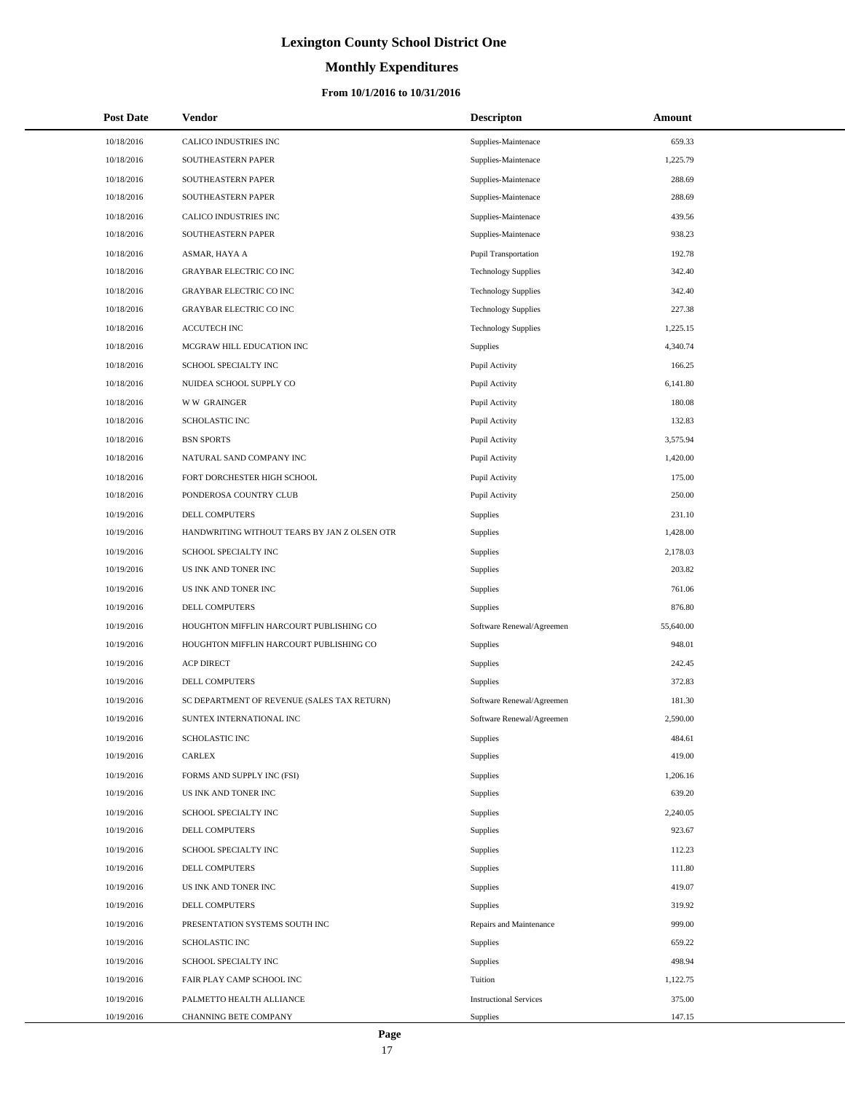# **Monthly Expenditures**

### **From 10/1/2016 to 10/31/2016**

| <b>Post Date</b> | <b>Vendor</b>                                | <b>Descripton</b>             | <b>Amount</b> |
|------------------|----------------------------------------------|-------------------------------|---------------|
| 10/18/2016       | CALICO INDUSTRIES INC                        | Supplies-Maintenace           | 659.33        |
| 10/18/2016       | SOUTHEASTERN PAPER                           | Supplies-Maintenace           | 1,225.79      |
| 10/18/2016       | SOUTHEASTERN PAPER                           | Supplies-Maintenace           | 288.69        |
| 10/18/2016       | SOUTHEASTERN PAPER                           | Supplies-Maintenace           | 288.69        |
| 10/18/2016       | CALICO INDUSTRIES INC                        | Supplies-Maintenace           | 439.56        |
| 10/18/2016       | SOUTHEASTERN PAPER                           | Supplies-Maintenace           | 938.23        |
| 10/18/2016       | ASMAR, HAYA A                                | <b>Pupil Transportation</b>   | 192.78        |
| 10/18/2016       | <b>GRAYBAR ELECTRIC CO INC</b>               | <b>Technology Supplies</b>    | 342.40        |
| 10/18/2016       | <b>GRAYBAR ELECTRIC CO INC</b>               | <b>Technology Supplies</b>    | 342.40        |
| 10/18/2016       | <b>GRAYBAR ELECTRIC CO INC</b>               | <b>Technology Supplies</b>    | 227.38        |
| 10/18/2016       | <b>ACCUTECH INC</b>                          | <b>Technology Supplies</b>    | 1,225.15      |
| 10/18/2016       | MCGRAW HILL EDUCATION INC                    | Supplies                      | 4,340.74      |
| 10/18/2016       | SCHOOL SPECIALTY INC                         | Pupil Activity                | 166.25        |
| 10/18/2016       | NUIDEA SCHOOL SUPPLY CO                      | Pupil Activity                | 6,141.80      |
| 10/18/2016       | <b>WW GRAINGER</b>                           | Pupil Activity                | 180.08        |
| 10/18/2016       | <b>SCHOLASTIC INC</b>                        | Pupil Activity                | 132.83        |
| 10/18/2016       | <b>BSN SPORTS</b>                            | Pupil Activity                | 3,575.94      |
| 10/18/2016       | NATURAL SAND COMPANY INC                     | Pupil Activity                | 1,420.00      |
| 10/18/2016       | FORT DORCHESTER HIGH SCHOOL                  | Pupil Activity                | 175.00        |
| 10/18/2016       | PONDEROSA COUNTRY CLUB                       | Pupil Activity                | 250.00        |
| 10/19/2016       | DELL COMPUTERS                               | Supplies                      | 231.10        |
| 10/19/2016       | HANDWRITING WITHOUT TEARS BY JAN Z OLSEN OTR | Supplies                      | 1,428.00      |
| 10/19/2016       | SCHOOL SPECIALTY INC                         | Supplies                      | 2,178.03      |
| 10/19/2016       | US INK AND TONER INC                         | Supplies                      | 203.82        |
| 10/19/2016       | US INK AND TONER INC                         | Supplies                      | 761.06        |
| 10/19/2016       | DELL COMPUTERS                               | Supplies                      | 876.80        |
| 10/19/2016       | HOUGHTON MIFFLIN HARCOURT PUBLISHING CO      | Software Renewal/Agreemen     | 55,640.00     |
| 10/19/2016       | HOUGHTON MIFFLIN HARCOURT PUBLISHING CO      | Supplies                      | 948.01        |
| 10/19/2016       | <b>ACP DIRECT</b>                            | Supplies                      | 242.45        |
| 10/19/2016       | DELL COMPUTERS                               | Supplies                      | 372.83        |
| 10/19/2016       | SC DEPARTMENT OF REVENUE (SALES TAX RETURN)  | Software Renewal/Agreemen     | 181.30        |
| 10/19/2016       | SUNTEX INTERNATIONAL INC                     | Software Renewal/Agreemen     | 2,590.00      |
| 10/19/2016       | SCHOLASTIC INC                               | Supplies                      | 484.61        |
| 10/19/2016       | <b>CARLEX</b>                                | Supplies                      | 419.00        |
| 10/19/2016       | FORMS AND SUPPLY INC (FSI)                   | Supplies                      | 1,206.16      |
| 10/19/2016       | US INK AND TONER INC                         | Supplies                      | 639.20        |
| 10/19/2016       | SCHOOL SPECIALTY INC                         | Supplies                      | 2,240.05      |
| 10/19/2016       | DELL COMPUTERS                               | Supplies                      | 923.67        |
| 10/19/2016       | SCHOOL SPECIALTY INC                         | Supplies                      | 112.23        |
| 10/19/2016       | DELL COMPUTERS                               | Supplies                      | 111.80        |
| 10/19/2016       | US INK AND TONER INC                         | Supplies                      | 419.07        |
| 10/19/2016       | DELL COMPUTERS                               | Supplies                      | 319.92        |
| 10/19/2016       | PRESENTATION SYSTEMS SOUTH INC               | Repairs and Maintenance       | 999.00        |
| 10/19/2016       | <b>SCHOLASTIC INC</b>                        | Supplies                      | 659.22        |
| 10/19/2016       | SCHOOL SPECIALTY INC                         | Supplies                      | 498.94        |
| 10/19/2016       | FAIR PLAY CAMP SCHOOL INC                    | Tuition                       | 1,122.75      |
| 10/19/2016       | PALMETTO HEALTH ALLIANCE                     | <b>Instructional Services</b> | 375.00        |
| 10/19/2016       | CHANNING BETE COMPANY                        | Supplies                      | 147.15        |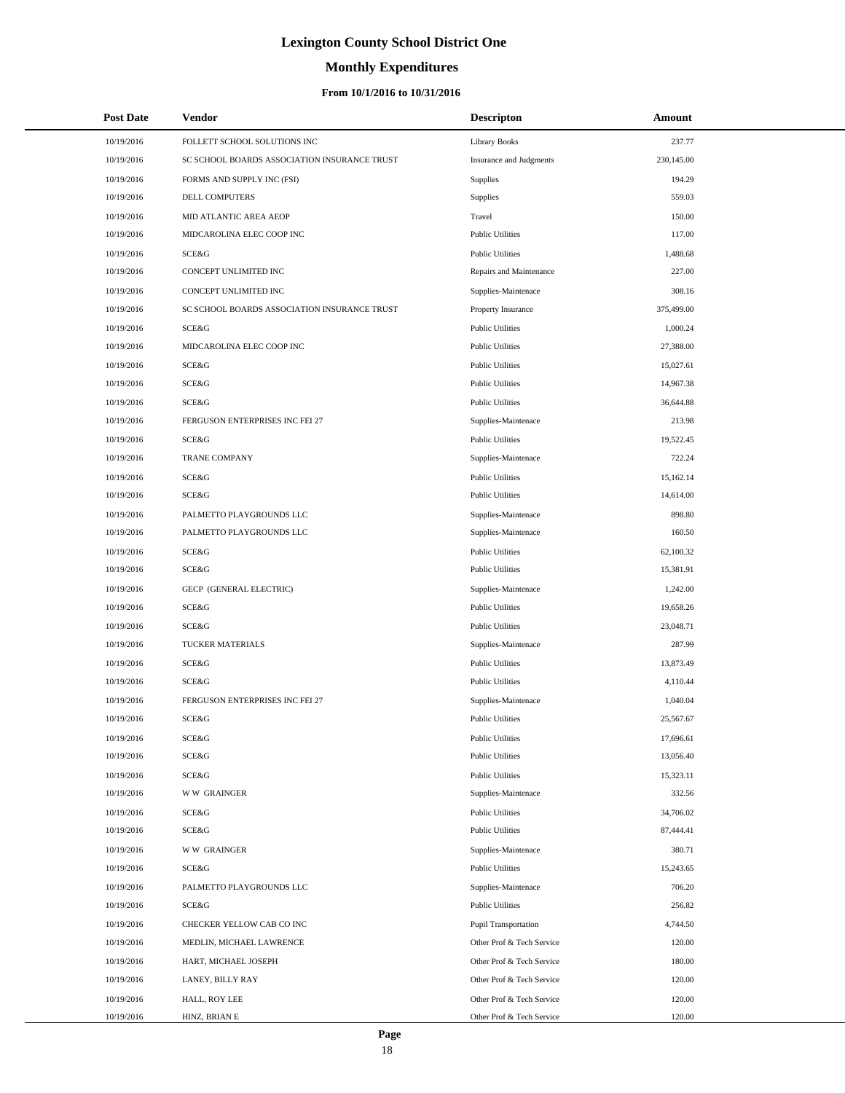# **Monthly Expenditures**

### **From 10/1/2016 to 10/31/2016**

| <b>Post Date</b>         | <b>Vendor</b>                                | <b>Descripton</b>                                  | Amount                 |  |
|--------------------------|----------------------------------------------|----------------------------------------------------|------------------------|--|
| 10/19/2016               | FOLLETT SCHOOL SOLUTIONS INC                 | <b>Library Books</b>                               | 237.77                 |  |
| 10/19/2016               | SC SCHOOL BOARDS ASSOCIATION INSURANCE TRUST | Insurance and Judgments                            | 230,145.00             |  |
| 10/19/2016               | FORMS AND SUPPLY INC (FSI)                   | Supplies                                           | 194.29                 |  |
| 10/19/2016               | DELL COMPUTERS                               | Supplies                                           | 559.03                 |  |
| 10/19/2016               | MID ATLANTIC AREA AEOP                       | Travel                                             | 150.00                 |  |
| 10/19/2016               | MIDCAROLINA ELEC COOP INC                    | <b>Public Utilities</b>                            | 117.00                 |  |
| 10/19/2016               | SCE&G                                        | <b>Public Utilities</b>                            | 1,488.68               |  |
| 10/19/2016               | CONCEPT UNLIMITED INC                        | Repairs and Maintenance                            | 227.00                 |  |
| 10/19/2016               | CONCEPT UNLIMITED INC                        | Supplies-Maintenace                                | 308.16                 |  |
| 10/19/2016               | SC SCHOOL BOARDS ASSOCIATION INSURANCE TRUST | Property Insurance                                 | 375,499.00             |  |
| 10/19/2016               | SCE&G                                        | <b>Public Utilities</b>                            | 1,000.24               |  |
| 10/19/2016               | MIDCAROLINA ELEC COOP INC                    | <b>Public Utilities</b>                            | 27,388.00              |  |
| 10/19/2016               | SCE&G                                        | <b>Public Utilities</b>                            | 15,027.61              |  |
| 10/19/2016               | SCE&G                                        | <b>Public Utilities</b>                            | 14,967.38              |  |
| 10/19/2016               | SCE&G                                        | <b>Public Utilities</b>                            | 36,644.88              |  |
| 10/19/2016               | FERGUSON ENTERPRISES INC FEI 27              | Supplies-Maintenace                                | 213.98                 |  |
| 10/19/2016               | SCE&G                                        | <b>Public Utilities</b>                            | 19,522.45              |  |
| 10/19/2016               | <b>TRANE COMPANY</b>                         | Supplies-Maintenace                                | 722.24                 |  |
| 10/19/2016               | SCE&G                                        | <b>Public Utilities</b>                            | 15,162.14              |  |
| 10/19/2016               | SCE&G                                        | <b>Public Utilities</b>                            | 14,614.00              |  |
| 10/19/2016               | PALMETTO PLAYGROUNDS LLC                     | Supplies-Maintenace                                | 898.80                 |  |
| 10/19/2016               | PALMETTO PLAYGROUNDS LLC                     | Supplies-Maintenace                                | 160.50                 |  |
| 10/19/2016               | SCE&G                                        | <b>Public Utilities</b>                            | 62,100.32              |  |
| 10/19/2016               | SCE&G                                        | <b>Public Utilities</b>                            | 15,381.91              |  |
| 10/19/2016               | GECP (GENERAL ELECTRIC)                      | Supplies-Maintenace                                | 1,242.00               |  |
| 10/19/2016               | SCE&G                                        | <b>Public Utilities</b>                            | 19,658.26              |  |
| 10/19/2016               | SCE&G                                        | <b>Public Utilities</b>                            | 23,048.71              |  |
| 10/19/2016               | TUCKER MATERIALS                             | Supplies-Maintenace                                | 287.99                 |  |
| 10/19/2016               | SCE&G                                        | <b>Public Utilities</b>                            | 13,873.49              |  |
| 10/19/2016               | SCE&G                                        | <b>Public Utilities</b>                            | 4,110.44               |  |
| 10/19/2016               | FERGUSON ENTERPRISES INC FEI 27              | Supplies-Maintenace                                | 1,040.04               |  |
| 10/19/2016               | SCE&G                                        | <b>Public Utilities</b>                            | 25,567.67              |  |
| 10/19/2016               | SCE&G                                        | <b>Public Utilities</b>                            | 17,696.61              |  |
| 10/19/2016               | SCE&G                                        | <b>Public Utilities</b>                            | 13,056.40              |  |
| 10/19/2016               | SCE&G                                        | <b>Public Utilities</b>                            | 15,323.11              |  |
| 10/19/2016               | <b>WW GRAINGER</b>                           | Supplies-Maintenace                                | 332.56                 |  |
| 10/19/2016<br>10/19/2016 | SCE&G<br>SCE&G                               | <b>Public Utilities</b><br><b>Public Utilities</b> | 34,706.02<br>87,444.41 |  |
| 10/19/2016               | <b>WW GRAINGER</b>                           | Supplies-Maintenace                                | 380.71                 |  |
| 10/19/2016               | SCE&G                                        | <b>Public Utilities</b>                            | 15,243.65              |  |
| 10/19/2016               | PALMETTO PLAYGROUNDS LLC                     | Supplies-Maintenace                                | 706.20                 |  |
| 10/19/2016               | SCE&G                                        | <b>Public Utilities</b>                            | 256.82                 |  |
| 10/19/2016               | CHECKER YELLOW CAB CO INC                    | Pupil Transportation                               | 4,744.50               |  |
| 10/19/2016               | MEDLIN, MICHAEL LAWRENCE                     | Other Prof & Tech Service                          | 120.00                 |  |
| 10/19/2016               | HART, MICHAEL JOSEPH                         | Other Prof & Tech Service                          | 180.00                 |  |
| 10/19/2016               | LANEY, BILLY RAY                             | Other Prof & Tech Service                          | 120.00                 |  |
| 10/19/2016               | HALL, ROY LEE                                | Other Prof & Tech Service                          | 120.00                 |  |
| 10/19/2016               | HINZ, BRIAN E                                | Other Prof & Tech Service                          | 120.00                 |  |

÷.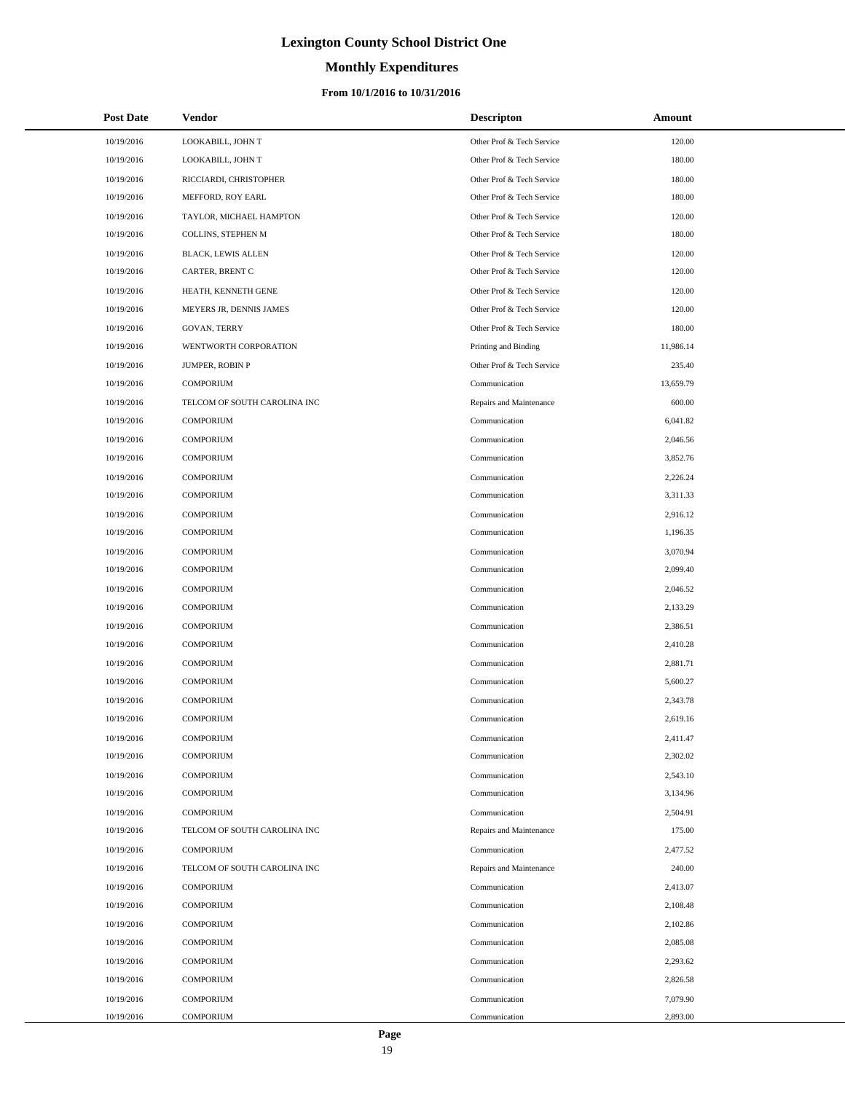# **Monthly Expenditures**

### **From 10/1/2016 to 10/31/2016**

| <b>Post Date</b> | Vendor                       | <b>Descripton</b>         | Amount    |
|------------------|------------------------------|---------------------------|-----------|
| 10/19/2016       | LOOKABILL, JOHN T            | Other Prof & Tech Service | 120.00    |
| 10/19/2016       | LOOKABILL, JOHN T            | Other Prof & Tech Service | 180.00    |
| 10/19/2016       | RICCIARDI, CHRISTOPHER       | Other Prof & Tech Service | 180.00    |
| 10/19/2016       | MEFFORD, ROY EARL            | Other Prof & Tech Service | 180.00    |
| 10/19/2016       | TAYLOR, MICHAEL HAMPTON      | Other Prof & Tech Service | 120.00    |
| 10/19/2016       | COLLINS, STEPHEN M           | Other Prof & Tech Service | 180.00    |
| 10/19/2016       | <b>BLACK, LEWIS ALLEN</b>    | Other Prof & Tech Service | 120.00    |
| 10/19/2016       | CARTER, BRENT C              | Other Prof & Tech Service | 120.00    |
| 10/19/2016       | HEATH, KENNETH GENE          | Other Prof & Tech Service | 120.00    |
| 10/19/2016       | MEYERS JR, DENNIS JAMES      | Other Prof & Tech Service | 120.00    |
| 10/19/2016       | <b>GOVAN, TERRY</b>          | Other Prof & Tech Service | 180.00    |
| 10/19/2016       | WENTWORTH CORPORATION        | Printing and Binding      | 11,986.14 |
| 10/19/2016       | JUMPER, ROBIN P              | Other Prof & Tech Service | 235.40    |
| 10/19/2016       | <b>COMPORIUM</b>             | Communication             | 13,659.79 |
| 10/19/2016       | TELCOM OF SOUTH CAROLINA INC | Repairs and Maintenance   | 600.00    |
| 10/19/2016       | <b>COMPORIUM</b>             | Communication             | 6,041.82  |
| 10/19/2016       | <b>COMPORIUM</b>             | Communication             | 2,046.56  |
| 10/19/2016       | <b>COMPORIUM</b>             | Communication             | 3,852.76  |
| 10/19/2016       | <b>COMPORIUM</b>             | Communication             | 2,226.24  |
| 10/19/2016       | <b>COMPORIUM</b>             | Communication             | 3,311.33  |
| 10/19/2016       | <b>COMPORIUM</b>             | Communication             | 2,916.12  |
| 10/19/2016       | <b>COMPORIUM</b>             | Communication             | 1,196.35  |
| 10/19/2016       | <b>COMPORIUM</b>             | Communication             | 3,070.94  |
| 10/19/2016       | <b>COMPORIUM</b>             | Communication             | 2,099.40  |
| 10/19/2016       | <b>COMPORIUM</b>             | Communication             | 2,046.52  |
| 10/19/2016       | <b>COMPORIUM</b>             | Communication             | 2,133.29  |
| 10/19/2016       | <b>COMPORIUM</b>             | Communication             | 2,386.51  |
| 10/19/2016       | <b>COMPORIUM</b>             | Communication             | 2,410.28  |
| 10/19/2016       | <b>COMPORIUM</b>             | Communication             | 2,881.71  |
| 10/19/2016       | <b>COMPORIUM</b>             | Communication             | 5,600.27  |
| 10/19/2016       | <b>COMPORIUM</b>             | Communication             | 2,343.78  |
| 10/19/2016       | <b>COMPORIUM</b>             | Communication             | 2,619.16  |
| 10/19/2016       | <b>COMPORIUM</b>             | Communication             | 2,411.47  |
| 10/19/2016       | <b>COMPORIUM</b>             | Communication             | 2,302.02  |
| 10/19/2016       | <b>COMPORIUM</b>             | Communication             | 2,543.10  |
| 10/19/2016       | <b>COMPORIUM</b>             | Communication             | 3,134.96  |
| 10/19/2016       | <b>COMPORIUM</b>             | Communication             | 2,504.91  |
| 10/19/2016       | TELCOM OF SOUTH CAROLINA INC | Repairs and Maintenance   | 175.00    |
| 10/19/2016       | <b>COMPORIUM</b>             | Communication             | 2,477.52  |
| 10/19/2016       | TELCOM OF SOUTH CAROLINA INC | Repairs and Maintenance   | 240.00    |
| 10/19/2016       | <b>COMPORIUM</b>             | Communication             | 2,413.07  |
| 10/19/2016       | <b>COMPORIUM</b>             | Communication             | 2,108.48  |
| 10/19/2016       | <b>COMPORIUM</b>             | Communication             | 2,102.86  |
| 10/19/2016       | <b>COMPORIUM</b>             | Communication             | 2,085.08  |
| 10/19/2016       | <b>COMPORIUM</b>             | Communication             | 2,293.62  |
| 10/19/2016       | <b>COMPORIUM</b>             | Communication             | 2,826.58  |
| 10/19/2016       | <b>COMPORIUM</b>             | Communication             | 7,079.90  |
| 10/19/2016       | <b>COMPORIUM</b>             | Communication             | 2,893.00  |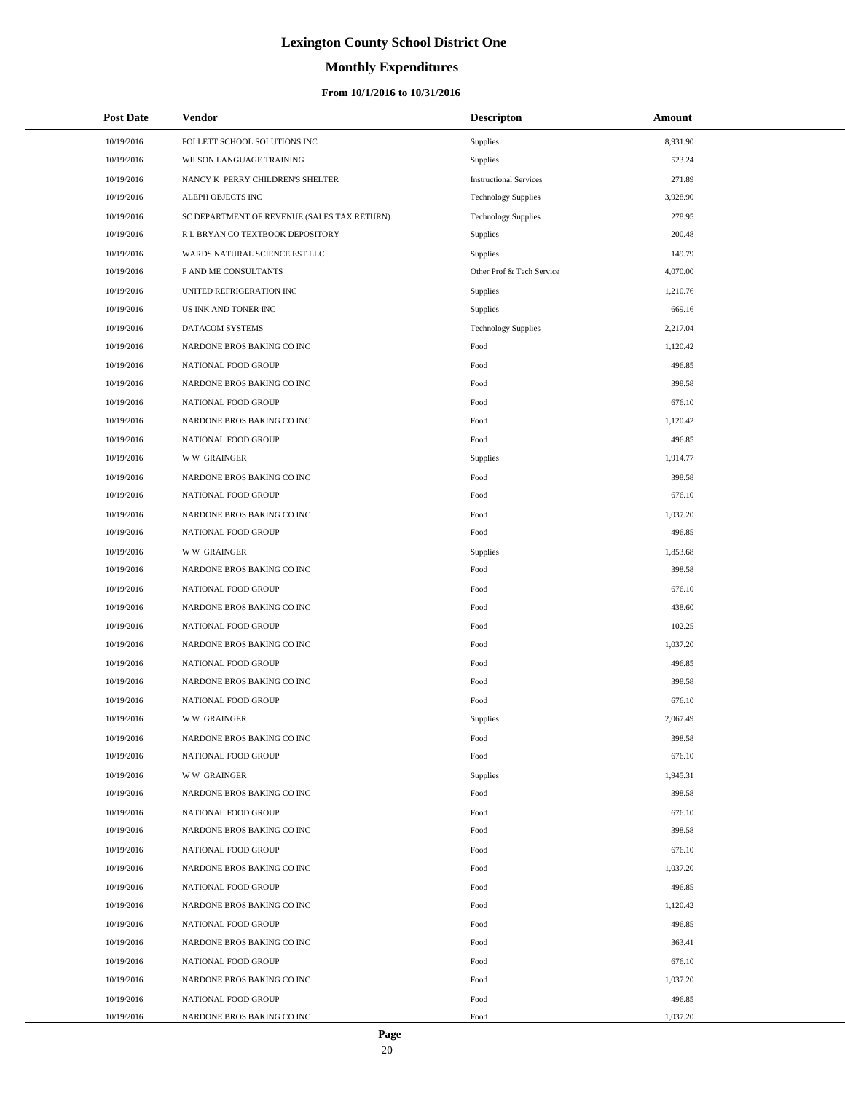# **Monthly Expenditures**

| <b>Post Date</b> | Vendor                                      | <b>Descripton</b>             | Amount   |  |
|------------------|---------------------------------------------|-------------------------------|----------|--|
| 10/19/2016       | FOLLETT SCHOOL SOLUTIONS INC                | Supplies                      | 8,931.90 |  |
| 10/19/2016       | WILSON LANGUAGE TRAINING                    | Supplies                      | 523.24   |  |
| 10/19/2016       | NANCY K PERRY CHILDREN'S SHELTER            | <b>Instructional Services</b> | 271.89   |  |
| 10/19/2016       | ALEPH OBJECTS INC                           | <b>Technology Supplies</b>    | 3,928.90 |  |
| 10/19/2016       | SC DEPARTMENT OF REVENUE (SALES TAX RETURN) | <b>Technology Supplies</b>    | 278.95   |  |
| 10/19/2016       | R L BRYAN CO TEXTBOOK DEPOSITORY            | <b>Supplies</b>               | 200.48   |  |
| 10/19/2016       | WARDS NATURAL SCIENCE EST LLC               | Supplies                      | 149.79   |  |
| 10/19/2016       | F AND ME CONSULTANTS                        | Other Prof & Tech Service     | 4,070.00 |  |
| 10/19/2016       | UNITED REFRIGERATION INC                    | Supplies                      | 1.210.76 |  |
| 10/19/2016       | US INK AND TONER INC                        | <b>Supplies</b>               | 669.16   |  |
| 10/19/2016       | DATACOM SYSTEMS                             | <b>Technology Supplies</b>    | 2,217.04 |  |
| 10/19/2016       | NARDONE BROS BAKING CO INC                  | Food                          | 1,120.42 |  |
| 10/19/2016       | NATIONAL FOOD GROUP                         | Food                          | 496.85   |  |
| 10/19/2016       | NARDONE BROS BAKING CO INC                  | Food                          | 398.58   |  |
| 10/19/2016       | NATIONAL FOOD GROUP                         | Food                          | 676.10   |  |
| 10/19/2016       | NARDONE BROS BAKING CO INC                  | Food                          | 1,120.42 |  |
| 10/19/2016       | NATIONAL FOOD GROUP                         | Food                          | 496.85   |  |
| 10/19/2016       | <b>WW GRAINGER</b>                          | Supplies                      | 1,914.77 |  |
| 10/19/2016       | NARDONE BROS BAKING CO INC                  | Food                          | 398.58   |  |
| 10/19/2016       | NATIONAL FOOD GROUP                         | Food                          | 676.10   |  |
| 10/19/2016       | NARDONE BROS BAKING CO INC                  | Food                          | 1,037.20 |  |
| 10/19/2016       | NATIONAL FOOD GROUP                         | Food                          | 496.85   |  |
| 10/19/2016       | <b>WW GRAINGER</b>                          | Supplies                      | 1,853.68 |  |
| 10/19/2016       | NARDONE BROS BAKING CO INC                  | Food                          | 398.58   |  |
| 10/19/2016       | NATIONAL FOOD GROUP                         | Food                          | 676.10   |  |
| 10/19/2016       | NARDONE BROS BAKING CO INC                  | Food                          | 438.60   |  |
| 10/19/2016       | NATIONAL FOOD GROUP                         | Food                          | 102.25   |  |
| 10/19/2016       | NARDONE BROS BAKING CO INC                  | Food                          | 1,037.20 |  |
| 10/19/2016       | NATIONAL FOOD GROUP                         | Food                          | 496.85   |  |
| 10/19/2016       | NARDONE BROS BAKING CO INC                  | Food                          | 398.58   |  |
| 10/19/2016       | NATIONAL FOOD GROUP                         | Food                          | 676.10   |  |
| 10/19/2016       | <b>WW GRAINGER</b>                          | Supplies                      | 2,067.49 |  |
| 10/19/2016       | NARDONE BROS BAKING CO INC                  | Food                          | 398.58   |  |
| 10/19/2016       | NATIONAL FOOD GROUP                         | Food                          | 676.10   |  |
| 10/19/2016       | <b>WW GRAINGER</b>                          | Supplies                      | 1,945.31 |  |
| 10/19/2016       | NARDONE BROS BAKING CO INC                  | Food                          | 398.58   |  |
| 10/19/2016       | NATIONAL FOOD GROUP                         | Food                          | 676.10   |  |
| 10/19/2016       | NARDONE BROS BAKING CO INC                  | Food                          | 398.58   |  |
| 10/19/2016       | NATIONAL FOOD GROUP                         | Food                          | 676.10   |  |
| 10/19/2016       | NARDONE BROS BAKING CO INC                  | Food                          | 1,037.20 |  |
| 10/19/2016       | NATIONAL FOOD GROUP                         | Food                          | 496.85   |  |
| 10/19/2016       | NARDONE BROS BAKING CO INC                  | Food                          | 1,120.42 |  |
| 10/19/2016       | NATIONAL FOOD GROUP                         | Food                          | 496.85   |  |
| 10/19/2016       | NARDONE BROS BAKING CO INC                  | Food                          | 363.41   |  |
| 10/19/2016       | NATIONAL FOOD GROUP                         | Food                          | 676.10   |  |
| 10/19/2016       | NARDONE BROS BAKING CO INC                  | Food                          | 1,037.20 |  |
| 10/19/2016       | NATIONAL FOOD GROUP                         | Food                          | 496.85   |  |
| 10/19/2016       | NARDONE BROS BAKING CO INC                  | Food                          | 1,037.20 |  |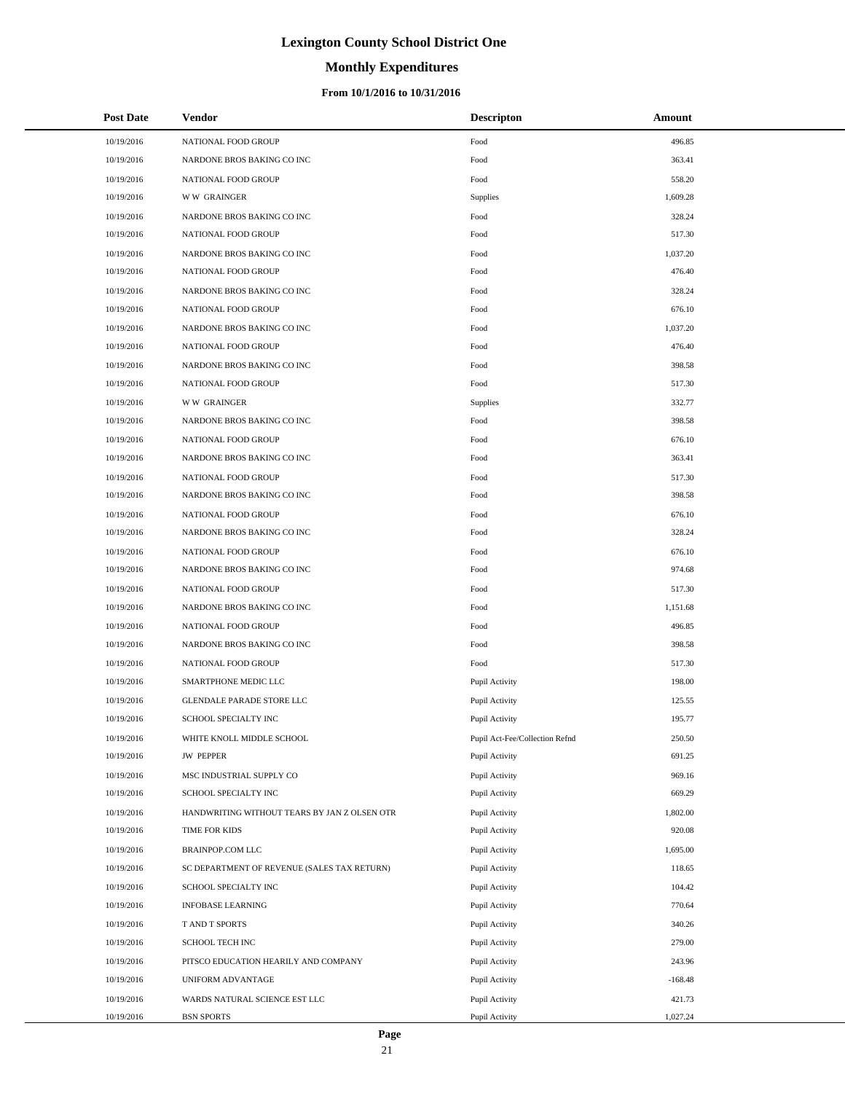# **Monthly Expenditures**

### **From 10/1/2016 to 10/31/2016**

| <b>Post Date</b> | Vendor                                       | <b>Descripton</b>              | Amount    |  |
|------------------|----------------------------------------------|--------------------------------|-----------|--|
| 10/19/2016       | NATIONAL FOOD GROUP                          | Food                           | 496.85    |  |
| 10/19/2016       | NARDONE BROS BAKING CO INC                   | Food                           | 363.41    |  |
| 10/19/2016       | NATIONAL FOOD GROUP                          | Food                           | 558.20    |  |
| 10/19/2016       | <b>WW GRAINGER</b>                           | Supplies                       | 1,609.28  |  |
| 10/19/2016       | NARDONE BROS BAKING CO INC                   | Food                           | 328.24    |  |
| 10/19/2016       | NATIONAL FOOD GROUP                          | Food                           | 517.30    |  |
| 10/19/2016       | NARDONE BROS BAKING CO INC                   | Food                           | 1,037.20  |  |
| 10/19/2016       | NATIONAL FOOD GROUP                          | Food                           | 476.40    |  |
| 10/19/2016       | NARDONE BROS BAKING CO INC                   | Food                           | 328.24    |  |
| 10/19/2016       | NATIONAL FOOD GROUP                          | Food                           | 676.10    |  |
| 10/19/2016       | NARDONE BROS BAKING CO INC                   | Food                           | 1,037.20  |  |
| 10/19/2016       | NATIONAL FOOD GROUP                          | Food                           | 476.40    |  |
| 10/19/2016       | NARDONE BROS BAKING CO INC                   | Food                           | 398.58    |  |
| 10/19/2016       | NATIONAL FOOD GROUP                          | Food                           | 517.30    |  |
| 10/19/2016       | <b>WW GRAINGER</b>                           | Supplies                       | 332.77    |  |
| 10/19/2016       | NARDONE BROS BAKING CO INC                   | Food                           | 398.58    |  |
| 10/19/2016       | NATIONAL FOOD GROUP                          | Food                           | 676.10    |  |
| 10/19/2016       | NARDONE BROS BAKING CO INC                   | Food                           | 363.41    |  |
| 10/19/2016       | NATIONAL FOOD GROUP                          | Food                           | 517.30    |  |
| 10/19/2016       | NARDONE BROS BAKING CO INC                   | Food                           | 398.58    |  |
| 10/19/2016       | NATIONAL FOOD GROUP                          | Food                           | 676.10    |  |
| 10/19/2016       | NARDONE BROS BAKING CO INC                   | Food                           | 328.24    |  |
| 10/19/2016       | NATIONAL FOOD GROUP                          | Food                           | 676.10    |  |
| 10/19/2016       | NARDONE BROS BAKING CO INC                   | Food                           | 974.68    |  |
| 10/19/2016       | NATIONAL FOOD GROUP                          | Food                           | 517.30    |  |
| 10/19/2016       | NARDONE BROS BAKING CO INC                   | Food                           | 1,151.68  |  |
| 10/19/2016       | NATIONAL FOOD GROUP                          | Food                           | 496.85    |  |
| 10/19/2016       | NARDONE BROS BAKING CO INC                   | Food                           | 398.58    |  |
| 10/19/2016       | NATIONAL FOOD GROUP                          | Food                           | 517.30    |  |
| 10/19/2016       | SMARTPHONE MEDIC LLC                         | Pupil Activity                 | 198.00    |  |
| 10/19/2016       | GLENDALE PARADE STORE LLC                    | Pupil Activity                 | 125.55    |  |
| 10/19/2016       | SCHOOL SPECIALTY INC                         | Pupil Activity                 | 195.77    |  |
| 10/19/2016       | WHITE KNOLL MIDDLE SCHOOL                    | Pupil Act-Fee/Collection Refnd | 250.50    |  |
| 10/19/2016       | <b>JW PEPPER</b>                             | Pupil Activity                 | 691.25    |  |
| 10/19/2016       | MSC INDUSTRIAL SUPPLY CO                     | Pupil Activity                 | 969.16    |  |
| 10/19/2016       | SCHOOL SPECIALTY INC                         | Pupil Activity                 | 669.29    |  |
| 10/19/2016       | HANDWRITING WITHOUT TEARS BY JAN Z OLSEN OTR | Pupil Activity                 | 1,802.00  |  |
| 10/19/2016       | TIME FOR KIDS                                | Pupil Activity                 | 920.08    |  |
| 10/19/2016       | BRAINPOP.COM LLC                             | Pupil Activity                 | 1,695.00  |  |
| 10/19/2016       | SC DEPARTMENT OF REVENUE (SALES TAX RETURN)  | Pupil Activity                 | 118.65    |  |
| 10/19/2016       | SCHOOL SPECIALTY INC                         | Pupil Activity                 | 104.42    |  |
| 10/19/2016       | <b>INFOBASE LEARNING</b>                     | Pupil Activity                 | 770.64    |  |
| 10/19/2016       | T AND T SPORTS                               | Pupil Activity                 | 340.26    |  |
| 10/19/2016       | SCHOOL TECH INC                              | Pupil Activity                 | 279.00    |  |
| 10/19/2016       | PITSCO EDUCATION HEARILY AND COMPANY         | Pupil Activity                 | 243.96    |  |
| 10/19/2016       | UNIFORM ADVANTAGE                            | Pupil Activity                 | $-168.48$ |  |
| 10/19/2016       | WARDS NATURAL SCIENCE EST LLC                | Pupil Activity                 | 421.73    |  |
| 10/19/2016       | <b>BSN SPORTS</b>                            | Pupil Activity                 | 1,027.24  |  |

 $\overline{a}$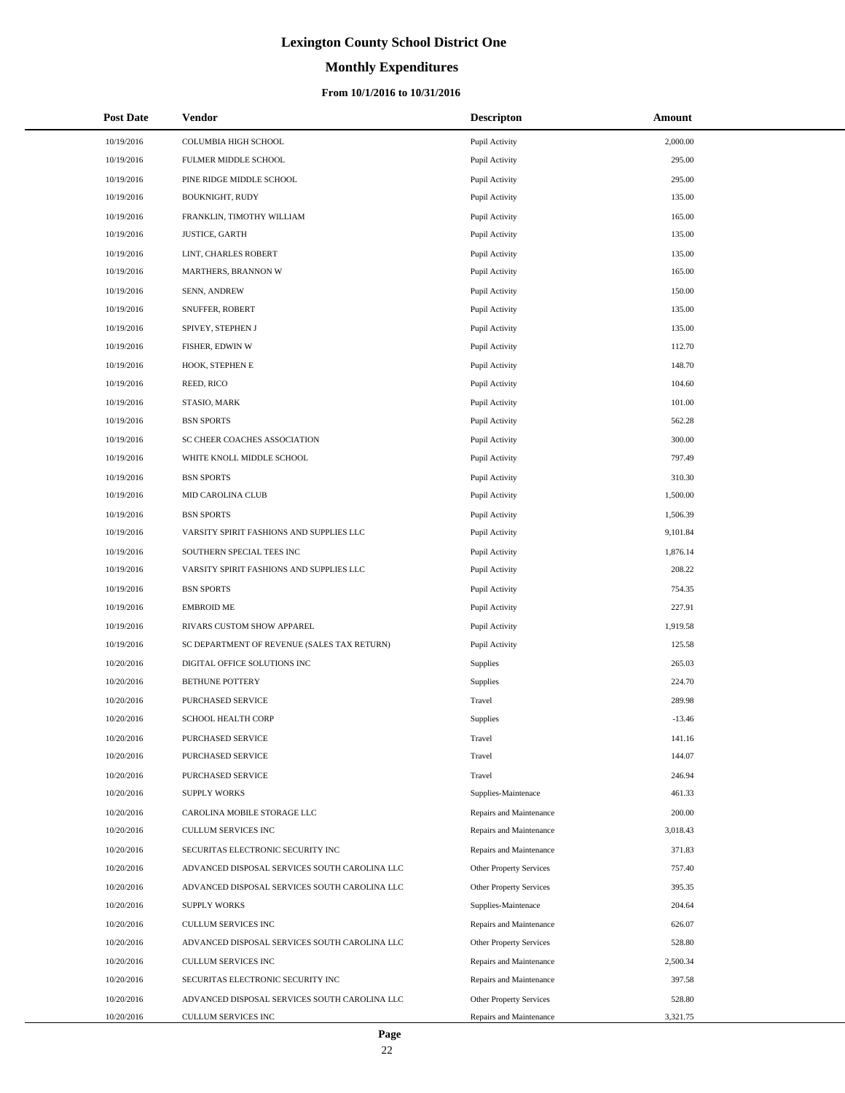# **Monthly Expenditures**

| <b>Post Date</b>         | <b>Vendor</b>                                                                                  | <b>Descripton</b>                                  | Amount           |
|--------------------------|------------------------------------------------------------------------------------------------|----------------------------------------------------|------------------|
| 10/19/2016               | COLUMBIA HIGH SCHOOL                                                                           | Pupil Activity                                     | 2,000.00         |
| 10/19/2016               | FULMER MIDDLE SCHOOL                                                                           | Pupil Activity                                     | 295.00           |
| 10/19/2016               | PINE RIDGE MIDDLE SCHOOL                                                                       | Pupil Activity                                     | 295.00           |
| 10/19/2016               | <b>BOUKNIGHT, RUDY</b>                                                                         | Pupil Activity                                     | 135.00           |
| 10/19/2016               | FRANKLIN, TIMOTHY WILLIAM                                                                      | Pupil Activity                                     | 165.00           |
| 10/19/2016               | <b>JUSTICE, GARTH</b>                                                                          | Pupil Activity                                     | 135.00           |
| 10/19/2016               | LINT, CHARLES ROBERT                                                                           | Pupil Activity                                     | 135.00           |
| 10/19/2016               | MARTHERS, BRANNON W                                                                            | Pupil Activity                                     | 165.00           |
| 10/19/2016               | SENN, ANDREW                                                                                   | Pupil Activity                                     | 150.00           |
| 10/19/2016               | SNUFFER, ROBERT                                                                                | Pupil Activity                                     | 135.00           |
| 10/19/2016               | SPIVEY, STEPHEN J                                                                              | Pupil Activity                                     | 135.00           |
| 10/19/2016               | FISHER, EDWIN W                                                                                | Pupil Activity                                     | 112.70           |
| 10/19/2016               | HOOK, STEPHEN E                                                                                | Pupil Activity                                     | 148.70           |
| 10/19/2016               | REED, RICO                                                                                     | Pupil Activity                                     | 104.60           |
| 10/19/2016               | STASIO, MARK                                                                                   | Pupil Activity                                     | 101.00           |
| 10/19/2016               | <b>BSN SPORTS</b>                                                                              | Pupil Activity                                     | 562.28           |
| 10/19/2016               | SC CHEER COACHES ASSOCIATION                                                                   | Pupil Activity                                     | 300.00           |
| 10/19/2016               | WHITE KNOLL MIDDLE SCHOOL                                                                      | Pupil Activity                                     | 797.49           |
| 10/19/2016               | <b>BSN SPORTS</b>                                                                              | Pupil Activity                                     | 310.30           |
| 10/19/2016               | MID CAROLINA CLUB                                                                              | Pupil Activity                                     | 1,500.00         |
| 10/19/2016               | <b>BSN SPORTS</b>                                                                              | Pupil Activity                                     | 1,506.39         |
| 10/19/2016               | VARSITY SPIRIT FASHIONS AND SUPPLIES LLC                                                       | Pupil Activity                                     | 9,101.84         |
| 10/19/2016               | SOUTHERN SPECIAL TEES INC                                                                      | Pupil Activity                                     | 1,876.14         |
| 10/19/2016               | VARSITY SPIRIT FASHIONS AND SUPPLIES LLC                                                       | Pupil Activity                                     | 208.22           |
| 10/19/2016               | <b>BSN SPORTS</b>                                                                              | Pupil Activity                                     | 754.35           |
| 10/19/2016               | <b>EMBROID ME</b>                                                                              | Pupil Activity                                     | 227.91           |
| 10/19/2016               | RIVARS CUSTOM SHOW APPAREL                                                                     | Pupil Activity                                     | 1,919.58         |
| 10/19/2016               | SC DEPARTMENT OF REVENUE (SALES TAX RETURN)                                                    | Pupil Activity                                     | 125.58           |
| 10/20/2016               | DIGITAL OFFICE SOLUTIONS INC                                                                   | <b>Supplies</b>                                    | 265.03           |
| 10/20/2016               | BETHUNE POTTERY                                                                                | <b>Supplies</b>                                    | 224.70           |
| 10/20/2016               | <b>PURCHASED SERVICE</b>                                                                       | Travel                                             | 289.98           |
| 10/20/2016               | SCHOOL HEALTH CORP                                                                             | <b>Supplies</b>                                    | $-13.46$         |
| 10/20/2016               | PURCHASED SERVICE                                                                              | Travel                                             | 141.16           |
| 10/20/2016               | <b>PURCHASED SERVICE</b>                                                                       | Travel                                             | 144.07           |
| 10/20/2016               | PURCHASED SERVICE                                                                              | Travel                                             | 246.94           |
| 10/20/2016               | <b>SUPPLY WORKS</b>                                                                            | Supplies-Maintenace                                | 461.33           |
| 10/20/2016               | CAROLINA MOBILE STORAGE LLC                                                                    | Repairs and Maintenance                            | 200.00           |
| 10/20/2016               | CULLUM SERVICES INC                                                                            | Repairs and Maintenance                            | 3,018.43         |
| 10/20/2016<br>10/20/2016 | SECURITAS ELECTRONIC SECURITY INC                                                              | Repairs and Maintenance                            | 371.83<br>757.40 |
|                          | ADVANCED DISPOSAL SERVICES SOUTH CAROLINA LLC<br>ADVANCED DISPOSAL SERVICES SOUTH CAROLINA LLC | Other Property Services<br>Other Property Services |                  |
| 10/20/2016<br>10/20/2016 | <b>SUPPLY WORKS</b>                                                                            | Supplies-Maintenace                                | 395.35<br>204.64 |
| 10/20/2016               | CULLUM SERVICES INC                                                                            |                                                    | 626.07           |
| 10/20/2016               | ADVANCED DISPOSAL SERVICES SOUTH CAROLINA LLC                                                  | Repairs and Maintenance<br>Other Property Services | 528.80           |
| 10/20/2016               | CULLUM SERVICES INC                                                                            | Repairs and Maintenance                            | 2,500.34         |
| 10/20/2016               | SECURITAS ELECTRONIC SECURITY INC                                                              | Repairs and Maintenance                            | 397.58           |
| 10/20/2016               | ADVANCED DISPOSAL SERVICES SOUTH CAROLINA LLC                                                  | Other Property Services                            | 528.80           |
| 10/20/2016               | CULLUM SERVICES INC                                                                            | Repairs and Maintenance                            | 3,321.75         |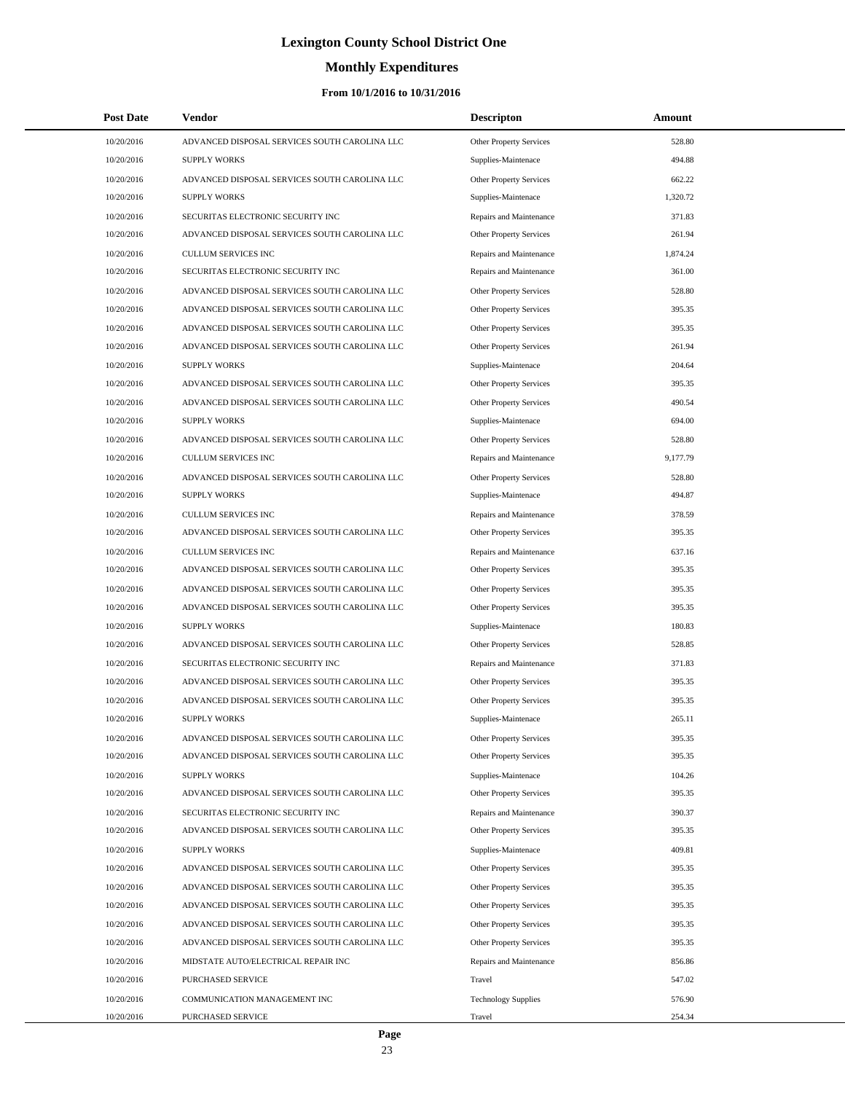# **Monthly Expenditures**

| <b>Post Date</b> | Vendor                                        | <b>Descripton</b>          | Amount   |  |
|------------------|-----------------------------------------------|----------------------------|----------|--|
| 10/20/2016       | ADVANCED DISPOSAL SERVICES SOUTH CAROLINA LLC | Other Property Services    | 528.80   |  |
| 10/20/2016       | <b>SUPPLY WORKS</b>                           | Supplies-Maintenace        | 494.88   |  |
| 10/20/2016       | ADVANCED DISPOSAL SERVICES SOUTH CAROLINA LLC | Other Property Services    | 662.22   |  |
| 10/20/2016       | <b>SUPPLY WORKS</b>                           | Supplies-Maintenace        | 1,320.72 |  |
| 10/20/2016       | SECURITAS ELECTRONIC SECURITY INC             | Repairs and Maintenance    | 371.83   |  |
| 10/20/2016       | ADVANCED DISPOSAL SERVICES SOUTH CAROLINA LLC | Other Property Services    | 261.94   |  |
| 10/20/2016       | <b>CULLUM SERVICES INC</b>                    | Repairs and Maintenance    | 1,874.24 |  |
| 10/20/2016       | SECURITAS ELECTRONIC SECURITY INC             | Repairs and Maintenance    | 361.00   |  |
| 10/20/2016       | ADVANCED DISPOSAL SERVICES SOUTH CAROLINA LLC | Other Property Services    | 528.80   |  |
| 10/20/2016       | ADVANCED DISPOSAL SERVICES SOUTH CAROLINA LLC | Other Property Services    | 395.35   |  |
| 10/20/2016       | ADVANCED DISPOSAL SERVICES SOUTH CAROLINA LLC | Other Property Services    | 395.35   |  |
| 10/20/2016       | ADVANCED DISPOSAL SERVICES SOUTH CAROLINA LLC | Other Property Services    | 261.94   |  |
| 10/20/2016       | <b>SUPPLY WORKS</b>                           | Supplies-Maintenace        | 204.64   |  |
| 10/20/2016       | ADVANCED DISPOSAL SERVICES SOUTH CAROLINA LLC | Other Property Services    | 395.35   |  |
| 10/20/2016       | ADVANCED DISPOSAL SERVICES SOUTH CAROLINA LLC | Other Property Services    | 490.54   |  |
| 10/20/2016       | <b>SUPPLY WORKS</b>                           | Supplies-Maintenace        | 694.00   |  |
| 10/20/2016       | ADVANCED DISPOSAL SERVICES SOUTH CAROLINA LLC | Other Property Services    | 528.80   |  |
| 10/20/2016       | CULLUM SERVICES INC                           | Repairs and Maintenance    | 9,177.79 |  |
| 10/20/2016       | ADVANCED DISPOSAL SERVICES SOUTH CAROLINA LLC | Other Property Services    | 528.80   |  |
| 10/20/2016       | <b>SUPPLY WORKS</b>                           | Supplies-Maintenace        | 494.87   |  |
| 10/20/2016       | <b>CULLUM SERVICES INC</b>                    | Repairs and Maintenance    | 378.59   |  |
| 10/20/2016       | ADVANCED DISPOSAL SERVICES SOUTH CAROLINA LLC | Other Property Services    | 395.35   |  |
| 10/20/2016       | <b>CULLUM SERVICES INC</b>                    | Repairs and Maintenance    | 637.16   |  |
| 10/20/2016       | ADVANCED DISPOSAL SERVICES SOUTH CAROLINA LLC | Other Property Services    | 395.35   |  |
| 10/20/2016       | ADVANCED DISPOSAL SERVICES SOUTH CAROLINA LLC | Other Property Services    | 395.35   |  |
| 10/20/2016       | ADVANCED DISPOSAL SERVICES SOUTH CAROLINA LLC | Other Property Services    | 395.35   |  |
| 10/20/2016       | <b>SUPPLY WORKS</b>                           | Supplies-Maintenace        | 180.83   |  |
| 10/20/2016       | ADVANCED DISPOSAL SERVICES SOUTH CAROLINA LLC | Other Property Services    | 528.85   |  |
| 10/20/2016       | SECURITAS ELECTRONIC SECURITY INC             | Repairs and Maintenance    | 371.83   |  |
| 10/20/2016       | ADVANCED DISPOSAL SERVICES SOUTH CAROLINA LLC | Other Property Services    | 395.35   |  |
| 10/20/2016       | ADVANCED DISPOSAL SERVICES SOUTH CAROLINA LLC | Other Property Services    | 395.35   |  |
| 10/20/2016       | <b>SUPPLY WORKS</b>                           | Supplies-Maintenace        | 265.11   |  |
| 10/20/2016       | ADVANCED DISPOSAL SERVICES SOUTH CAROLINA LLC | Other Property Services    | 395.35   |  |
| 10/20/2016       | ADVANCED DISPOSAL SERVICES SOUTH CAROLINA LLC | Other Property Services    | 395.35   |  |
| 10/20/2016       | <b>SUPPLY WORKS</b>                           | Supplies-Maintenace        | 104.26   |  |
| 10/20/2016       | ADVANCED DISPOSAL SERVICES SOUTH CAROLINA LLC | Other Property Services    | 395.35   |  |
| 10/20/2016       | SECURITAS ELECTRONIC SECURITY INC             | Repairs and Maintenance    | 390.37   |  |
| 10/20/2016       | ADVANCED DISPOSAL SERVICES SOUTH CAROLINA LLC | Other Property Services    | 395.35   |  |
| 10/20/2016       | <b>SUPPLY WORKS</b>                           | Supplies-Maintenace        | 409.81   |  |
| 10/20/2016       | ADVANCED DISPOSAL SERVICES SOUTH CAROLINA LLC | Other Property Services    | 395.35   |  |
| 10/20/2016       | ADVANCED DISPOSAL SERVICES SOUTH CAROLINA LLC | Other Property Services    | 395.35   |  |
| 10/20/2016       | ADVANCED DISPOSAL SERVICES SOUTH CAROLINA LLC | Other Property Services    | 395.35   |  |
| 10/20/2016       | ADVANCED DISPOSAL SERVICES SOUTH CAROLINA LLC | Other Property Services    | 395.35   |  |
| 10/20/2016       | ADVANCED DISPOSAL SERVICES SOUTH CAROLINA LLC | Other Property Services    | 395.35   |  |
| 10/20/2016       | MIDSTATE AUTO/ELECTRICAL REPAIR INC           | Repairs and Maintenance    | 856.86   |  |
| 10/20/2016       | PURCHASED SERVICE                             | Travel                     | 547.02   |  |
| 10/20/2016       | COMMUNICATION MANAGEMENT INC                  | <b>Technology Supplies</b> | 576.90   |  |
| 10/20/2016       | PURCHASED SERVICE                             | Travel                     | 254.34   |  |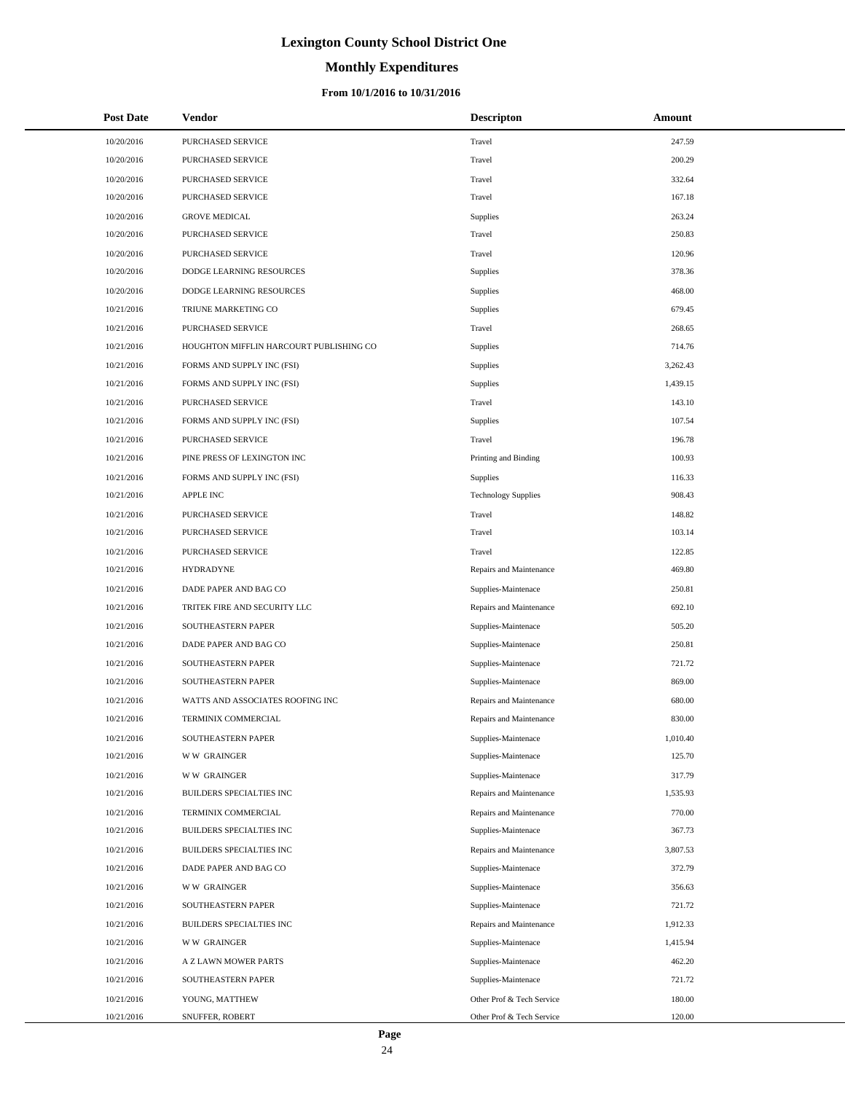# **Monthly Expenditures**

| <b>Post Date</b> | Vendor                                  | <b>Descripton</b>          | Amount   |
|------------------|-----------------------------------------|----------------------------|----------|
| 10/20/2016       | PURCHASED SERVICE                       | Travel                     | 247.59   |
| 10/20/2016       | PURCHASED SERVICE                       | Travel                     | 200.29   |
| 10/20/2016       | PURCHASED SERVICE                       | Travel                     | 332.64   |
| 10/20/2016       | PURCHASED SERVICE                       | Travel                     | 167.18   |
| 10/20/2016       | <b>GROVE MEDICAL</b>                    | Supplies                   | 263.24   |
| 10/20/2016       | PURCHASED SERVICE                       | Travel                     | 250.83   |
| 10/20/2016       | PURCHASED SERVICE                       | Travel                     | 120.96   |
| 10/20/2016       | DODGE LEARNING RESOURCES                | Supplies                   | 378.36   |
| 10/20/2016       | DODGE LEARNING RESOURCES                | Supplies                   | 468.00   |
| 10/21/2016       | TRIUNE MARKETING CO                     | Supplies                   | 679.45   |
| 10/21/2016       | PURCHASED SERVICE                       | Travel                     | 268.65   |
| 10/21/2016       | HOUGHTON MIFFLIN HARCOURT PUBLISHING CO | Supplies                   | 714.76   |
| 10/21/2016       | FORMS AND SUPPLY INC (FSI)              | <b>Supplies</b>            | 3,262.43 |
| 10/21/2016       | FORMS AND SUPPLY INC (FSI)              | Supplies                   | 1.439.15 |
| 10/21/2016       | PURCHASED SERVICE                       | Travel                     | 143.10   |
| 10/21/2016       | FORMS AND SUPPLY INC (FSI)              | Supplies                   | 107.54   |
| 10/21/2016       | PURCHASED SERVICE                       | Travel                     | 196.78   |
| 10/21/2016       | PINE PRESS OF LEXINGTON INC             | Printing and Binding       | 100.93   |
| 10/21/2016       | FORMS AND SUPPLY INC (FSI)              | <b>Supplies</b>            | 116.33   |
| 10/21/2016       | <b>APPLE INC</b>                        | <b>Technology Supplies</b> | 908.43   |
| 10/21/2016       | PURCHASED SERVICE                       | Travel                     | 148.82   |
| 10/21/2016       | PURCHASED SERVICE                       | Travel                     | 103.14   |
| 10/21/2016       | PURCHASED SERVICE                       | Travel                     | 122.85   |
| 10/21/2016       | <b>HYDRADYNE</b>                        | Repairs and Maintenance    | 469.80   |
| 10/21/2016       | DADE PAPER AND BAG CO                   | Supplies-Maintenace        | 250.81   |
| 10/21/2016       | TRITEK FIRE AND SECURITY LLC            | Repairs and Maintenance    | 692.10   |
| 10/21/2016       | SOUTHEASTERN PAPER                      | Supplies-Maintenace        | 505.20   |
| 10/21/2016       | DADE PAPER AND BAG CO                   | Supplies-Maintenace        | 250.81   |
| 10/21/2016       | SOUTHEASTERN PAPER                      | Supplies-Maintenace        | 721.72   |
| 10/21/2016       | SOUTHEASTERN PAPER                      | Supplies-Maintenace        | 869.00   |
| 10/21/2016       | WATTS AND ASSOCIATES ROOFING INC        | Repairs and Maintenance    | 680.00   |
| 10/21/2016       | TERMINIX COMMERCIAL                     | Repairs and Maintenance    | 830.00   |
| 10/21/2016       | SOUTHEASTERN PAPER                      | Supplies-Maintenace        | 1,010.40 |
| 10/21/2016       | <b>WW GRAINGER</b>                      | Supplies-Maintenace        | 125.70   |
| 10/21/2016       | <b>WW GRAINGER</b>                      | Supplies-Maintenace        | 317.79   |
| 10/21/2016       | BUILDERS SPECIALTIES INC                | Repairs and Maintenance    | 1,535.93 |
| 10/21/2016       | TERMINIX COMMERCIAL                     | Repairs and Maintenance    | 770.00   |
| 10/21/2016       | BUILDERS SPECIALTIES INC                | Supplies-Maintenace        | 367.73   |
| 10/21/2016       | BUILDERS SPECIALTIES INC                | Repairs and Maintenance    | 3,807.53 |
| 10/21/2016       | DADE PAPER AND BAG CO                   | Supplies-Maintenace        | 372.79   |
| 10/21/2016       | <b>WW GRAINGER</b>                      | Supplies-Maintenace        | 356.63   |
| 10/21/2016       | SOUTHEASTERN PAPER                      | Supplies-Maintenace        | 721.72   |
| 10/21/2016       | BUILDERS SPECIALTIES INC                | Repairs and Maintenance    | 1,912.33 |
| 10/21/2016       | <b>WW GRAINGER</b>                      | Supplies-Maintenace        | 1,415.94 |
| 10/21/2016       | A Z LAWN MOWER PARTS                    | Supplies-Maintenace        | 462.20   |
| 10/21/2016       | SOUTHEASTERN PAPER                      | Supplies-Maintenace        | 721.72   |
| 10/21/2016       | YOUNG, MATTHEW                          | Other Prof & Tech Service  | 180.00   |
| 10/21/2016       | SNUFFER, ROBERT                         | Other Prof & Tech Service  | 120.00   |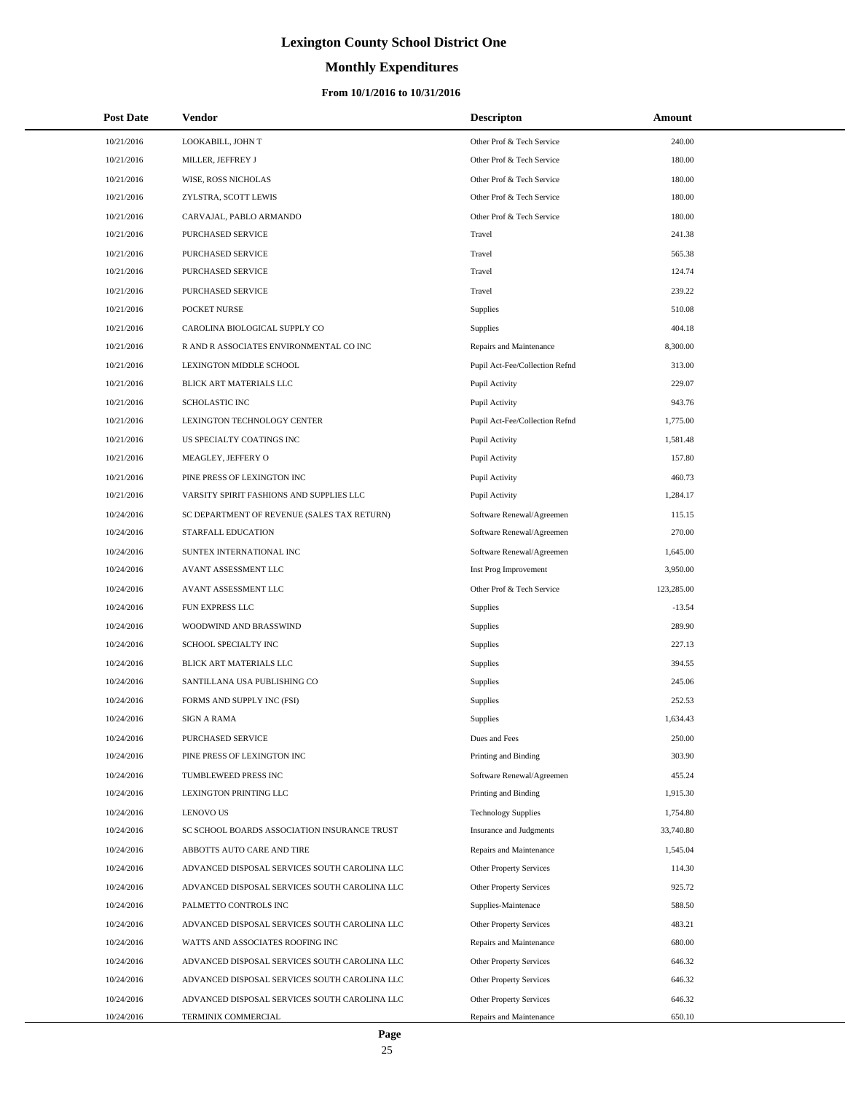# **Monthly Expenditures**

| <b>Post Date</b> | Vendor                                        | <b>Descripton</b>              | Amount     |
|------------------|-----------------------------------------------|--------------------------------|------------|
| 10/21/2016       | LOOKABILL, JOHN T                             | Other Prof & Tech Service      | 240.00     |
| 10/21/2016       | MILLER, JEFFREY J                             | Other Prof & Tech Service      | 180.00     |
| 10/21/2016       | WISE, ROSS NICHOLAS                           | Other Prof & Tech Service      | 180.00     |
| 10/21/2016       | ZYLSTRA, SCOTT LEWIS                          | Other Prof & Tech Service      | 180.00     |
| 10/21/2016       | CARVAJAL, PABLO ARMANDO                       | Other Prof & Tech Service      | 180.00     |
| 10/21/2016       | PURCHASED SERVICE                             | Travel                         | 241.38     |
| 10/21/2016       | PURCHASED SERVICE                             | Travel                         | 565.38     |
| 10/21/2016       | PURCHASED SERVICE                             | Travel                         | 124.74     |
| 10/21/2016       | PURCHASED SERVICE                             | Travel                         | 239.22     |
| 10/21/2016       | POCKET NURSE                                  | Supplies                       | 510.08     |
| 10/21/2016       | CAROLINA BIOLOGICAL SUPPLY CO                 | <b>Supplies</b>                | 404.18     |
| 10/21/2016       | R AND R ASSOCIATES ENVIRONMENTAL CO INC       | Repairs and Maintenance        | 8,300.00   |
| 10/21/2016       | LEXINGTON MIDDLE SCHOOL                       | Pupil Act-Fee/Collection Refnd | 313.00     |
| 10/21/2016       | BLICK ART MATERIALS LLC                       | Pupil Activity                 | 229.07     |
| 10/21/2016       | SCHOLASTIC INC                                | Pupil Activity                 | 943.76     |
| 10/21/2016       | LEXINGTON TECHNOLOGY CENTER                   | Pupil Act-Fee/Collection Refnd | 1,775.00   |
| 10/21/2016       | US SPECIALTY COATINGS INC                     | Pupil Activity                 | 1,581.48   |
| 10/21/2016       | MEAGLEY, JEFFERY O                            | Pupil Activity                 | 157.80     |
| 10/21/2016       | PINE PRESS OF LEXINGTON INC                   | Pupil Activity                 | 460.73     |
| 10/21/2016       | VARSITY SPIRIT FASHIONS AND SUPPLIES LLC      | Pupil Activity                 | 1,284.17   |
| 10/24/2016       | SC DEPARTMENT OF REVENUE (SALES TAX RETURN)   | Software Renewal/Agreemen      | 115.15     |
| 10/24/2016       | STARFALL EDUCATION                            | Software Renewal/Agreemen      | 270.00     |
| 10/24/2016       | SUNTEX INTERNATIONAL INC                      | Software Renewal/Agreemen      | 1,645.00   |
| 10/24/2016       | AVANT ASSESSMENT LLC                          | Inst Prog Improvement          | 3,950.00   |
| 10/24/2016       | AVANT ASSESSMENT LLC                          | Other Prof & Tech Service      | 123,285.00 |
| 10/24/2016       | FUN EXPRESS LLC                               | <b>Supplies</b>                | $-13.54$   |
| 10/24/2016       | WOODWIND AND BRASSWIND                        | <b>Supplies</b>                | 289.90     |
| 10/24/2016       | SCHOOL SPECIALTY INC                          | Supplies                       | 227.13     |
| 10/24/2016       | BLICK ART MATERIALS LLC                       | Supplies                       | 394.55     |
| 10/24/2016       | SANTILLANA USA PUBLISHING CO                  | Supplies                       | 245.06     |
| 10/24/2016       | FORMS AND SUPPLY INC (FSI)                    | Supplies                       | 252.53     |
| 10/24/2016       | <b>SIGN A RAMA</b>                            | Supplies                       | 1,634.43   |
| 10/24/2016       | PURCHASED SERVICE                             | Dues and Fees                  | 250.00     |
| 10/24/2016       | PINE PRESS OF LEXINGTON INC                   | Printing and Binding           | 303.90     |
| 10/24/2016       | TUMBLEWEED PRESS INC                          | Software Renewal/Agreemen      | 455.24     |
| 10/24/2016       | LEXINGTON PRINTING LLC                        | Printing and Binding           | 1,915.30   |
| 10/24/2016       | <b>LENOVO US</b>                              | <b>Technology Supplies</b>     | 1,754.80   |
| 10/24/2016       | SC SCHOOL BOARDS ASSOCIATION INSURANCE TRUST  | Insurance and Judgments        | 33,740.80  |
| 10/24/2016       | ABBOTTS AUTO CARE AND TIRE                    | Repairs and Maintenance        | 1,545.04   |
| 10/24/2016       | ADVANCED DISPOSAL SERVICES SOUTH CAROLINA LLC | <b>Other Property Services</b> | 114.30     |
| 10/24/2016       | ADVANCED DISPOSAL SERVICES SOUTH CAROLINA LLC | Other Property Services        | 925.72     |
| 10/24/2016       | PALMETTO CONTROLS INC                         | Supplies-Maintenace            | 588.50     |
| 10/24/2016       | ADVANCED DISPOSAL SERVICES SOUTH CAROLINA LLC | Other Property Services        | 483.21     |
| 10/24/2016       | WATTS AND ASSOCIATES ROOFING INC              | Repairs and Maintenance        | 680.00     |
| 10/24/2016       | ADVANCED DISPOSAL SERVICES SOUTH CAROLINA LLC | Other Property Services        | 646.32     |
| 10/24/2016       | ADVANCED DISPOSAL SERVICES SOUTH CAROLINA LLC | Other Property Services        | 646.32     |
| 10/24/2016       | ADVANCED DISPOSAL SERVICES SOUTH CAROLINA LLC | Other Property Services        | 646.32     |
| 10/24/2016       | TERMINIX COMMERCIAL                           | Repairs and Maintenance        | 650.10     |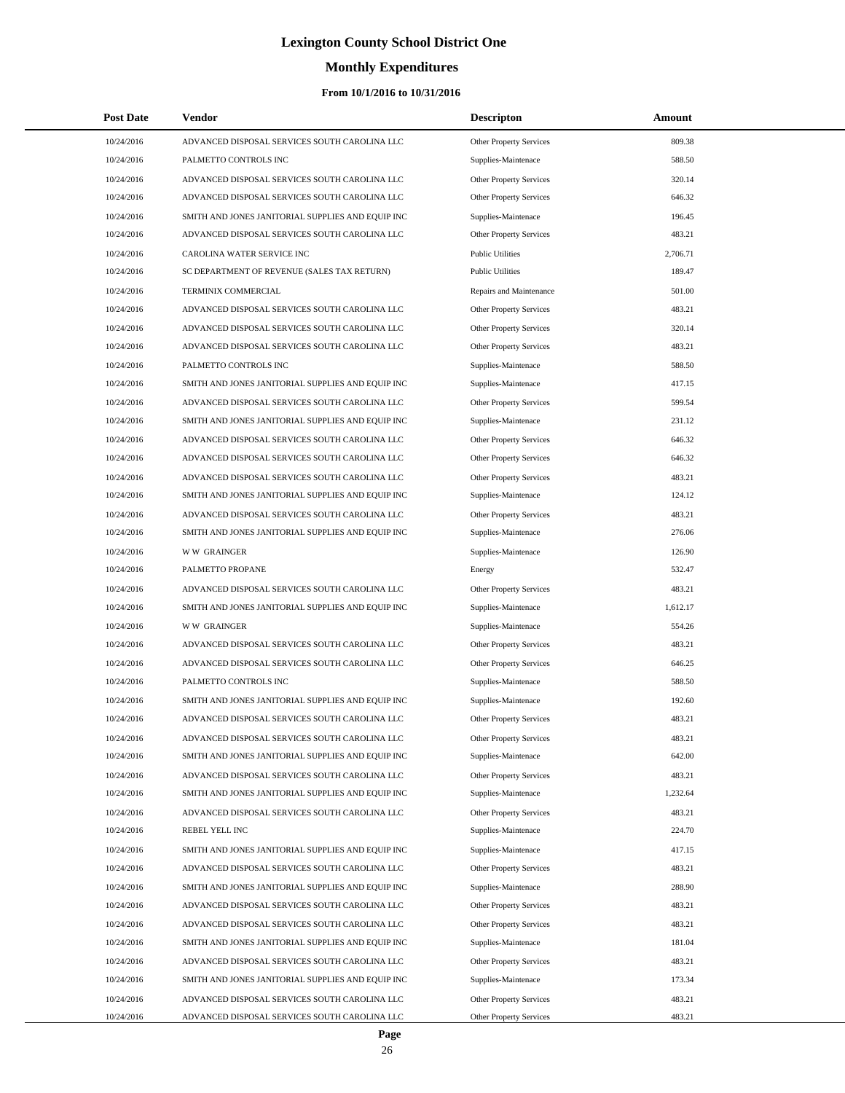# **Monthly Expenditures**

| <b>Post Date</b> | <b>Vendor</b>                                     | <b>Descripton</b>              | Amount   |
|------------------|---------------------------------------------------|--------------------------------|----------|
| 10/24/2016       | ADVANCED DISPOSAL SERVICES SOUTH CAROLINA LLC     | Other Property Services        | 809.38   |
| 10/24/2016       | PALMETTO CONTROLS INC                             | Supplies-Maintenace            | 588.50   |
| 10/24/2016       | ADVANCED DISPOSAL SERVICES SOUTH CAROLINA LLC     | Other Property Services        | 320.14   |
| 10/24/2016       | ADVANCED DISPOSAL SERVICES SOUTH CAROLINA LLC     | Other Property Services        | 646.32   |
| 10/24/2016       | SMITH AND JONES JANITORIAL SUPPLIES AND EQUIP INC | Supplies-Maintenace            | 196.45   |
| 10/24/2016       | ADVANCED DISPOSAL SERVICES SOUTH CAROLINA LLC     | Other Property Services        | 483.21   |
| 10/24/2016       | CAROLINA WATER SERVICE INC                        | <b>Public Utilities</b>        | 2,706.71 |
| 10/24/2016       | SC DEPARTMENT OF REVENUE (SALES TAX RETURN)       | <b>Public Utilities</b>        | 189.47   |
| 10/24/2016       | TERMINIX COMMERCIAL                               | Repairs and Maintenance        | 501.00   |
| 10/24/2016       | ADVANCED DISPOSAL SERVICES SOUTH CAROLINA LLC     | Other Property Services        | 483.21   |
| 10/24/2016       | ADVANCED DISPOSAL SERVICES SOUTH CAROLINA LLC     | Other Property Services        | 320.14   |
| 10/24/2016       | ADVANCED DISPOSAL SERVICES SOUTH CAROLINA LLC     | Other Property Services        | 483.21   |
| 10/24/2016       | PALMETTO CONTROLS INC                             | Supplies-Maintenace            | 588.50   |
| 10/24/2016       | SMITH AND JONES JANITORIAL SUPPLIES AND EQUIP INC | Supplies-Maintenace            | 417.15   |
| 10/24/2016       | ADVANCED DISPOSAL SERVICES SOUTH CAROLINA LLC     | Other Property Services        | 599.54   |
| 10/24/2016       | SMITH AND JONES JANITORIAL SUPPLIES AND EQUIP INC | Supplies-Maintenace            | 231.12   |
| 10/24/2016       | ADVANCED DISPOSAL SERVICES SOUTH CAROLINA LLC     | Other Property Services        | 646.32   |
| 10/24/2016       | ADVANCED DISPOSAL SERVICES SOUTH CAROLINA LLC     | Other Property Services        | 646.32   |
| 10/24/2016       | ADVANCED DISPOSAL SERVICES SOUTH CAROLINA LLC     | Other Property Services        | 483.21   |
| 10/24/2016       | SMITH AND JONES JANITORIAL SUPPLIES AND EQUIP INC | Supplies-Maintenace            | 124.12   |
| 10/24/2016       | ADVANCED DISPOSAL SERVICES SOUTH CAROLINA LLC     | Other Property Services        | 483.21   |
| 10/24/2016       | SMITH AND JONES JANITORIAL SUPPLIES AND EQUIP INC | Supplies-Maintenace            | 276.06   |
| 10/24/2016       | <b>WW GRAINGER</b>                                | Supplies-Maintenace            | 126.90   |
| 10/24/2016       | PALMETTO PROPANE                                  | Energy                         | 532.47   |
| 10/24/2016       | ADVANCED DISPOSAL SERVICES SOUTH CAROLINA LLC     | Other Property Services        | 483.21   |
| 10/24/2016       | SMITH AND JONES JANITORIAL SUPPLIES AND EQUIP INC | Supplies-Maintenace            | 1,612.17 |
| 10/24/2016       | <b>WW GRAINGER</b>                                | Supplies-Maintenace            | 554.26   |
| 10/24/2016       | ADVANCED DISPOSAL SERVICES SOUTH CAROLINA LLC     | Other Property Services        | 483.21   |
| 10/24/2016       | ADVANCED DISPOSAL SERVICES SOUTH CAROLINA LLC     | Other Property Services        | 646.25   |
| 10/24/2016       | PALMETTO CONTROLS INC                             | Supplies-Maintenace            | 588.50   |
| 10/24/2016       | SMITH AND JONES JANITORIAL SUPPLIES AND EQUIP INC | Supplies-Maintenace            | 192.60   |
| 10/24/2016       | ADVANCED DISPOSAL SERVICES SOUTH CAROLINA LLC     | Other Property Services        | 483.21   |
| 10/24/2016       | ADVANCED DISPOSAL SERVICES SOUTH CAROLINA LLC     | Other Property Services        | 483.21   |
| 10/24/2016       | SMITH AND JONES JANITORIAL SUPPLIES AND EQUIP INC | Supplies-Maintenace            | 642.00   |
| 10/24/2016       | ADVANCED DISPOSAL SERVICES SOUTH CAROLINA LLC     | Other Property Services        | 483.21   |
| 10/24/2016       | SMITH AND JONES JANITORIAL SUPPLIES AND EQUIP INC | Supplies-Maintenace            | 1,232.64 |
| 10/24/2016       | ADVANCED DISPOSAL SERVICES SOUTH CAROLINA LLC     | Other Property Services        | 483.21   |
| 10/24/2016       | REBEL YELL INC                                    | Supplies-Maintenace            | 224.70   |
| 10/24/2016       | SMITH AND JONES JANITORIAL SUPPLIES AND EQUIP INC | Supplies-Maintenace            | 417.15   |
| 10/24/2016       | ADVANCED DISPOSAL SERVICES SOUTH CAROLINA LLC     | Other Property Services        | 483.21   |
| 10/24/2016       | SMITH AND JONES JANITORIAL SUPPLIES AND EQUIP INC | Supplies-Maintenace            | 288.90   |
| 10/24/2016       | ADVANCED DISPOSAL SERVICES SOUTH CAROLINA LLC     | Other Property Services        | 483.21   |
| 10/24/2016       | ADVANCED DISPOSAL SERVICES SOUTH CAROLINA LLC     | Other Property Services        | 483.21   |
| 10/24/2016       | SMITH AND JONES JANITORIAL SUPPLIES AND EQUIP INC | Supplies-Maintenace            | 181.04   |
| 10/24/2016       | ADVANCED DISPOSAL SERVICES SOUTH CAROLINA LLC     | Other Property Services        | 483.21   |
| 10/24/2016       | SMITH AND JONES JANITORIAL SUPPLIES AND EQUIP INC | Supplies-Maintenace            | 173.34   |
| 10/24/2016       | ADVANCED DISPOSAL SERVICES SOUTH CAROLINA LLC     | <b>Other Property Services</b> | 483.21   |
| 10/24/2016       | ADVANCED DISPOSAL SERVICES SOUTH CAROLINA LLC     | Other Property Services        | 483.21   |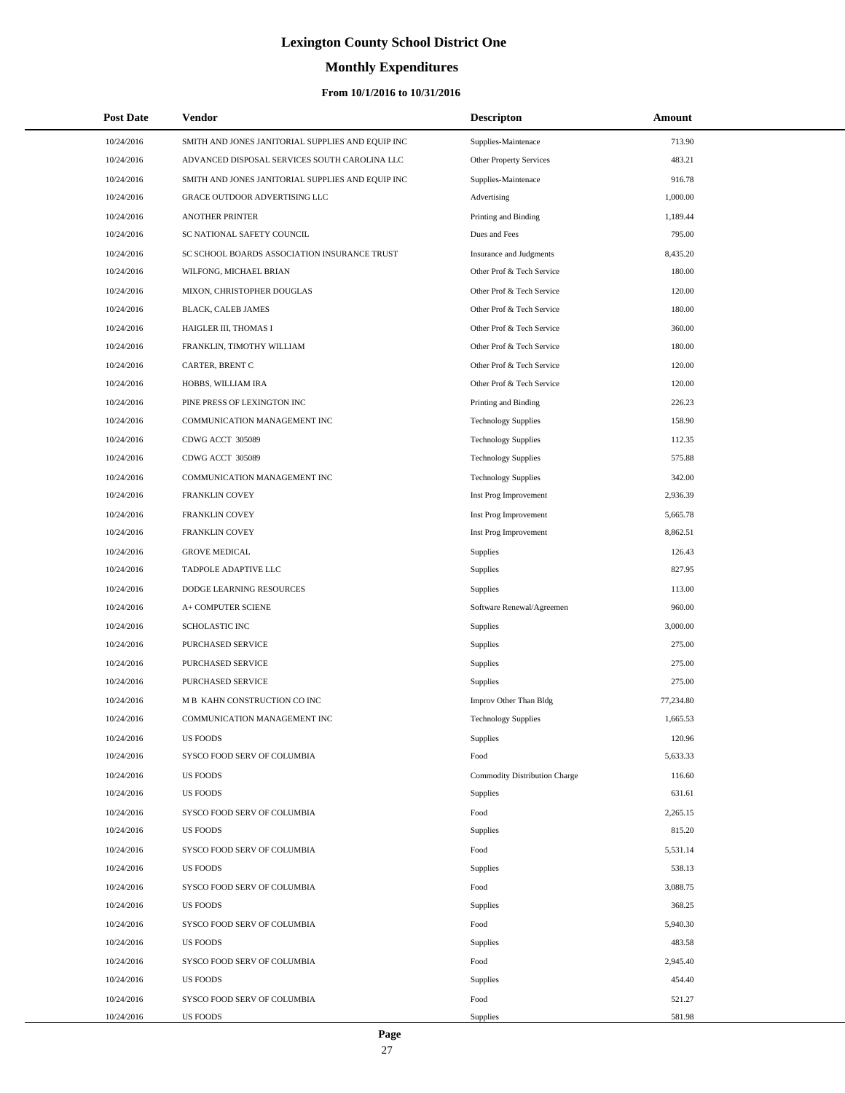# **Monthly Expenditures**

### **From 10/1/2016 to 10/31/2016**

| <b>Post Date</b> | <b>Vendor</b>                                     | <b>Descripton</b>              | Amount    |
|------------------|---------------------------------------------------|--------------------------------|-----------|
| 10/24/2016       | SMITH AND JONES JANITORIAL SUPPLIES AND EQUIP INC | Supplies-Maintenace            | 713.90    |
| 10/24/2016       | ADVANCED DISPOSAL SERVICES SOUTH CAROLINA LLC     | Other Property Services        | 483.21    |
| 10/24/2016       | SMITH AND JONES JANITORIAL SUPPLIES AND EQUIP INC | Supplies-Maintenace            | 916.78    |
| 10/24/2016       | GRACE OUTDOOR ADVERTISING LLC                     | Advertising                    | 1,000.00  |
| 10/24/2016       | <b>ANOTHER PRINTER</b>                            | Printing and Binding           | 1,189.44  |
| 10/24/2016       | SC NATIONAL SAFETY COUNCIL                        | Dues and Fees                  | 795.00    |
| 10/24/2016       | SC SCHOOL BOARDS ASSOCIATION INSURANCE TRUST      | <b>Insurance and Judgments</b> | 8,435.20  |
| 10/24/2016       | WILFONG, MICHAEL BRIAN                            | Other Prof & Tech Service      | 180.00    |
| 10/24/2016       | MIXON, CHRISTOPHER DOUGLAS                        | Other Prof & Tech Service      | 120.00    |
| 10/24/2016       | BLACK, CALEB JAMES                                | Other Prof & Tech Service      | 180.00    |
| 10/24/2016       | HAIGLER III, THOMAS I                             | Other Prof & Tech Service      | 360.00    |
| 10/24/2016       | FRANKLIN, TIMOTHY WILLIAM                         | Other Prof & Tech Service      | 180.00    |
| 10/24/2016       | CARTER, BRENT C                                   | Other Prof & Tech Service      | 120.00    |
| 10/24/2016       | HOBBS, WILLIAM IRA                                | Other Prof & Tech Service      | 120.00    |
| 10/24/2016       | PINE PRESS OF LEXINGTON INC                       | Printing and Binding           | 226.23    |
| 10/24/2016       | COMMUNICATION MANAGEMENT INC                      | <b>Technology Supplies</b>     | 158.90    |
| 10/24/2016       | CDWG ACCT 305089                                  | <b>Technology Supplies</b>     | 112.35    |
| 10/24/2016       | CDWG ACCT 305089                                  | <b>Technology Supplies</b>     | 575.88    |
| 10/24/2016       | COMMUNICATION MANAGEMENT INC                      | <b>Technology Supplies</b>     | 342.00    |
| 10/24/2016       | <b>FRANKLIN COVEY</b>                             | Inst Prog Improvement          | 2,936.39  |
| 10/24/2016       | FRANKLIN COVEY                                    | Inst Prog Improvement          | 5,665.78  |
| 10/24/2016       | FRANKLIN COVEY                                    | Inst Prog Improvement          | 8,862.51  |
| 10/24/2016       | <b>GROVE MEDICAL</b>                              | Supplies                       | 126.43    |
| 10/24/2016       | TADPOLE ADAPTIVE LLC                              | Supplies                       | 827.95    |
| 10/24/2016       | DODGE LEARNING RESOURCES                          | Supplies                       | 113.00    |
| 10/24/2016       | A+ COMPUTER SCIENE                                | Software Renewal/Agreemen      | 960.00    |
| 10/24/2016       | SCHOLASTIC INC                                    | Supplies                       | 3,000.00  |
| 10/24/2016       | PURCHASED SERVICE                                 | Supplies                       | 275.00    |
| 10/24/2016       | <b>PURCHASED SERVICE</b>                          | Supplies                       | 275.00    |
| 10/24/2016       | PURCHASED SERVICE                                 | Supplies                       | 275.00    |
| 10/24/2016       | M B KAHN CONSTRUCTION CO INC                      | Improv Other Than Bldg         | 77,234.80 |
| 10/24/2016       | COMMUNICATION MANAGEMENT INC                      | <b>Technology Supplies</b>     | 1,665.53  |
| 10/24/2016       | <b>US FOODS</b>                                   | Supplies                       | 120.96    |
| 10/24/2016       | SYSCO FOOD SERV OF COLUMBIA                       | Food                           | 5,633.33  |
| 10/24/2016       | <b>US FOODS</b>                                   | Commodity Distribution Charge  | 116.60    |
| 10/24/2016       | <b>US FOODS</b>                                   | Supplies                       | 631.61    |
| 10/24/2016       | SYSCO FOOD SERV OF COLUMBIA                       | Food                           | 2,265.15  |
| 10/24/2016       | <b>US FOODS</b>                                   | Supplies                       | 815.20    |
| 10/24/2016       | SYSCO FOOD SERV OF COLUMBIA                       | Food                           | 5,531.14  |
| 10/24/2016       | <b>US FOODS</b>                                   | Supplies                       | 538.13    |
| 10/24/2016       | SYSCO FOOD SERV OF COLUMBIA                       | Food                           | 3,088.75  |
| 10/24/2016       | <b>US FOODS</b>                                   | Supplies                       | 368.25    |
| 10/24/2016       | SYSCO FOOD SERV OF COLUMBIA                       | Food                           | 5,940.30  |
| 10/24/2016       | <b>US FOODS</b>                                   | Supplies                       | 483.58    |
| 10/24/2016       | SYSCO FOOD SERV OF COLUMBIA                       | Food                           | 2,945.40  |
| 10/24/2016       | <b>US FOODS</b>                                   | Supplies                       | 454.40    |
| 10/24/2016       | SYSCO FOOD SERV OF COLUMBIA                       | Food                           | 521.27    |
| 10/24/2016       | <b>US FOODS</b>                                   | Supplies                       | 581.98    |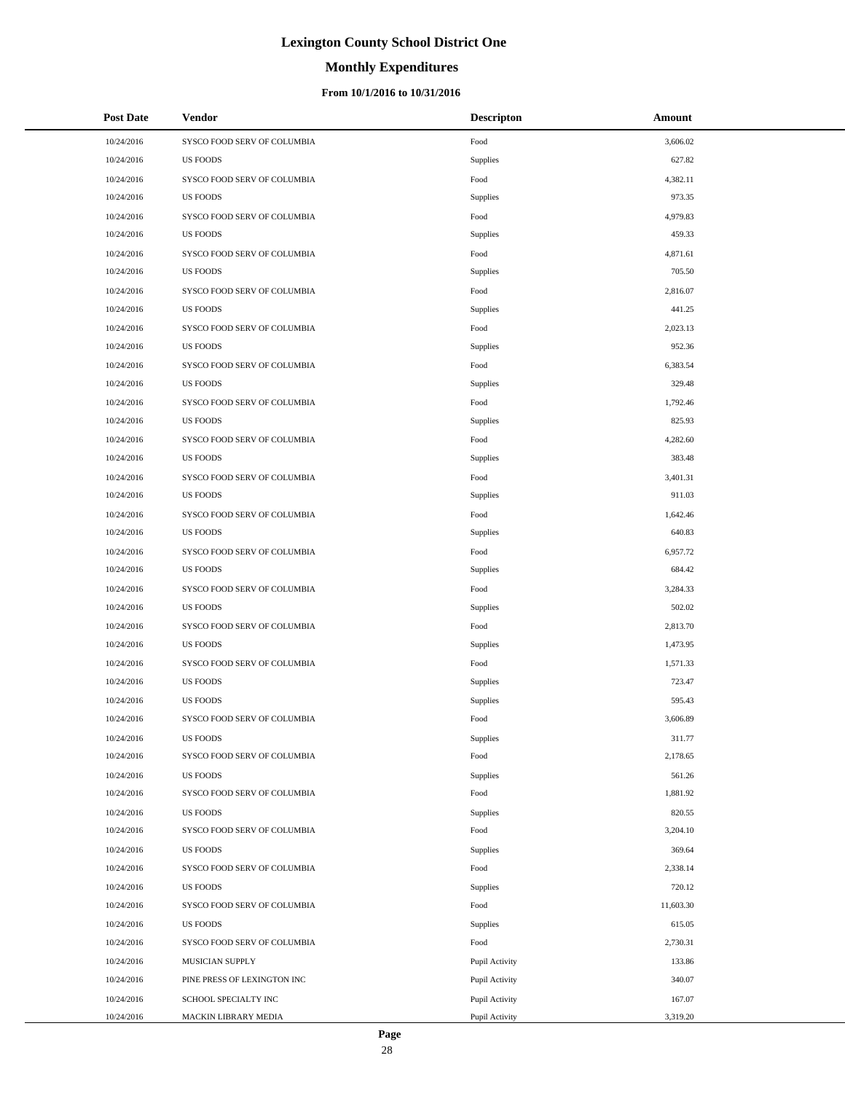# **Monthly Expenditures**

### **From 10/1/2016 to 10/31/2016**

| <b>Post Date</b> | <b>Vendor</b>               | <b>Descripton</b> | Amount    |
|------------------|-----------------------------|-------------------|-----------|
| 10/24/2016       | SYSCO FOOD SERV OF COLUMBIA | Food              | 3,606.02  |
| 10/24/2016       | <b>US FOODS</b>             | Supplies          | 627.82    |
| 10/24/2016       | SYSCO FOOD SERV OF COLUMBIA | Food              | 4,382.11  |
| 10/24/2016       | <b>US FOODS</b>             | Supplies          | 973.35    |
| 10/24/2016       | SYSCO FOOD SERV OF COLUMBIA | Food              | 4,979.83  |
| 10/24/2016       | <b>US FOODS</b>             | Supplies          | 459.33    |
| 10/24/2016       | SYSCO FOOD SERV OF COLUMBIA | Food              | 4,871.61  |
| 10/24/2016       | <b>US FOODS</b>             | Supplies          | 705.50    |
| 10/24/2016       | SYSCO FOOD SERV OF COLUMBIA | Food              | 2,816.07  |
| 10/24/2016       | <b>US FOODS</b>             | Supplies          | 441.25    |
| 10/24/2016       | SYSCO FOOD SERV OF COLUMBIA | Food              | 2,023.13  |
| 10/24/2016       | <b>US FOODS</b>             | Supplies          | 952.36    |
| 10/24/2016       | SYSCO FOOD SERV OF COLUMBIA | Food              | 6,383.54  |
| 10/24/2016       | <b>US FOODS</b>             | Supplies          | 329.48    |
| 10/24/2016       | SYSCO FOOD SERV OF COLUMBIA | Food              | 1,792.46  |
| 10/24/2016       | <b>US FOODS</b>             | Supplies          | 825.93    |
| 10/24/2016       | SYSCO FOOD SERV OF COLUMBIA | Food              | 4,282.60  |
| 10/24/2016       | <b>US FOODS</b>             | Supplies          | 383.48    |
| 10/24/2016       | SYSCO FOOD SERV OF COLUMBIA | Food              | 3,401.31  |
| 10/24/2016       | <b>US FOODS</b>             | Supplies          | 911.03    |
| 10/24/2016       | SYSCO FOOD SERV OF COLUMBIA | Food              | 1,642.46  |
| 10/24/2016       | <b>US FOODS</b>             | Supplies          | 640.83    |
| 10/24/2016       | SYSCO FOOD SERV OF COLUMBIA | Food              | 6,957.72  |
| 10/24/2016       | <b>US FOODS</b>             | Supplies          | 684.42    |
| 10/24/2016       | SYSCO FOOD SERV OF COLUMBIA | Food              | 3,284.33  |
| 10/24/2016       | <b>US FOODS</b>             | Supplies          | 502.02    |
| 10/24/2016       | SYSCO FOOD SERV OF COLUMBIA | Food              | 2,813.70  |
| 10/24/2016       | <b>US FOODS</b>             | Supplies          | 1,473.95  |
| 10/24/2016       | SYSCO FOOD SERV OF COLUMBIA | Food              | 1,571.33  |
| 10/24/2016       | <b>US FOODS</b>             | Supplies          | 723.47    |
| 10/24/2016       | <b>US FOODS</b>             | Supplies          | 595.43    |
| 10/24/2016       | SYSCO FOOD SERV OF COLUMBIA | Food              | 3,606.89  |
| 10/24/2016       | <b>US FOODS</b>             | Supplies          | 311.77    |
| 10/24/2016       | SYSCO FOOD SERV OF COLUMBIA | Food              | 2,178.65  |
| 10/24/2016       | US FOODS                    | Supplies          | 561.26    |
| 10/24/2016       | SYSCO FOOD SERV OF COLUMBIA | Food              | 1,881.92  |
| 10/24/2016       | US FOODS                    | Supplies          | 820.55    |
| 10/24/2016       | SYSCO FOOD SERV OF COLUMBIA | Food              | 3,204.10  |
| 10/24/2016       | US FOODS                    | Supplies          | 369.64    |
| 10/24/2016       | SYSCO FOOD SERV OF COLUMBIA | Food              | 2,338.14  |
| 10/24/2016       | <b>US FOODS</b>             | Supplies          | 720.12    |
| 10/24/2016       | SYSCO FOOD SERV OF COLUMBIA | Food              | 11,603.30 |
| 10/24/2016       | US FOODS                    | Supplies          | 615.05    |
| 10/24/2016       | SYSCO FOOD SERV OF COLUMBIA | Food              | 2,730.31  |
| 10/24/2016       | MUSICIAN SUPPLY             | Pupil Activity    | 133.86    |
| 10/24/2016       | PINE PRESS OF LEXINGTON INC | Pupil Activity    | 340.07    |
| 10/24/2016       | SCHOOL SPECIALTY INC        | Pupil Activity    | 167.07    |
| 10/24/2016       | MACKIN LIBRARY MEDIA        | Pupil Activity    | 3,319.20  |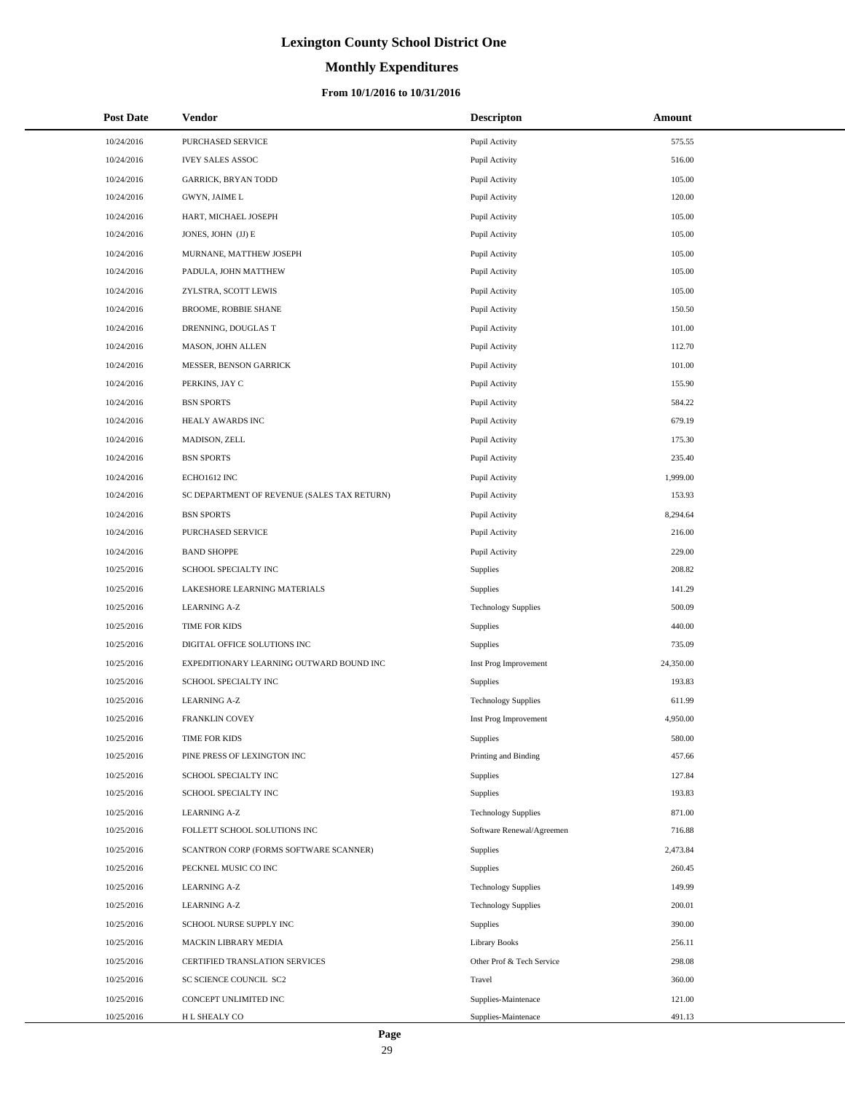# **Monthly Expenditures**

| <b>Post Date</b> | Vendor                                      | <b>Descripton</b>          | Amount    |
|------------------|---------------------------------------------|----------------------------|-----------|
| 10/24/2016       | PURCHASED SERVICE                           | Pupil Activity             | 575.55    |
| 10/24/2016       | <b>IVEY SALES ASSOC</b>                     | Pupil Activity             | 516.00    |
| 10/24/2016       | <b>GARRICK, BRYAN TODD</b>                  | Pupil Activity             | 105.00    |
| 10/24/2016       | GWYN, JAIME L                               | Pupil Activity             | 120.00    |
| 10/24/2016       | HART, MICHAEL JOSEPH                        | Pupil Activity             | 105.00    |
| 10/24/2016       | JONES, JOHN (JJ) E                          | Pupil Activity             | 105.00    |
| 10/24/2016       | MURNANE, MATTHEW JOSEPH                     | Pupil Activity             | 105.00    |
| 10/24/2016       | PADULA, JOHN MATTHEW                        | Pupil Activity             | 105.00    |
| 10/24/2016       | ZYLSTRA, SCOTT LEWIS                        | Pupil Activity             | 105.00    |
| 10/24/2016       | BROOME, ROBBIE SHANE                        | Pupil Activity             | 150.50    |
| 10/24/2016       | DRENNING, DOUGLAS T                         | Pupil Activity             | 101.00    |
| 10/24/2016       | MASON, JOHN ALLEN                           | Pupil Activity             | 112.70    |
| 10/24/2016       | MESSER, BENSON GARRICK                      | Pupil Activity             | 101.00    |
| 10/24/2016       | PERKINS, JAY C                              | Pupil Activity             | 155.90    |
| 10/24/2016       | <b>BSN SPORTS</b>                           | Pupil Activity             | 584.22    |
| 10/24/2016       | HEALY AWARDS INC                            | Pupil Activity             | 679.19    |
| 10/24/2016       | MADISON, ZELL                               | Pupil Activity             | 175.30    |
| 10/24/2016       | <b>BSN SPORTS</b>                           | Pupil Activity             | 235.40    |
| 10/24/2016       | ECHO1612 INC                                | Pupil Activity             | 1,999.00  |
| 10/24/2016       | SC DEPARTMENT OF REVENUE (SALES TAX RETURN) | Pupil Activity             | 153.93    |
| 10/24/2016       | <b>BSN SPORTS</b>                           | Pupil Activity             | 8,294.64  |
| 10/24/2016       | PURCHASED SERVICE                           | Pupil Activity             | 216.00    |
| 10/24/2016       | <b>BAND SHOPPE</b>                          | Pupil Activity             | 229.00    |
| 10/25/2016       | SCHOOL SPECIALTY INC                        | <b>Supplies</b>            | 208.82    |
| 10/25/2016       | LAKESHORE LEARNING MATERIALS                | <b>Supplies</b>            | 141.29    |
| 10/25/2016       | <b>LEARNING A-Z</b>                         | <b>Technology Supplies</b> | 500.09    |
| 10/25/2016       | TIME FOR KIDS                               | Supplies                   | 440.00    |
| 10/25/2016       | DIGITAL OFFICE SOLUTIONS INC                | <b>Supplies</b>            | 735.09    |
| 10/25/2016       | EXPEDITIONARY LEARNING OUTWARD BOUND INC    | Inst Prog Improvement      | 24,350.00 |
| 10/25/2016       | SCHOOL SPECIALTY INC                        | Supplies                   | 193.83    |
| 10/25/2016       | <b>LEARNING A-Z</b>                         | <b>Technology Supplies</b> | 611.99    |
| 10/25/2016       | FRANKLIN COVEY                              | Inst Prog Improvement      | 4,950.00  |
| 10/25/2016       | TIME FOR KIDS                               | <b>Supplies</b>            | 580.00    |
| 10/25/2016       | PINE PRESS OF LEXINGTON INC                 | Printing and Binding       | 457.66    |
| 10/25/2016       | SCHOOL SPECIALTY INC                        | Supplies                   | 127.84    |
| 10/25/2016       | SCHOOL SPECIALTY INC                        | <b>Supplies</b>            | 193.83    |
| 10/25/2016       | <b>LEARNING A-Z</b>                         | <b>Technology Supplies</b> | 871.00    |
| 10/25/2016       | FOLLETT SCHOOL SOLUTIONS INC                | Software Renewal/Agreemen  | 716.88    |
| 10/25/2016       | SCANTRON CORP (FORMS SOFTWARE SCANNER)      | <b>Supplies</b>            | 2,473.84  |
| 10/25/2016       | PECKNEL MUSIC CO INC                        | <b>Supplies</b>            | 260.45    |
| 10/25/2016       | <b>LEARNING A-Z</b>                         | <b>Technology Supplies</b> | 149.99    |
| 10/25/2016       | LEARNING A-Z                                | <b>Technology Supplies</b> | 200.01    |
| 10/25/2016       | SCHOOL NURSE SUPPLY INC                     | Supplies                   | 390.00    |
| 10/25/2016       | MACKIN LIBRARY MEDIA                        | <b>Library Books</b>       | 256.11    |
| 10/25/2016       | CERTIFIED TRANSLATION SERVICES              | Other Prof & Tech Service  | 298.08    |
| 10/25/2016       | SC SCIENCE COUNCIL SC2                      | Travel                     | 360.00    |
| 10/25/2016       | CONCEPT UNLIMITED INC                       | Supplies-Maintenace        | 121.00    |
| 10/25/2016       | H L SHEALY CO                               | Supplies-Maintenace        | 491.13    |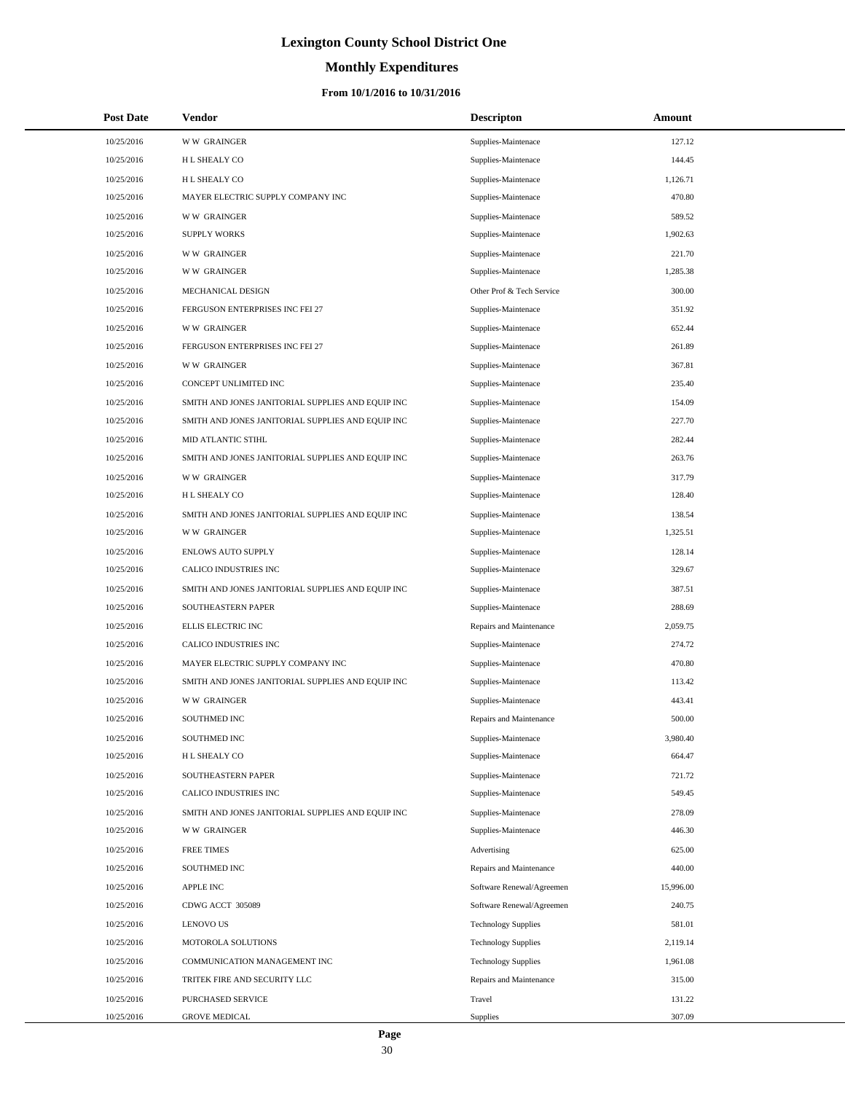# **Monthly Expenditures**

### **From 10/1/2016 to 10/31/2016**

| <b>Post Date</b> | Vendor                                            | <b>Descripton</b>          | Amount    |
|------------------|---------------------------------------------------|----------------------------|-----------|
| 10/25/2016       | <b>WW GRAINGER</b>                                | Supplies-Maintenace        | 127.12    |
| 10/25/2016       | H L SHEALY CO                                     | Supplies-Maintenace        | 144.45    |
| 10/25/2016       | H L SHEALY CO                                     | Supplies-Maintenace        | 1,126.71  |
| 10/25/2016       | MAYER ELECTRIC SUPPLY COMPANY INC                 | Supplies-Maintenace        | 470.80    |
| 10/25/2016       | <b>WW GRAINGER</b>                                | Supplies-Maintenace        | 589.52    |
| 10/25/2016       | <b>SUPPLY WORKS</b>                               | Supplies-Maintenace        | 1,902.63  |
| 10/25/2016       | <b>WW GRAINGER</b>                                | Supplies-Maintenace        | 221.70    |
| 10/25/2016       | <b>WW GRAINGER</b>                                | Supplies-Maintenace        | 1,285.38  |
| 10/25/2016       | MECHANICAL DESIGN                                 | Other Prof & Tech Service  | 300.00    |
| 10/25/2016       | FERGUSON ENTERPRISES INC FEI 27                   | Supplies-Maintenace        | 351.92    |
| 10/25/2016       | <b>WW GRAINGER</b>                                | Supplies-Maintenace        | 652.44    |
| 10/25/2016       | FERGUSON ENTERPRISES INC FEI 27                   | Supplies-Maintenace        | 261.89    |
| 10/25/2016       | <b>WW GRAINGER</b>                                | Supplies-Maintenace        | 367.81    |
| 10/25/2016       | CONCEPT UNLIMITED INC                             | Supplies-Maintenace        | 235.40    |
| 10/25/2016       | SMITH AND JONES JANITORIAL SUPPLIES AND EQUIP INC | Supplies-Maintenace        | 154.09    |
| 10/25/2016       | SMITH AND JONES JANITORIAL SUPPLIES AND EQUIP INC | Supplies-Maintenace        | 227.70    |
| 10/25/2016       | MID ATLANTIC STIHL                                | Supplies-Maintenace        | 282.44    |
| 10/25/2016       | SMITH AND JONES JANITORIAL SUPPLIES AND EQUIP INC | Supplies-Maintenace        | 263.76    |
| 10/25/2016       | <b>WW GRAINGER</b>                                | Supplies-Maintenace        | 317.79    |
| 10/25/2016       | H L SHEALY CO                                     | Supplies-Maintenace        | 128.40    |
| 10/25/2016       | SMITH AND JONES JANITORIAL SUPPLIES AND EQUIP INC | Supplies-Maintenace        | 138.54    |
| 10/25/2016       | <b>WW GRAINGER</b>                                | Supplies-Maintenace        | 1,325.51  |
| 10/25/2016       | <b>ENLOWS AUTO SUPPLY</b>                         | Supplies-Maintenace        | 128.14    |
| 10/25/2016       | CALICO INDUSTRIES INC                             | Supplies-Maintenace        | 329.67    |
| 10/25/2016       | SMITH AND JONES JANITORIAL SUPPLIES AND EQUIP INC | Supplies-Maintenace        | 387.51    |
| 10/25/2016       | SOUTHEASTERN PAPER                                | Supplies-Maintenace        | 288.69    |
| 10/25/2016       | ELLIS ELECTRIC INC                                | Repairs and Maintenance    | 2,059.75  |
| 10/25/2016       | CALICO INDUSTRIES INC                             | Supplies-Maintenace        | 274.72    |
| 10/25/2016       | MAYER ELECTRIC SUPPLY COMPANY INC                 | Supplies-Maintenace        | 470.80    |
| 10/25/2016       | SMITH AND JONES JANITORIAL SUPPLIES AND EQUIP INC | Supplies-Maintenace        | 113.42    |
| 10/25/2016       | <b>WW GRAINGER</b>                                | Supplies-Maintenace        | 443.41    |
| 10/25/2016       | <b>SOUTHMED INC</b>                               | Repairs and Maintenance    | 500.00    |
| 10/25/2016       | SOUTHMED INC                                      | Supplies-Maintenace        | 3,980.40  |
| 10/25/2016       | H L SHEALY CO                                     | Supplies-Maintenace        | 664.47    |
| 10/25/2016       | SOUTHEASTERN PAPER                                | Supplies-Maintenace        | 721.72    |
| 10/25/2016       | CALICO INDUSTRIES INC                             | Supplies-Maintenace        | 549.45    |
| 10/25/2016       | SMITH AND JONES JANITORIAL SUPPLIES AND EQUIP INC | Supplies-Maintenace        | 278.09    |
| 10/25/2016       | <b>WW GRAINGER</b>                                | Supplies-Maintenace        | 446.30    |
| 10/25/2016       | <b>FREE TIMES</b>                                 | Advertising                | 625.00    |
| 10/25/2016       | SOUTHMED INC                                      | Repairs and Maintenance    | 440.00    |
| 10/25/2016       | <b>APPLE INC</b>                                  | Software Renewal/Agreemen  | 15,996.00 |
| 10/25/2016       | CDWG ACCT 305089                                  | Software Renewal/Agreemen  | 240.75    |
| 10/25/2016       | <b>LENOVO US</b>                                  | <b>Technology Supplies</b> | 581.01    |
| 10/25/2016       | MOTOROLA SOLUTIONS                                | <b>Technology Supplies</b> | 2,119.14  |
| 10/25/2016       | COMMUNICATION MANAGEMENT INC                      | <b>Technology Supplies</b> | 1,961.08  |
| 10/25/2016       | TRITEK FIRE AND SECURITY LLC                      | Repairs and Maintenance    | 315.00    |
| 10/25/2016       | PURCHASED SERVICE                                 | Travel                     | 131.22    |
| 10/25/2016       | <b>GROVE MEDICAL</b>                              | Supplies                   | 307.09    |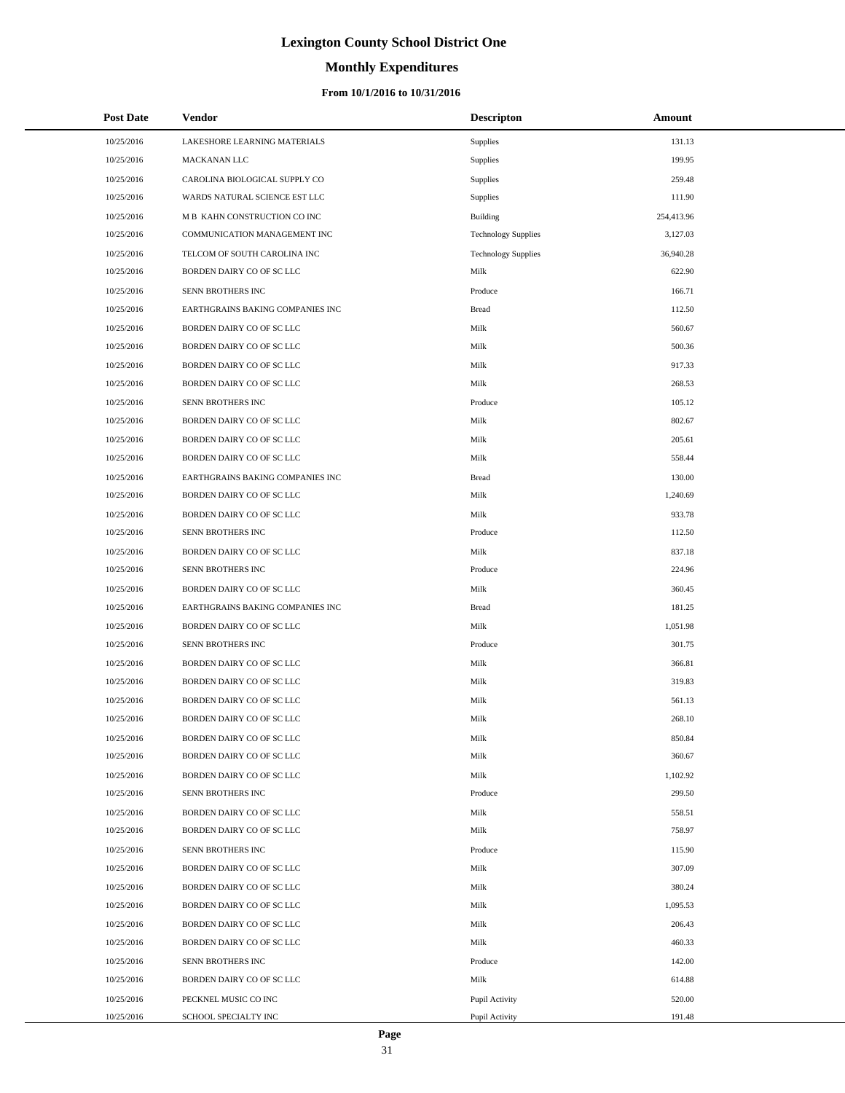# **Monthly Expenditures**

### **From 10/1/2016 to 10/31/2016**

| <b>Post Date</b> | Vendor                           | <b>Descripton</b>          | Amount     |
|------------------|----------------------------------|----------------------------|------------|
| 10/25/2016       | LAKESHORE LEARNING MATERIALS     | Supplies                   | 131.13     |
| 10/25/2016       | MACKANAN LLC                     | <b>Supplies</b>            | 199.95     |
| 10/25/2016       | CAROLINA BIOLOGICAL SUPPLY CO    | <b>Supplies</b>            | 259.48     |
| 10/25/2016       | WARDS NATURAL SCIENCE EST LLC    | Supplies                   | 111.90     |
| 10/25/2016       | M B KAHN CONSTRUCTION CO INC     | Building                   | 254,413.96 |
| 10/25/2016       | COMMUNICATION MANAGEMENT INC     | <b>Technology Supplies</b> | 3,127.03   |
| 10/25/2016       | TELCOM OF SOUTH CAROLINA INC     | <b>Technology Supplies</b> | 36,940.28  |
| 10/25/2016       | BORDEN DAIRY CO OF SC LLC        | Milk                       | 622.90     |
| 10/25/2016       | SENN BROTHERS INC                | Produce                    | 166.71     |
| 10/25/2016       | EARTHGRAINS BAKING COMPANIES INC | <b>Bread</b>               | 112.50     |
| 10/25/2016       | BORDEN DAIRY CO OF SC LLC        | Milk                       | 560.67     |
| 10/25/2016       | BORDEN DAIRY CO OF SC LLC        | Milk                       | 500.36     |
| 10/25/2016       | BORDEN DAIRY CO OF SC LLC        | Milk                       | 917.33     |
| 10/25/2016       | BORDEN DAIRY CO OF SC LLC        | Milk                       | 268.53     |
| 10/25/2016       | SENN BROTHERS INC                | Produce                    | 105.12     |
| 10/25/2016       | BORDEN DAIRY CO OF SC LLC        | Milk                       | 802.67     |
| 10/25/2016       | BORDEN DAIRY CO OF SC LLC        | Milk                       | 205.61     |
| 10/25/2016       | BORDEN DAIRY CO OF SC LLC        | Milk                       | 558.44     |
| 10/25/2016       | EARTHGRAINS BAKING COMPANIES INC | <b>Bread</b>               | 130.00     |
| 10/25/2016       | BORDEN DAIRY CO OF SC LLC        | Milk                       | 1,240.69   |
| 10/25/2016       | BORDEN DAIRY CO OF SC LLC        | Milk                       | 933.78     |
| 10/25/2016       | SENN BROTHERS INC                | Produce                    | 112.50     |
| 10/25/2016       | BORDEN DAIRY CO OF SC LLC        | Milk                       | 837.18     |
| 10/25/2016       | SENN BROTHERS INC                | Produce                    | 224.96     |
| 10/25/2016       | BORDEN DAIRY CO OF SC LLC        | Milk                       | 360.45     |
| 10/25/2016       | EARTHGRAINS BAKING COMPANIES INC | <b>Bread</b>               | 181.25     |
| 10/25/2016       | BORDEN DAIRY CO OF SC LLC        | Milk                       | 1,051.98   |
| 10/25/2016       | SENN BROTHERS INC                | Produce                    | 301.75     |
| 10/25/2016       | BORDEN DAIRY CO OF SC LLC        | Milk                       | 366.81     |
| 10/25/2016       | BORDEN DAIRY CO OF SC LLC        | Milk                       | 319.83     |
| 10/25/2016       | BORDEN DAIRY CO OF SC LLC        | Milk                       | 561.13     |
| 10/25/2016       | BORDEN DAIRY CO OF SC LLC        | Milk                       | 268.10     |
| 10/25/2016       | BORDEN DAIRY CO OF SC LLC        | Milk                       | 850.84     |
| 10/25/2016       | BORDEN DAIRY CO OF SC LLC        | Milk                       | 360.67     |
| 10/25/2016       | BORDEN DAIRY CO OF SC LLC        | Milk                       | 1,102.92   |
| 10/25/2016       | SENN BROTHERS INC                | Produce                    | 299.50     |
| 10/25/2016       | BORDEN DAIRY CO OF SC LLC        | Milk                       | 558.51     |
| 10/25/2016       | BORDEN DAIRY CO OF SC LLC        | Milk                       | 758.97     |
| 10/25/2016       | SENN BROTHERS INC                | Produce                    | 115.90     |
| 10/25/2016       | BORDEN DAIRY CO OF SC LLC        | Milk                       | 307.09     |
| 10/25/2016       | BORDEN DAIRY CO OF SC LLC        | Milk                       | 380.24     |
| 10/25/2016       | BORDEN DAIRY CO OF SC LLC        | Milk                       | 1,095.53   |
| 10/25/2016       | BORDEN DAIRY CO OF SC LLC        | Milk                       | 206.43     |
| 10/25/2016       | BORDEN DAIRY CO OF SC LLC        | Milk                       | 460.33     |
| 10/25/2016       | SENN BROTHERS INC                | Produce                    | 142.00     |
| 10/25/2016       | BORDEN DAIRY CO OF SC LLC        | Milk                       | 614.88     |
| 10/25/2016       | PECKNEL MUSIC CO INC             | Pupil Activity             | 520.00     |
| 10/25/2016       | SCHOOL SPECIALTY INC             | Pupil Activity             | 191.48     |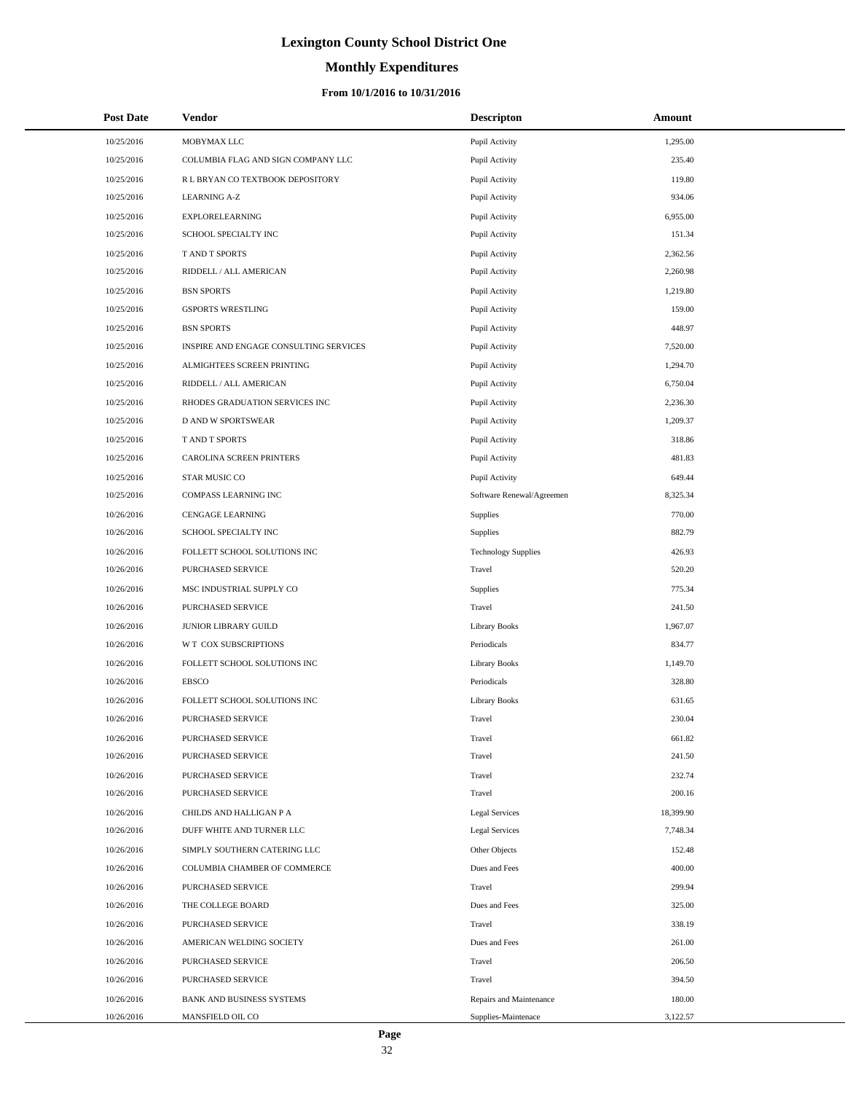# **Monthly Expenditures**

### **From 10/1/2016 to 10/31/2016**

| <b>Post Date</b> | <b>Vendor</b>                          | <b>Descripton</b>          | Amount    |  |
|------------------|----------------------------------------|----------------------------|-----------|--|
| 10/25/2016       | MOBYMAX LLC                            | Pupil Activity             | 1,295.00  |  |
| 10/25/2016       | COLUMBIA FLAG AND SIGN COMPANY LLC     | Pupil Activity             | 235.40    |  |
| 10/25/2016       | R L BRYAN CO TEXTBOOK DEPOSITORY       | Pupil Activity             | 119.80    |  |
| 10/25/2016       | <b>LEARNING A-Z</b>                    | Pupil Activity             | 934.06    |  |
| 10/25/2016       | <b>EXPLORELEARNING</b>                 | Pupil Activity             | 6,955.00  |  |
| 10/25/2016       | SCHOOL SPECIALTY INC                   | Pupil Activity             | 151.34    |  |
| 10/25/2016       | T AND T SPORTS                         | Pupil Activity             | 2,362.56  |  |
| 10/25/2016       | RIDDELL / ALL AMERICAN                 | Pupil Activity             | 2,260.98  |  |
| 10/25/2016       | <b>BSN SPORTS</b>                      | Pupil Activity             | 1,219.80  |  |
| 10/25/2016       | <b>GSPORTS WRESTLING</b>               | Pupil Activity             | 159.00    |  |
| 10/25/2016       | <b>BSN SPORTS</b>                      | Pupil Activity             | 448.97    |  |
| 10/25/2016       | INSPIRE AND ENGAGE CONSULTING SERVICES | Pupil Activity             | 7,520.00  |  |
| 10/25/2016       | ALMIGHTEES SCREEN PRINTING             | Pupil Activity             | 1,294.70  |  |
| 10/25/2016       | RIDDELL / ALL AMERICAN                 | Pupil Activity             | 6,750.04  |  |
| 10/25/2016       | RHODES GRADUATION SERVICES INC         | Pupil Activity             | 2,236.30  |  |
| 10/25/2016       | D AND W SPORTSWEAR                     | Pupil Activity             | 1,209.37  |  |
| 10/25/2016       | T AND T SPORTS                         | Pupil Activity             | 318.86    |  |
| 10/25/2016       | CAROLINA SCREEN PRINTERS               | Pupil Activity             | 481.83    |  |
| 10/25/2016       | STAR MUSIC CO                          | Pupil Activity             | 649.44    |  |
| 10/25/2016       | <b>COMPASS LEARNING INC</b>            | Software Renewal/Agreemen  | 8,325.34  |  |
| 10/26/2016       | <b>CENGAGE LEARNING</b>                | Supplies                   | 770.00    |  |
| 10/26/2016       | SCHOOL SPECIALTY INC                   | Supplies                   | 882.79    |  |
| 10/26/2016       | FOLLETT SCHOOL SOLUTIONS INC           | <b>Technology Supplies</b> | 426.93    |  |
| 10/26/2016       | PURCHASED SERVICE                      | Travel                     | 520.20    |  |
| 10/26/2016       | MSC INDUSTRIAL SUPPLY CO               | Supplies                   | 775.34    |  |
| 10/26/2016       | PURCHASED SERVICE                      | Travel                     | 241.50    |  |
| 10/26/2016       | JUNIOR LIBRARY GUILD                   | <b>Library Books</b>       | 1,967.07  |  |
| 10/26/2016       | W T COX SUBSCRIPTIONS                  | Periodicals                | 834.77    |  |
| 10/26/2016       | FOLLETT SCHOOL SOLUTIONS INC           | <b>Library Books</b>       | 1,149.70  |  |
| 10/26/2016       | <b>EBSCO</b>                           | Periodicals                | 328.80    |  |
| 10/26/2016       | FOLLETT SCHOOL SOLUTIONS INC           | <b>Library Books</b>       | 631.65    |  |
| 10/26/2016       | <b>PURCHASED SERVICE</b>               | Travel                     | 230.04    |  |
| 10/26/2016       | PURCHASED SERVICE                      | Travel                     | 661.82    |  |
| 10/26/2016       | PURCHASED SERVICE                      | Travel                     | 241.50    |  |
| 10/26/2016       | PURCHASED SERVICE                      | Travel                     | 232.74    |  |
| 10/26/2016       | PURCHASED SERVICE                      | Travel                     | 200.16    |  |
| 10/26/2016       | CHILDS AND HALLIGAN P A                | Legal Services             | 18,399.90 |  |
| 10/26/2016       | DUFF WHITE AND TURNER LLC              | <b>Legal Services</b>      | 7,748.34  |  |
| 10/26/2016       | SIMPLY SOUTHERN CATERING LLC           | Other Objects              | 152.48    |  |
| 10/26/2016       | COLUMBIA CHAMBER OF COMMERCE           | Dues and Fees              | 400.00    |  |
| 10/26/2016       | PURCHASED SERVICE                      | Travel                     | 299.94    |  |
| 10/26/2016       | THE COLLEGE BOARD                      | Dues and Fees              | 325.00    |  |
| 10/26/2016       | PURCHASED SERVICE                      | Travel                     | 338.19    |  |
| 10/26/2016       | AMERICAN WELDING SOCIETY               | Dues and Fees              | 261.00    |  |
| 10/26/2016       | PURCHASED SERVICE                      | Travel                     | 206.50    |  |
| 10/26/2016       | PURCHASED SERVICE                      | Travel                     | 394.50    |  |
| 10/26/2016       | BANK AND BUSINESS SYSTEMS              | Repairs and Maintenance    | 180.00    |  |
| 10/26/2016       | MANSFIELD OIL CO                       | Supplies-Maintenace        | 3,122.57  |  |

÷.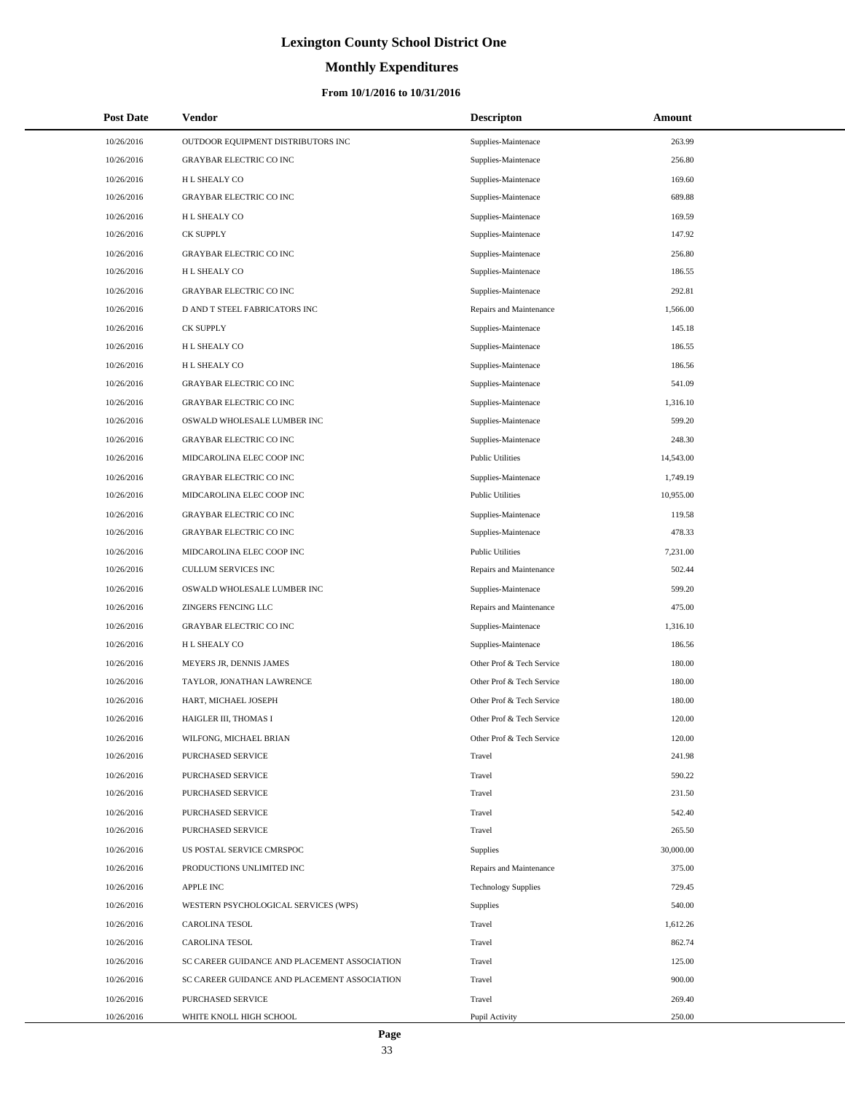# **Monthly Expenditures**

### **From 10/1/2016 to 10/31/2016**

| <b>Post Date</b> | Vendor                                       | <b>Descripton</b>          | Amount    |
|------------------|----------------------------------------------|----------------------------|-----------|
| 10/26/2016       | OUTDOOR EQUIPMENT DISTRIBUTORS INC           | Supplies-Maintenace        | 263.99    |
| 10/26/2016       | <b>GRAYBAR ELECTRIC CO INC</b>               | Supplies-Maintenace        | 256.80    |
| 10/26/2016       | H L SHEALY CO                                | Supplies-Maintenace        | 169.60    |
| 10/26/2016       | <b>GRAYBAR ELECTRIC CO INC</b>               | Supplies-Maintenace        | 689.88    |
| 10/26/2016       | H L SHEALY CO                                | Supplies-Maintenace        | 169.59    |
| 10/26/2016       | <b>CK SUPPLY</b>                             | Supplies-Maintenace        | 147.92    |
| 10/26/2016       | <b>GRAYBAR ELECTRIC CO INC</b>               | Supplies-Maintenace        | 256.80    |
| 10/26/2016       | H L SHEALY CO                                | Supplies-Maintenace        | 186.55    |
| 10/26/2016       | <b>GRAYBAR ELECTRIC CO INC</b>               | Supplies-Maintenace        | 292.81    |
| 10/26/2016       | D AND T STEEL FABRICATORS INC                | Repairs and Maintenance    | 1,566.00  |
| 10/26/2016       | <b>CK SUPPLY</b>                             | Supplies-Maintenace        | 145.18    |
| 10/26/2016       | H L SHEALY CO                                | Supplies-Maintenace        | 186.55    |
| 10/26/2016       | H L SHEALY CO                                | Supplies-Maintenace        | 186.56    |
| 10/26/2016       | <b>GRAYBAR ELECTRIC CO INC</b>               | Supplies-Maintenace        | 541.09    |
| 10/26/2016       | <b>GRAYBAR ELECTRIC CO INC</b>               | Supplies-Maintenace        | 1,316.10  |
| 10/26/2016       | OSWALD WHOLESALE LUMBER INC                  | Supplies-Maintenace        | 599.20    |
| 10/26/2016       | <b>GRAYBAR ELECTRIC CO INC</b>               | Supplies-Maintenace        | 248.30    |
| 10/26/2016       | MIDCAROLINA ELEC COOP INC                    | <b>Public Utilities</b>    | 14,543.00 |
| 10/26/2016       | <b>GRAYBAR ELECTRIC CO INC</b>               | Supplies-Maintenace        | 1,749.19  |
| 10/26/2016       | MIDCAROLINA ELEC COOP INC                    | <b>Public Utilities</b>    | 10,955.00 |
| 10/26/2016       | <b>GRAYBAR ELECTRIC CO INC</b>               | Supplies-Maintenace        | 119.58    |
| 10/26/2016       | <b>GRAYBAR ELECTRIC CO INC</b>               | Supplies-Maintenace        | 478.33    |
| 10/26/2016       | MIDCAROLINA ELEC COOP INC                    | <b>Public Utilities</b>    | 7,231.00  |
| 10/26/2016       | CULLUM SERVICES INC                          | Repairs and Maintenance    | 502.44    |
| 10/26/2016       | OSWALD WHOLESALE LUMBER INC                  | Supplies-Maintenace        | 599.20    |
| 10/26/2016       | ZINGERS FENCING LLC                          | Repairs and Maintenance    | 475.00    |
| 10/26/2016       | <b>GRAYBAR ELECTRIC CO INC</b>               | Supplies-Maintenace        | 1,316.10  |
| 10/26/2016       | H L SHEALY CO                                | Supplies-Maintenace        | 186.56    |
| 10/26/2016       | MEYERS JR, DENNIS JAMES                      | Other Prof & Tech Service  | 180.00    |
| 10/26/2016       | TAYLOR, JONATHAN LAWRENCE                    | Other Prof & Tech Service  | 180.00    |
| 10/26/2016       | HART, MICHAEL JOSEPH                         | Other Prof & Tech Service  | 180.00    |
| 10/26/2016       | HAIGLER III, THOMAS I                        | Other Prof & Tech Service  | 120.00    |
| 10/26/2016       | WILFONG, MICHAEL BRIAN                       | Other Prof & Tech Service  | 120.00    |
| 10/26/2016       | <b>PURCHASED SERVICE</b>                     | Travel                     | 241.98    |
| 10/26/2016       | <b>PURCHASED SERVICE</b>                     | Travel                     | 590.22    |
| 10/26/2016       | PURCHASED SERVICE                            | Travel                     | 231.50    |
| 10/26/2016       | PURCHASED SERVICE                            | Travel                     | 542.40    |
| 10/26/2016       | PURCHASED SERVICE                            | Travel                     | 265.50    |
| 10/26/2016       | US POSTAL SERVICE CMRSPOC                    | <b>Supplies</b>            | 30,000.00 |
| 10/26/2016       | PRODUCTIONS UNLIMITED INC                    | Repairs and Maintenance    | 375.00    |
| 10/26/2016       | <b>APPLE INC</b>                             | <b>Technology Supplies</b> | 729.45    |
| 10/26/2016       | WESTERN PSYCHOLOGICAL SERVICES (WPS)         | Supplies                   | 540.00    |
| 10/26/2016       | <b>CAROLINA TESOL</b>                        | Travel                     | 1,612.26  |
| 10/26/2016       | <b>CAROLINA TESOL</b>                        | Travel                     | 862.74    |
| 10/26/2016       | SC CAREER GUIDANCE AND PLACEMENT ASSOCIATION | Travel                     | 125.00    |
| 10/26/2016       | SC CAREER GUIDANCE AND PLACEMENT ASSOCIATION | Travel                     | 900.00    |
| 10/26/2016       | PURCHASED SERVICE                            | Travel                     | 269.40    |
| 10/26/2016       | WHITE KNOLL HIGH SCHOOL                      | Pupil Activity             | 250.00    |

 $\overline{a}$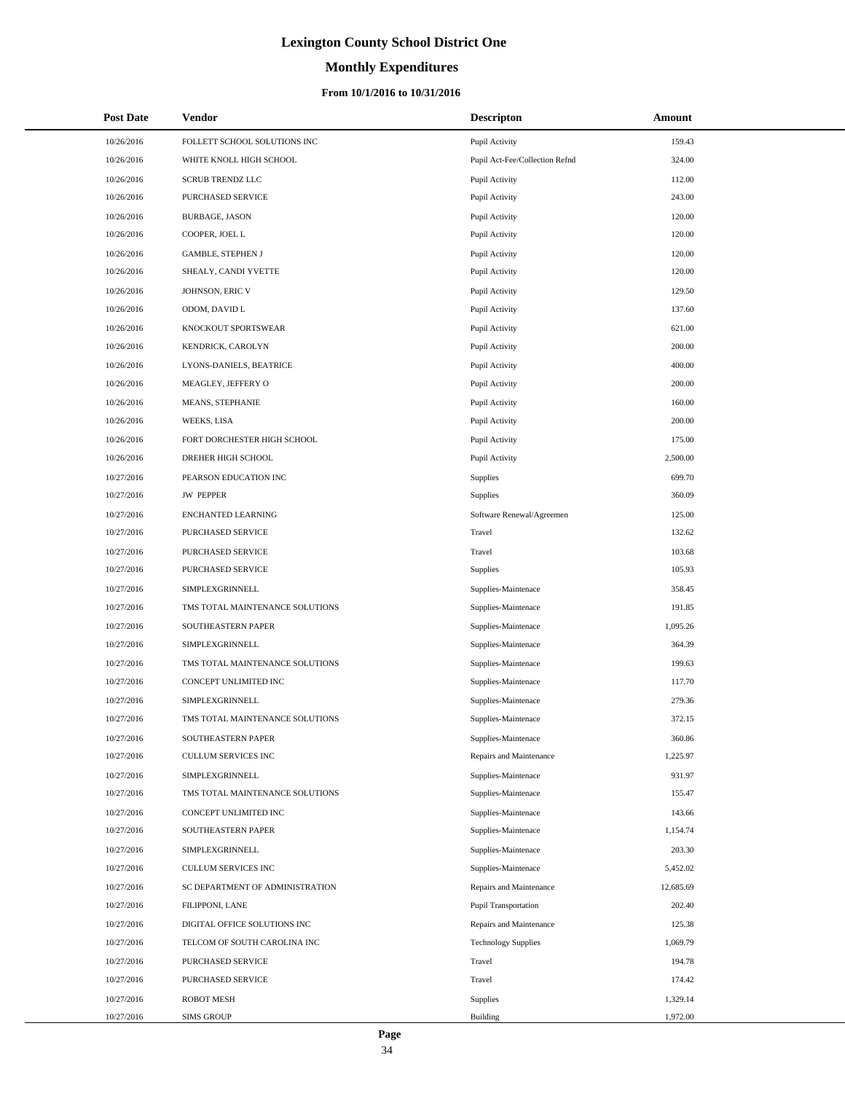# **Monthly Expenditures**

| <b>Post Date</b> | <b>Vendor</b>                   | <b>Descripton</b>              | Amount    |
|------------------|---------------------------------|--------------------------------|-----------|
| 10/26/2016       | FOLLETT SCHOOL SOLUTIONS INC    | Pupil Activity                 | 159.43    |
| 10/26/2016       | WHITE KNOLL HIGH SCHOOL         | Pupil Act-Fee/Collection Refnd | 324.00    |
| 10/26/2016       | SCRUB TRENDZ LLC                | Pupil Activity                 | 112.00    |
| 10/26/2016       | PURCHASED SERVICE               | Pupil Activity                 | 243.00    |
| 10/26/2016       | <b>BURBAGE, JASON</b>           | Pupil Activity                 | 120.00    |
| 10/26/2016       | COOPER, JOEL L                  | Pupil Activity                 | 120.00    |
| 10/26/2016       | <b>GAMBLE, STEPHEN J</b>        | Pupil Activity                 | 120.00    |
| 10/26/2016       | SHEALY, CANDI YVETTE            | Pupil Activity                 | 120.00    |
| 10/26/2016       | JOHNSON, ERIC V                 | Pupil Activity                 | 129.50    |
| 10/26/2016       | ODOM, DAVID L                   | Pupil Activity                 | 137.60    |
| 10/26/2016       | KNOCKOUT SPORTSWEAR             | Pupil Activity                 | 621.00    |
| 10/26/2016       | KENDRICK, CAROLYN               | Pupil Activity                 | 200.00    |
| 10/26/2016       | LYONS-DANIELS, BEATRICE         | Pupil Activity                 | 400.00    |
| 10/26/2016       | MEAGLEY, JEFFERY O              | Pupil Activity                 | 200.00    |
| 10/26/2016       | MEANS, STEPHANIE                | Pupil Activity                 | 160.00    |
| 10/26/2016       | WEEKS, LISA                     | Pupil Activity                 | 200.00    |
| 10/26/2016       | FORT DORCHESTER HIGH SCHOOL     | Pupil Activity                 | 175.00    |
| 10/26/2016       | DREHER HIGH SCHOOL              | Pupil Activity                 | 2,500.00  |
| 10/27/2016       | PEARSON EDUCATION INC           | <b>Supplies</b>                | 699.70    |
| 10/27/2016       | <b>JW PEPPER</b>                | Supplies                       | 360.09    |
| 10/27/2016       | ENCHANTED LEARNING              | Software Renewal/Agreemen      | 125.00    |
| 10/27/2016       | PURCHASED SERVICE               | Travel                         | 132.62    |
| 10/27/2016       | PURCHASED SERVICE               | Travel                         | 103.68    |
| 10/27/2016       | PURCHASED SERVICE               | <b>Supplies</b>                | 105.93    |
| 10/27/2016       | SIMPLEXGRINNELL                 | Supplies-Maintenace            | 358.45    |
| 10/27/2016       | TMS TOTAL MAINTENANCE SOLUTIONS | Supplies-Maintenace            | 191.85    |
| 10/27/2016       | SOUTHEASTERN PAPER              | Supplies-Maintenace            | 1,095.26  |
| 10/27/2016       | SIMPLEXGRINNELL                 | Supplies-Maintenace            | 364.39    |
| 10/27/2016       | TMS TOTAL MAINTENANCE SOLUTIONS | Supplies-Maintenace            | 199.63    |
| 10/27/2016       | CONCEPT UNLIMITED INC           | Supplies-Maintenace            | 117.70    |
| 10/27/2016       | SIMPLEXGRINNELL                 | Supplies-Maintenace            | 279.36    |
| 10/27/2016       | TMS TOTAL MAINTENANCE SOLUTIONS | Supplies-Maintenace            | 372.15    |
| 10/27/2016       | SOUTHEASTERN PAPER              | Supplies-Maintenace            | 360.86    |
| 10/27/2016       | <b>CULLUM SERVICES INC</b>      | Repairs and Maintenance        | 1,225.97  |
| 10/27/2016       | SIMPLEXGRINNELL                 | Supplies-Maintenace            | 931.97    |
| 10/27/2016       | TMS TOTAL MAINTENANCE SOLUTIONS | Supplies-Maintenace            | 155.47    |
| 10/27/2016       | CONCEPT UNLIMITED INC           | Supplies-Maintenace            | 143.66    |
| 10/27/2016       | SOUTHEASTERN PAPER              | Supplies-Maintenace            | 1,154.74  |
| 10/27/2016       | SIMPLEXGRINNELL                 | Supplies-Maintenace            | 203.30    |
| 10/27/2016       | CULLUM SERVICES INC             | Supplies-Maintenace            | 5,452.02  |
| 10/27/2016       | SC DEPARTMENT OF ADMINISTRATION | Repairs and Maintenance        | 12,685.69 |
| 10/27/2016       | FILIPPONI, LANE                 | <b>Pupil Transportation</b>    | 202.40    |
| 10/27/2016       | DIGITAL OFFICE SOLUTIONS INC    | Repairs and Maintenance        | 125.38    |
| 10/27/2016       | TELCOM OF SOUTH CAROLINA INC    | <b>Technology Supplies</b>     | 1,069.79  |
| 10/27/2016       | PURCHASED SERVICE               | Travel                         | 194.78    |
| 10/27/2016       | PURCHASED SERVICE               | Travel                         | 174.42    |
| 10/27/2016       | <b>ROBOT MESH</b>               | <b>Supplies</b>                | 1,329.14  |
| 10/27/2016       | <b>SIMS GROUP</b>               | Building                       | 1,972.00  |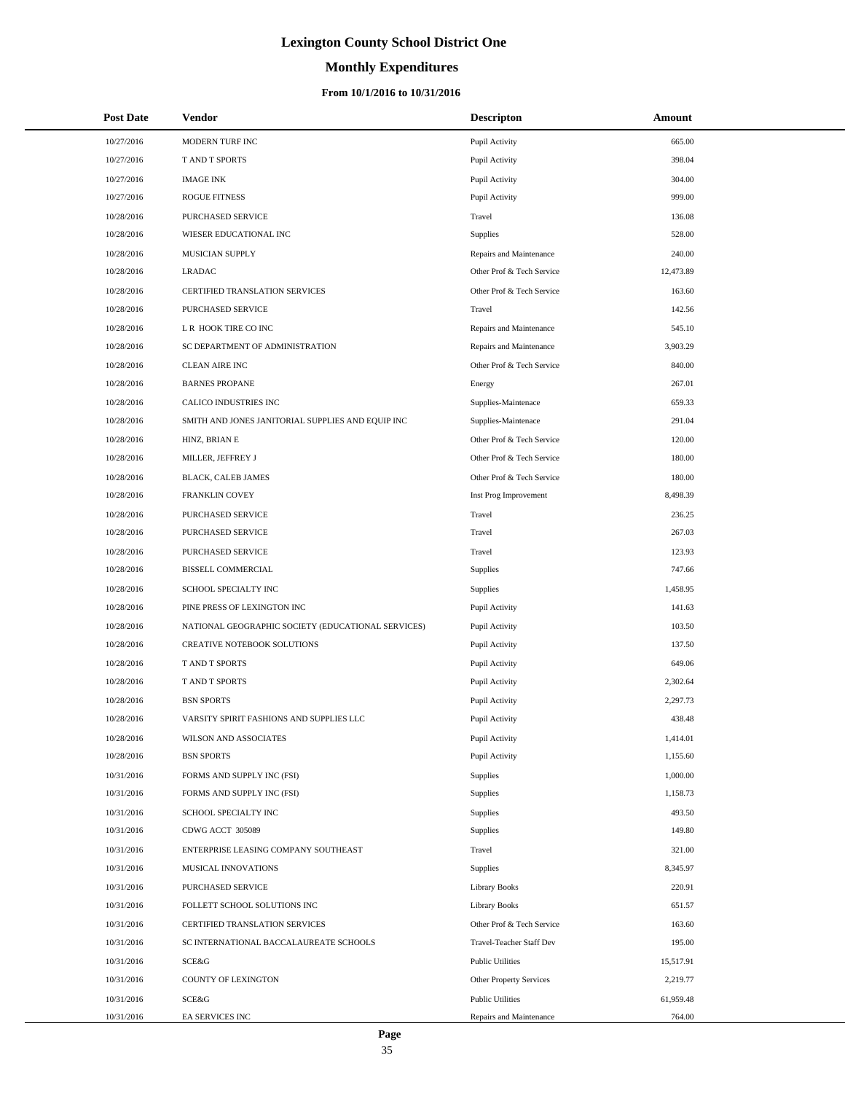# **Monthly Expenditures**

### **From 10/1/2016 to 10/31/2016**

| <b>Post Date</b> | <b>Vendor</b>                                      | <b>Descripton</b>         | Amount    |
|------------------|----------------------------------------------------|---------------------------|-----------|
| 10/27/2016       | MODERN TURF INC                                    | Pupil Activity            | 665.00    |
| 10/27/2016       | T AND T SPORTS                                     | Pupil Activity            | 398.04    |
| 10/27/2016       | <b>IMAGE INK</b>                                   | Pupil Activity            | 304.00    |
| 10/27/2016       | <b>ROGUE FITNESS</b>                               | Pupil Activity            | 999.00    |
| 10/28/2016       | PURCHASED SERVICE                                  | Travel                    | 136.08    |
| 10/28/2016       | WIESER EDUCATIONAL INC                             | Supplies                  | 528.00    |
| 10/28/2016       | <b>MUSICIAN SUPPLY</b>                             | Repairs and Maintenance   | 240.00    |
| 10/28/2016       | <b>LRADAC</b>                                      | Other Prof & Tech Service | 12,473.89 |
| 10/28/2016       | CERTIFIED TRANSLATION SERVICES                     | Other Prof & Tech Service | 163.60    |
| 10/28/2016       | PURCHASED SERVICE                                  | Travel                    | 142.56    |
| 10/28/2016       | L R HOOK TIRE CO INC                               | Repairs and Maintenance   | 545.10    |
| 10/28/2016       | SC DEPARTMENT OF ADMINISTRATION                    | Repairs and Maintenance   | 3,903.29  |
| 10/28/2016       | <b>CLEAN AIRE INC</b>                              | Other Prof & Tech Service | 840.00    |
| 10/28/2016       | <b>BARNES PROPANE</b>                              | Energy                    | 267.01    |
| 10/28/2016       | CALICO INDUSTRIES INC                              | Supplies-Maintenace       | 659.33    |
| 10/28/2016       | SMITH AND JONES JANITORIAL SUPPLIES AND EQUIP INC  | Supplies-Maintenace       | 291.04    |
| 10/28/2016       | HINZ, BRIAN E                                      | Other Prof & Tech Service | 120.00    |
| 10/28/2016       | MILLER, JEFFREY J                                  | Other Prof & Tech Service | 180.00    |
| 10/28/2016       | BLACK, CALEB JAMES                                 | Other Prof & Tech Service | 180.00    |
| 10/28/2016       | <b>FRANKLIN COVEY</b>                              | Inst Prog Improvement     | 8,498.39  |
| 10/28/2016       | PURCHASED SERVICE                                  | Travel                    | 236.25    |
| 10/28/2016       | PURCHASED SERVICE                                  | Travel                    | 267.03    |
| 10/28/2016       | PURCHASED SERVICE                                  | Travel                    | 123.93    |
| 10/28/2016       | BISSELL COMMERCIAL                                 | Supplies                  | 747.66    |
| 10/28/2016       | SCHOOL SPECIALTY INC                               | Supplies                  | 1,458.95  |
| 10/28/2016       | PINE PRESS OF LEXINGTON INC                        | Pupil Activity            | 141.63    |
| 10/28/2016       | NATIONAL GEOGRAPHIC SOCIETY (EDUCATIONAL SERVICES) | Pupil Activity            | 103.50    |
| 10/28/2016       | CREATIVE NOTEBOOK SOLUTIONS                        | Pupil Activity            | 137.50    |
| 10/28/2016       | <b>T AND T SPORTS</b>                              | Pupil Activity            | 649.06    |
| 10/28/2016       | T AND T SPORTS                                     | Pupil Activity            | 2,302.64  |
| 10/28/2016       | <b>BSN SPORTS</b>                                  | Pupil Activity            | 2,297.73  |
| 10/28/2016       | VARSITY SPIRIT FASHIONS AND SUPPLIES LLC           | Pupil Activity            | 438.48    |
| 10/28/2016       | WILSON AND ASSOCIATES                              | Pupil Activity            | 1,414.01  |
| 10/28/2016       | <b>BSN SPORTS</b>                                  | Pupil Activity            | 1,155.60  |
| 10/31/2016       | FORMS AND SUPPLY INC (FSI)                         | Supplies                  | 1,000.00  |
| 10/31/2016       | FORMS AND SUPPLY INC (FSI)                         | Supplies                  | 1,158.73  |
| 10/31/2016       | SCHOOL SPECIALTY INC                               | Supplies                  | 493.50    |
| 10/31/2016       | CDWG ACCT 305089                                   | Supplies                  | 149.80    |
| 10/31/2016       | ENTERPRISE LEASING COMPANY SOUTHEAST               | Travel                    | 321.00    |
| 10/31/2016       | MUSICAL INNOVATIONS                                | Supplies                  | 8,345.97  |
| 10/31/2016       | PURCHASED SERVICE                                  | Library Books             | 220.91    |
| 10/31/2016       | FOLLETT SCHOOL SOLUTIONS INC                       | Library Books             | 651.57    |
| 10/31/2016       | CERTIFIED TRANSLATION SERVICES                     | Other Prof & Tech Service | 163.60    |
| 10/31/2016       | SC INTERNATIONAL BACCALAUREATE SCHOOLS             | Travel-Teacher Staff Dev  | 195.00    |
| 10/31/2016       | SCE&G                                              | <b>Public Utilities</b>   | 15,517.91 |
| 10/31/2016       | COUNTY OF LEXINGTON                                | Other Property Services   | 2,219.77  |
| 10/31/2016       | SCE&G                                              | <b>Public Utilities</b>   | 61,959.48 |
| 10/31/2016       | EA SERVICES INC                                    | Repairs and Maintenance   | 764.00    |

 $\overline{a}$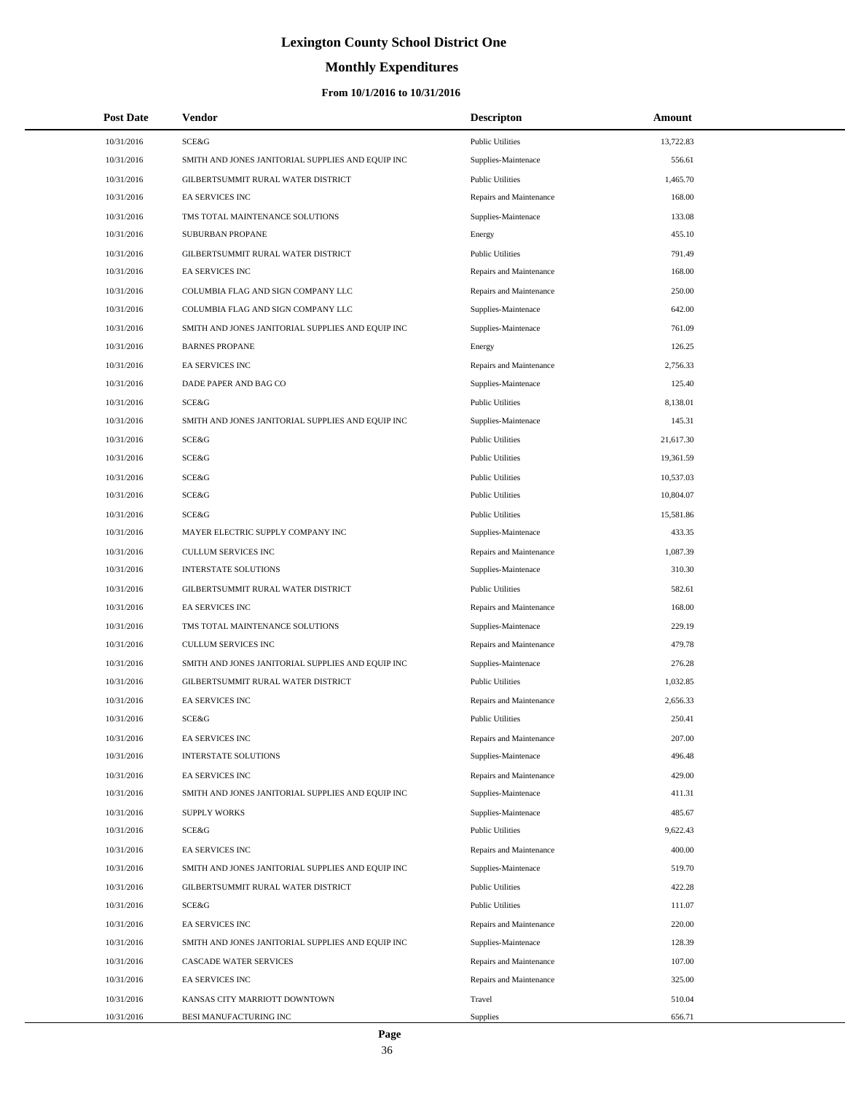# **Monthly Expenditures**

### **From 10/1/2016 to 10/31/2016**

| <b>Post Date</b> | Vendor                                            | <b>Descripton</b>       | Amount    |  |
|------------------|---------------------------------------------------|-------------------------|-----------|--|
| 10/31/2016       | SCE&G                                             | <b>Public Utilities</b> | 13,722.83 |  |
| 10/31/2016       | SMITH AND JONES JANITORIAL SUPPLIES AND EQUIP INC | Supplies-Maintenace     | 556.61    |  |
| 10/31/2016       | GILBERTSUMMIT RURAL WATER DISTRICT                | <b>Public Utilities</b> | 1,465.70  |  |
| 10/31/2016       | EA SERVICES INC                                   | Repairs and Maintenance | 168.00    |  |
| 10/31/2016       | TMS TOTAL MAINTENANCE SOLUTIONS                   | Supplies-Maintenace     | 133.08    |  |
| 10/31/2016       | SUBURBAN PROPANE                                  | Energy                  | 455.10    |  |
| 10/31/2016       | GILBERTSUMMIT RURAL WATER DISTRICT                | <b>Public Utilities</b> | 791.49    |  |
| 10/31/2016       | EA SERVICES INC                                   | Repairs and Maintenance | 168.00    |  |
| 10/31/2016       | COLUMBIA FLAG AND SIGN COMPANY LLC                | Repairs and Maintenance | 250.00    |  |
| 10/31/2016       | COLUMBIA FLAG AND SIGN COMPANY LLC                | Supplies-Maintenace     | 642.00    |  |
| 10/31/2016       | SMITH AND JONES JANITORIAL SUPPLIES AND EQUIP INC | Supplies-Maintenace     | 761.09    |  |
| 10/31/2016       | <b>BARNES PROPANE</b>                             | Energy                  | 126.25    |  |
| 10/31/2016       | <b>EA SERVICES INC</b>                            | Repairs and Maintenance | 2,756.33  |  |
| 10/31/2016       | DADE PAPER AND BAG CO                             | Supplies-Maintenace     | 125.40    |  |
| 10/31/2016       | SCE&G                                             | <b>Public Utilities</b> | 8,138.01  |  |
| 10/31/2016       | SMITH AND JONES JANITORIAL SUPPLIES AND EQUIP INC | Supplies-Maintenace     | 145.31    |  |
| 10/31/2016       | SCE&G                                             | <b>Public Utilities</b> | 21,617.30 |  |
| 10/31/2016       | SCE&G                                             | <b>Public Utilities</b> | 19,361.59 |  |
| 10/31/2016       | SCE&G                                             | <b>Public Utilities</b> | 10,537.03 |  |
| 10/31/2016       | SCE&G                                             | <b>Public Utilities</b> | 10,804.07 |  |
| 10/31/2016       | <b>SCE&amp;G</b>                                  | <b>Public Utilities</b> | 15,581.86 |  |
| 10/31/2016       | MAYER ELECTRIC SUPPLY COMPANY INC                 | Supplies-Maintenace     | 433.35    |  |
| 10/31/2016       | <b>CULLUM SERVICES INC</b>                        | Repairs and Maintenance | 1,087.39  |  |
| 10/31/2016       | <b>INTERSTATE SOLUTIONS</b>                       | Supplies-Maintenace     | 310.30    |  |
| 10/31/2016       | GILBERTSUMMIT RURAL WATER DISTRICT                | <b>Public Utilities</b> | 582.61    |  |
| 10/31/2016       | EA SERVICES INC                                   | Repairs and Maintenance | 168.00    |  |
| 10/31/2016       | TMS TOTAL MAINTENANCE SOLUTIONS                   | Supplies-Maintenace     | 229.19    |  |
| 10/31/2016       | <b>CULLUM SERVICES INC</b>                        | Repairs and Maintenance | 479.78    |  |
| 10/31/2016       | SMITH AND JONES JANITORIAL SUPPLIES AND EQUIP INC | Supplies-Maintenace     | 276.28    |  |
| 10/31/2016       | GILBERTSUMMIT RURAL WATER DISTRICT                | <b>Public Utilities</b> | 1,032.85  |  |
| 10/31/2016       | <b>EA SERVICES INC</b>                            | Repairs and Maintenance | 2,656.33  |  |
| 10/31/2016       | SCE&G                                             | <b>Public Utilities</b> | 250.41    |  |
| 10/31/2016       | EA SERVICES INC                                   | Repairs and Maintenance | 207.00    |  |
| 10/31/2016       | <b>INTERSTATE SOLUTIONS</b>                       | Supplies-Maintenace     | 496.48    |  |
| 10/31/2016       | EA SERVICES INC                                   | Repairs and Maintenance | 429.00    |  |
| 10/31/2016       | SMITH AND JONES JANITORIAL SUPPLIES AND EQUIP INC | Supplies-Maintenace     | 411.31    |  |
| 10/31/2016       | <b>SUPPLY WORKS</b>                               | Supplies-Maintenace     | 485.67    |  |
| 10/31/2016       | SCE&G                                             | <b>Public Utilities</b> | 9,622.43  |  |
| 10/31/2016       | <b>EA SERVICES INC</b>                            | Repairs and Maintenance | 400.00    |  |
| 10/31/2016       | SMITH AND JONES JANITORIAL SUPPLIES AND EQUIP INC | Supplies-Maintenace     | 519.70    |  |
| 10/31/2016       | GILBERTSUMMIT RURAL WATER DISTRICT                | <b>Public Utilities</b> | 422.28    |  |
| 10/31/2016       | SCE&G                                             | <b>Public Utilities</b> | 111.07    |  |
| 10/31/2016       | EA SERVICES INC                                   | Repairs and Maintenance | 220.00    |  |
| 10/31/2016       | SMITH AND JONES JANITORIAL SUPPLIES AND EQUIP INC | Supplies-Maintenace     | 128.39    |  |
| 10/31/2016       | CASCADE WATER SERVICES                            | Repairs and Maintenance | 107.00    |  |
| 10/31/2016       | EA SERVICES INC                                   | Repairs and Maintenance | 325.00    |  |
| 10/31/2016       | KANSAS CITY MARRIOTT DOWNTOWN                     | Travel                  | 510.04    |  |
| 10/31/2016       | BESI MANUFACTURING INC                            | Supplies                | 656.71    |  |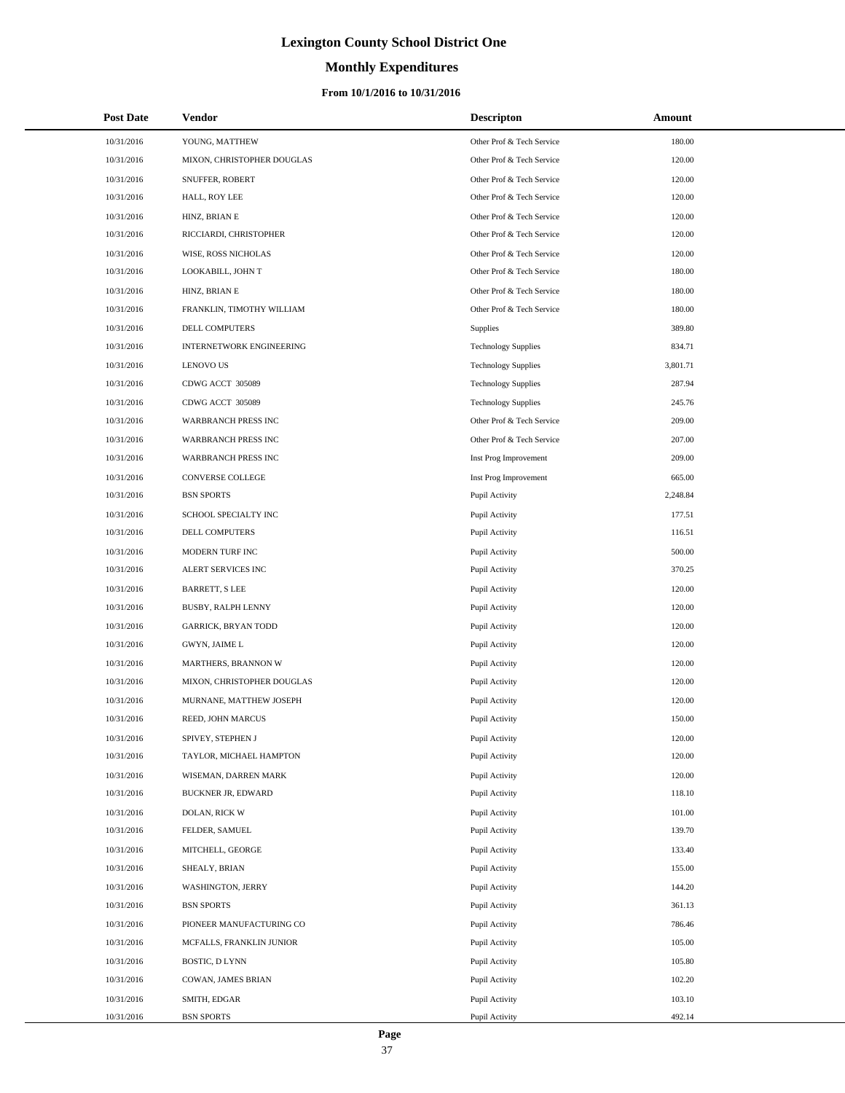# **Monthly Expenditures**

### **From 10/1/2016 to 10/31/2016**

| <b>Post Date</b> | Vendor                          | <b>Descripton</b>          | Amount   |
|------------------|---------------------------------|----------------------------|----------|
| 10/31/2016       | YOUNG, MATTHEW                  | Other Prof & Tech Service  | 180.00   |
| 10/31/2016       | MIXON, CHRISTOPHER DOUGLAS      | Other Prof & Tech Service  | 120.00   |
| 10/31/2016       | SNUFFER, ROBERT                 | Other Prof & Tech Service  | 120.00   |
| 10/31/2016       | HALL, ROY LEE                   | Other Prof & Tech Service  | 120.00   |
| 10/31/2016       | HINZ, BRIAN E                   | Other Prof & Tech Service  | 120.00   |
| 10/31/2016       | RICCIARDI, CHRISTOPHER          | Other Prof & Tech Service  | 120.00   |
| 10/31/2016       | WISE, ROSS NICHOLAS             | Other Prof & Tech Service  | 120.00   |
| 10/31/2016       | LOOKABILL, JOHN T               | Other Prof & Tech Service  | 180.00   |
| 10/31/2016       | HINZ, BRIAN E                   | Other Prof & Tech Service  | 180.00   |
| 10/31/2016       | FRANKLIN, TIMOTHY WILLIAM       | Other Prof & Tech Service  | 180.00   |
| 10/31/2016       | DELL COMPUTERS                  | Supplies                   | 389.80   |
| 10/31/2016       | <b>INTERNETWORK ENGINEERING</b> | <b>Technology Supplies</b> | 834.71   |
| 10/31/2016       | <b>LENOVO US</b>                | <b>Technology Supplies</b> | 3,801.71 |
| 10/31/2016       | CDWG ACCT 305089                | <b>Technology Supplies</b> | 287.94   |
| 10/31/2016       | CDWG ACCT 305089                | <b>Technology Supplies</b> | 245.76   |
| 10/31/2016       | WARBRANCH PRESS INC             | Other Prof & Tech Service  | 209.00   |
| 10/31/2016       | WARBRANCH PRESS INC             | Other Prof & Tech Service  | 207.00   |
| 10/31/2016       | <b>WARBRANCH PRESS INC</b>      | Inst Prog Improvement      | 209.00   |
| 10/31/2016       | CONVERSE COLLEGE                | Inst Prog Improvement      | 665.00   |
| 10/31/2016       | <b>BSN SPORTS</b>               | Pupil Activity             | 2,248.84 |
| 10/31/2016       | SCHOOL SPECIALTY INC            | Pupil Activity             | 177.51   |
| 10/31/2016       | DELL COMPUTERS                  | Pupil Activity             | 116.51   |
| 10/31/2016       | MODERN TURF INC                 | Pupil Activity             | 500.00   |
| 10/31/2016       | ALERT SERVICES INC              | Pupil Activity             | 370.25   |
| 10/31/2016       | BARRETT, S LEE                  | Pupil Activity             | 120.00   |
| 10/31/2016       | BUSBY, RALPH LENNY              | Pupil Activity             | 120.00   |
| 10/31/2016       | <b>GARRICK, BRYAN TODD</b>      | Pupil Activity             | 120.00   |
| 10/31/2016       | GWYN, JAIME L                   | Pupil Activity             | 120.00   |
| 10/31/2016       | MARTHERS, BRANNON W             | Pupil Activity             | 120.00   |
| 10/31/2016       | MIXON, CHRISTOPHER DOUGLAS      | Pupil Activity             | 120.00   |
| 10/31/2016       | MURNANE, MATTHEW JOSEPH         | Pupil Activity             | 120.00   |
| 10/31/2016       | REED, JOHN MARCUS               | Pupil Activity             | 150.00   |
| 10/31/2016       | SPIVEY, STEPHEN J               | Pupil Activity             | 120.00   |
| 10/31/2016       | TAYLOR, MICHAEL HAMPTON         | Pupil Activity             | 120.00   |
| 10/31/2016       | WISEMAN, DARREN MARK            | Pupil Activity             | 120.00   |
| 10/31/2016       | BUCKNER JR, EDWARD              | Pupil Activity             | 118.10   |
| 10/31/2016       | DOLAN, RICK W                   | Pupil Activity             | 101.00   |
| 10/31/2016       | FELDER, SAMUEL                  | Pupil Activity             | 139.70   |
| 10/31/2016       | MITCHELL, GEORGE                | Pupil Activity             | 133.40   |
| 10/31/2016       | SHEALY, BRIAN                   | Pupil Activity             | 155.00   |
| 10/31/2016       | <b>WASHINGTON, JERRY</b>        | Pupil Activity             | 144.20   |
| 10/31/2016       | <b>BSN SPORTS</b>               | Pupil Activity             | 361.13   |
| 10/31/2016       | PIONEER MANUFACTURING CO        | Pupil Activity             | 786.46   |
| 10/31/2016       | MCFALLS, FRANKLIN JUNIOR        | Pupil Activity             | 105.00   |
| 10/31/2016       | BOSTIC, D LYNN                  | Pupil Activity             | 105.80   |
| 10/31/2016       | COWAN, JAMES BRIAN              | Pupil Activity             | 102.20   |
| 10/31/2016       | SMITH, EDGAR                    | Pupil Activity             | 103.10   |
| 10/31/2016       | <b>BSN SPORTS</b>               | Pupil Activity             | 492.14   |

 $\overline{a}$